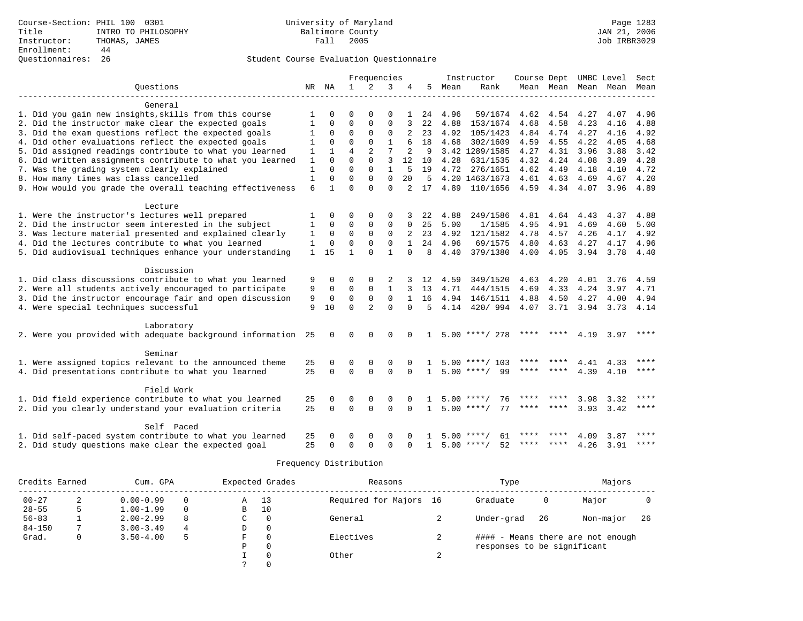# Questionnaires: 26 Student Course Evaluation Questionnaire

|                                                           |              |              |                | Frequencies    |              |          |              |         | Instructor         | Course Dept UMBC Level |                |      |           | Sect        |
|-----------------------------------------------------------|--------------|--------------|----------------|----------------|--------------|----------|--------------|---------|--------------------|------------------------|----------------|------|-----------|-------------|
| Ouestions                                                 | NR           | ΝA           | $\mathbf{1}$   | 2              | 3            | 4        | 5            | Mean    | Rank               |                        | Mean Mean Mean |      | Mean      | Mean        |
|                                                           |              |              |                |                |              |          |              |         |                    |                        |                |      |           |             |
| General                                                   |              |              |                |                |              |          |              |         |                    |                        |                |      |           |             |
| 1. Did you gain new insights, skills from this course     |              | $\Omega$     | $\Omega$       | $\Omega$       | $\Omega$     |          |              | 24 4.96 | 59/1674 4.62 4.54  |                        |                | 4.27 | 4.07      | 4.96        |
| 2. Did the instructor make clear the expected goals       | 1            | $\mathbf 0$  | $\Omega$       | $\Omega$       | $\Omega$     | 3        | 22           | 4.88    | 153/1674           | 4.68                   | 4.58           | 4.23 | 4.16      | 4.88        |
| 3. Did the exam questions reflect the expected goals      | 1            | 0            | $\Omega$       | $\Omega$       | $\Omega$     | 2        | 23           | 4.92    | 105/1423           | 4.84                   | 4.74           | 4.27 | 4.16      | 4.92        |
| 4. Did other evaluations reflect the expected goals       | 1            | $\Omega$     | $\Omega$       | $\Omega$       | 1            |          | 18           | 4.68    | 302/1609           | 4.59                   | 4.55           | 4.22 | 4.05      | 4.68        |
| 5. Did assigned readings contribute to what you learned   | $\mathbf{1}$ | $\mathbf{1}$ | $\overline{4}$ | $\overline{2}$ | 7            | 2        | 9            |         | 3.42 1289/1585     | 4.27                   | 4.31           | 3.96 | 3.88      | 3.42        |
| 6. Did written assignments contribute to what you learned | 1            | $\Omega$     | $\Omega$       | $\Omega$       | 3            | 12       | 10           | 4.28    | 631/1535           | 4.32                   | 4.24           | 4.08 | 3.89      | 4.28        |
| 7. Was the grading system clearly explained               | $\mathbf{1}$ | $\Omega$     | $\Omega$       | $\Omega$       | $\mathbf{1}$ | 5        | 19           | 4.72    | 276/1651           | 4.62                   | 4.49           | 4.18 | 4.10      | 4.72        |
| 8. How many times was class cancelled                     | $\mathbf{1}$ | $\Omega$     | $\Omega$       | $\Omega$       | $\Omega$     | 20       | -5           |         | 4.20 1463/1673     | 4.61 4.63              |                | 4.69 | 4.67      | 4.20        |
| 9. How would you grade the overall teaching effectiveness | 6            |              | $\Omega$       | $\Omega$       | $\Omega$     |          | 17           | 4.89    | 110/1656           | 4.59 4.34              |                | 4.07 | 3.96      | 4.89        |
|                                                           |              |              |                |                |              |          |              |         |                    |                        |                |      |           |             |
| Lecture                                                   |              |              |                |                |              |          |              |         |                    |                        |                |      |           |             |
| 1. Were the instructor's lectures well prepared           | 1            | $\Omega$     | $\Omega$       | $\mathbf 0$    | $\Omega$     |          | 22           | 4.88    | 249/1586           | 4.81                   | 4.64           | 4.43 | 4.37      | 4.88        |
| 2. Did the instructor seem interested in the subject      | 1            | $\Omega$     | $\Omega$       | $\Omega$       | $\Omega$     | $\Omega$ | 25           | 5.00    | 1/1585             | 4.95                   | 4.91           | 4.69 | 4.60      | 5.00        |
| 3. Was lecture material presented and explained clearly   | 1            | 0            | $\Omega$       | $\Omega$       | $\Omega$     | 2        | 23           | 4.92    | 121/1582           | 4.78                   | 4.57           | 4.26 | 4.17      | 4.92        |
| 4. Did the lectures contribute to what you learned        | $\mathbf{1}$ | $\Omega$     | $\Omega$       | $\Omega$       | $\Omega$     |          | 2.4          | 4.96    | 69/1575            | 4.80                   | 4.63           | 4.27 | 4.17      | 4.96        |
| 5. Did audiovisual techniques enhance your understanding  |              | $1 \quad 15$ | $\mathbf{1}$   | $\Omega$       | $\mathbf{1}$ | $\Omega$ | 8            | 4.40    | 379/1380           | 4.00                   | 4.05           | 3.94 | 3.78 4.40 |             |
|                                                           |              |              |                |                |              |          |              |         |                    |                        |                |      |           |             |
| Discussion                                                |              |              |                |                |              |          |              |         |                    |                        |                |      |           |             |
| 1. Did class discussions contribute to what you learned   | 9            | 0            | $\Omega$       | $\Omega$       |              |          | 12           | 4.59    | 349/1520           | 4.63                   | 4.20           | 4.01 | 3.76      | 4.59        |
| 2. Were all students actively encouraged to participate   | 9            | 0            | 0              | 0              | 1            |          | 13           | 4.71    | 444/1515           | 4.69                   | 4.33           | 4.24 | 3.97      | 4.71        |
| 3. Did the instructor encourage fair and open discussion  | 9            | $\Omega$     | $\Omega$       | $\Omega$       | $\Omega$     |          | 16           | 4.94    | 146/1511           | 4.88                   | 4.50           | 4.27 | 4.00      | 4.94        |
| 4. Were special techniques successful                     | 9            | 10           | $\Omega$       | $\overline{2}$ | $\Omega$     | $\Omega$ | .5           | 4.14    | 420/994            | 4.07                   | 3.71           | 3.94 | 3.73 4.14 |             |
|                                                           |              |              |                |                |              |          |              |         |                    |                        |                |      |           |             |
| Laboratory                                                |              |              |                |                |              |          |              |         |                    |                        |                |      |           |             |
| 2. Were you provided with adequate background information | 25           | $\Omega$     | 0              | $\Omega$       | 0            |          |              |         | $5.00$ ****/ 278   | ****                   | ****           | 4.19 | 3.97      | $***$ * * * |
|                                                           |              |              |                |                |              |          |              |         |                    |                        |                |      |           |             |
| Seminar                                                   |              |              |                |                |              |          |              |         |                    |                        |                |      |           |             |
| 1. Were assigned topics relevant to the announced theme   | 25           | 0            | 0              | 0              | $\Omega$     |          |              |         | $5.00$ ****/ 103   | ****                   |                | 4.41 | 4.33      | ****        |
| 4. Did presentations contribute to what you learned       | 25           | $\Omega$     | $\Omega$       | $\Omega$       | $\Omega$     | $\Omega$ | $\mathbf{1}$ |         | $5.00$ ****/<br>99 | **** ****              |                | 4.39 | 4.10      | $***$ * * * |
|                                                           |              |              |                |                |              |          |              |         |                    |                        |                |      |           |             |
| Field Work                                                |              |              |                |                |              |          |              |         |                    |                        |                |      |           |             |
| 1. Did field experience contribute to what you learned    | 25           | $\Omega$     | $\Omega$       | $\Omega$       | $\Omega$     |          |              | 5.00    | $***$ /<br>76      |                        |                | 3.98 | 3.32      |             |
| 2. Did you clearly understand your evaluation criteria    | 25           | $\Omega$     | $\Omega$       | $\Omega$       | $\Omega$     | $\Omega$ | $\mathbf{1}$ |         | $5.00$ ****/<br>77 |                        | ****           | 3.93 | 3.42      | ****        |
|                                                           |              |              |                |                |              |          |              |         |                    |                        |                |      |           |             |
| Self Paced                                                |              |              |                |                |              |          |              |         |                    |                        |                |      |           |             |
| 1. Did self-paced system contribute to what you learned   | 25           |              | ∩              | 0              | $\Omega$     |          |              |         | $5.00$ ****/<br>61 |                        |                | 4.09 | 3.87      |             |
| 2. Did study questions make clear the expected goal       | 25           | ∩            | $\Omega$       |                | $\Omega$     | $\Omega$ | $\mathbf{1}$ |         | $5.00$ ****/<br>52 | ****                   | ****           | 4.26 | 3.91      | $***$ * * * |
|                                                           |              |              |                |                |              |          |              |         |                    |                        |                |      |           |             |

| Credits Earned |   | Cum. GPA      |          |   | Expected Grades | Reasons                |            | Type                        | Majors |                                   |    |
|----------------|---|---------------|----------|---|-----------------|------------------------|------------|-----------------------------|--------|-----------------------------------|----|
| $00 - 27$      | ∠ | $0.00 - 0.99$ | $\Omega$ | Α | 13              | Required for Majors 16 |            | Graduate                    | 0      | Major                             |    |
| $28 - 55$      |   | $1.00 - 1.99$ | $\Omega$ | B | 10              |                        |            |                             |        |                                   |    |
| $56 - 83$      |   | $2.00 - 2.99$ | 8        | C |                 | General                |            | Under-grad                  | 26     | Non-major                         | 26 |
| $84 - 150$     |   | $3.00 - 3.49$ | 4        | D | $\Omega$        |                        |            |                             |        |                                   |    |
| Grad.          | 0 | $3.50 - 4.00$ | 5        | F |                 | Electives              | ∠          |                             |        | #### - Means there are not enough |    |
|                |   |               |          | Ρ |                 |                        |            | responses to be significant |        |                                   |    |
|                |   |               |          |   |                 | Other                  | $\epsilon$ |                             |        |                                   |    |
|                |   |               |          |   |                 |                        |            |                             |        |                                   |    |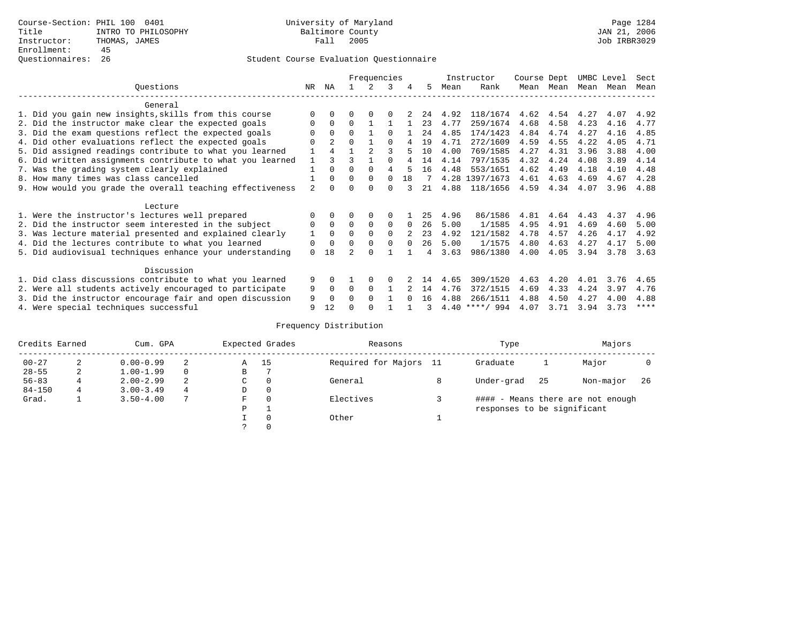# Questionnaires: 26 Student Course Evaluation Questionnaire

|                                                           |                |                |          | Frequencies |          |          |    |      | Instructor       | Course Dept |      | UMBC Level |      | Sect        |
|-----------------------------------------------------------|----------------|----------------|----------|-------------|----------|----------|----|------|------------------|-------------|------|------------|------|-------------|
| Ouestions                                                 | NR.            | ΝA             |          |             | 3        | 4        | 5. | Mean | Rank             | Mean        | Mean | Mean       | Mean | Mean        |
| General                                                   |                |                |          |             |          |          |    |      |                  |             |      |            |      |             |
| 1. Did you gain new insights, skills from this course     | $\Omega$       | $\Omega$       | O        | $\Omega$    | $\Omega$ |          | 24 | 4.92 | 118/1674         | 4.62        | 4.54 | 4.27       | 4.07 | 4.92        |
| 2. Did the instructor make clear the expected goals       | 0              | $\Omega$       | $\Omega$ |             |          |          | 23 | 4.77 | 259/1674         | 4.68        | 4.58 | 4.23       | 4.16 | 4.77        |
| 3. Did the exam questions reflect the expected goals      |                | $\Omega$       | $\Omega$ |             | $\Omega$ |          | 24 | 4.85 | 174/1423         | 4.84        | 4.74 | 4.27       | 4.16 | 4.85        |
| 4. Did other evaluations reflect the expected goals       | O              | $\mathfrak{D}$ | $\Omega$ |             | $\Omega$ |          | 19 | 4.71 | 272/1609         | 4.59        | 4.55 | 4.22       | 4.05 | 4.71        |
| 5. Did assigned readings contribute to what you learned   | $\mathbf{1}$   |                |          |             |          |          | 10 | 4.00 | 769/1585         | 4.27        | 4.31 | 3.96       | 3.88 | 4.00        |
| 6. Did written assignments contribute to what you learned | $\mathbf{1}$   | २              |          |             | $\cap$   |          | 14 | 4.14 | 797/1535         | 4.32        | 4.24 | 4.08       | 3.89 | 4.14        |
| 7. Was the grading system clearly explained               |                | $\Omega$       | $\Omega$ | $\Omega$    | 4        |          | 16 | 4.48 | 553/1651         | 4.62        | 4.49 | 4.18       | 4.10 | 4.48        |
| 8. How many times was class cancelled                     |                | $\Omega$       | $\Omega$ | $\Omega$    | $\Omega$ | 18       |    |      | 4.28 1397/1673   | 4.61        | 4.63 | 4.69       | 4.67 | 4.28        |
| 9. How would you grade the overall teaching effectiveness | $\mathfrak{D}$ | <sup>n</sup>   | U        | $\cap$      | U        |          | 21 | 4.88 | 118/1656         | 4.59        | 4.34 | 4.07       | 3.96 | 4.88        |
|                                                           |                |                |          |             |          |          |    |      |                  |             |      |            |      |             |
| Lecture                                                   |                |                |          |             |          |          |    |      |                  |             |      |            |      |             |
| 1. Were the instructor's lectures well prepared           | 0              |                |          |             |          |          | 25 | 4.96 | 86/1586          | 4.81        | 4.64 | 4.43       | 4.37 | 4.96        |
| 2. Did the instructor seem interested in the subject      | 0              | $\Omega$       | $\Omega$ | $\Omega$    | $\Omega$ | $\Omega$ | 26 | 5.00 | 1/1585           | 4.95        | 4.91 | 4.69       | 4.60 | 5.00        |
| 3. Was lecture material presented and explained clearly   | 1              | $\Omega$       | $\Omega$ | $\Omega$    | $\Omega$ |          | 23 | 4.92 | 121/1582         | 4.78        | 4.57 | 4.26       | 4.17 | 4.92        |
| 4. Did the lectures contribute to what you learned        | 0              | $\Omega$       | $\Omega$ | $\Omega$    | $\Omega$ | $\Omega$ | 26 | 5.00 | 1/1575           | 4.80        | 4.63 | 4.27       | 4.17 | 5.00        |
| 5. Did audiovisual techniques enhance your understanding  | $\Omega$       | 18             |          | $\cap$      |          |          |    | 3.63 | 986/1380         | 4.00        | 4.05 | 3.94       | 3.78 | 3.63        |
|                                                           |                |                |          |             |          |          |    |      |                  |             |      |            |      |             |
| Discussion                                                |                |                |          |             |          |          |    |      |                  |             |      |            |      |             |
| 1. Did class discussions contribute to what you learned   | 9              | $\Omega$       |          | $\Omega$    | $\Omega$ |          | 14 | 4.65 | 309/1520         | 4.63        | 4.20 | 4.01       | 3.76 | 4.65        |
| 2. Were all students actively encouraged to participate   | 9              | $\Omega$       | $\Omega$ | $\Omega$    |          |          | 14 | 4.76 | 372/1515         | 4.69        | 4.33 | 4.24       | 3.97 | 4.76        |
| 3. Did the instructor encourage fair and open discussion  | 9              | $\Omega$       | 0        | $\Omega$    |          | $\cap$   | 16 | 4.88 | 266/1511         | 4.88        | 4.50 | 4.27       | 4.00 | 4.88        |
| 4. Were special techniques successful                     | 9              | 12             |          |             |          |          |    |      | $4.40$ ****/ 994 | 4.07        | 3.71 | 3.94       | 3.73 | $***$ * * * |

| Credits Earned |   | Cum. GPA      |   |               | Expected Grades | Reasons                | Type                        | Majors |                                   |     |
|----------------|---|---------------|---|---------------|-----------------|------------------------|-----------------------------|--------|-----------------------------------|-----|
| $00 - 27$      | 2 | $0.00 - 0.99$ | 2 | Α             | 15              | Required for Majors 11 | Graduate                    |        | Major                             |     |
| $28 - 55$      | 2 | $1.00 - 1.99$ |   | В             |                 |                        |                             |        |                                   |     |
| $56 - 83$      | 4 | $2.00 - 2.99$ | 2 | $\sim$<br>◡   | $\Omega$        | General                | Under-grad                  | 25     | Non-major                         | -26 |
| $84 - 150$     | 4 | $3.00 - 3.49$ | 4 | D             | 0               |                        |                             |        |                                   |     |
| Grad.          |   | $3.50 - 4.00$ |   | F             | 0               | Electives              |                             |        | #### - Means there are not enough |     |
|                |   |               |   | P             |                 |                        | responses to be significant |        |                                   |     |
|                |   |               |   |               | 0               | Other                  |                             |        |                                   |     |
|                |   |               |   | $\mathcal{L}$ |                 |                        |                             |        |                                   |     |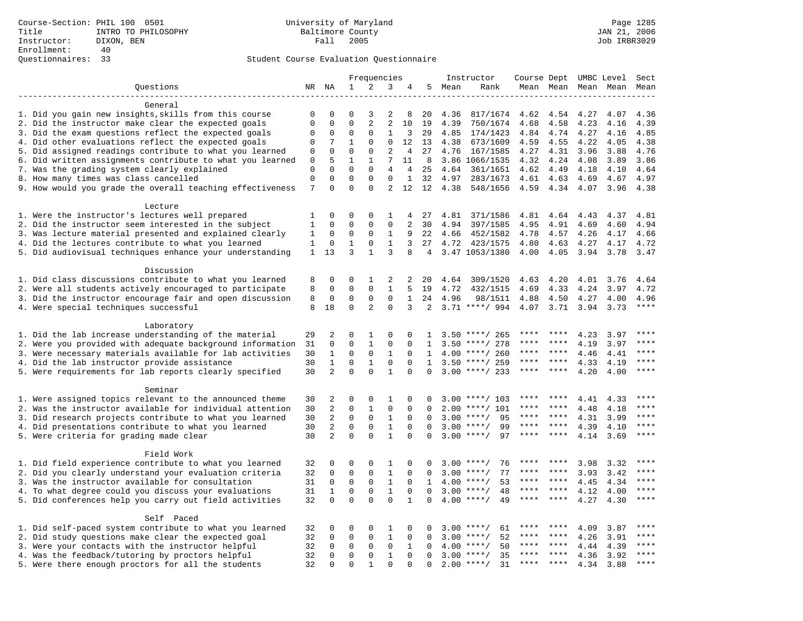|                                                                    |                  | Frequencies    |                          |                | Instructor                 |                | Course Dept UMBC Level |        |                    |      | Sect    |                     |      |       |
|--------------------------------------------------------------------|------------------|----------------|--------------------------|----------------|----------------------------|----------------|------------------------|--------|--------------------|------|---------|---------------------|------|-------|
| Questions                                                          | NR NA            |                | $\mathbf{1}$             | 2              | 3                          | 4              |                        | 5 Mean | Rank               |      |         | Mean Mean Mean Mean |      | Mean  |
|                                                                    |                  |                |                          |                |                            |                |                        |        |                    |      |         |                     |      |       |
| General                                                            |                  |                |                          |                |                            |                |                        |        |                    |      |         |                     |      |       |
| 1. Did you gain new insights, skills from this course              | 0                | 0              | O                        | 3              | 2                          | 8              | 20                     | 4.36   | 817/1674           | 4.62 | 4.54    | 4.27                | 4.07 | 4.36  |
| 2. Did the instructor make clear the expected goals                | $\Omega$         | $\Omega$       | $\Omega$                 | $\overline{a}$ | $\overline{2}$             | 10             | 19                     | 4.39   | 750/1674           | 4.68 | 4.58    | 4.23                | 4.16 | 4.39  |
| 3. Did the exam questions reflect the expected goals               | $\Omega$         | $\Omega$       | $\Omega$                 | $\Omega$       | 1                          | 3              | 29                     | 4.85   | 174/1423           | 4.84 | 4.74    | 4.27                | 4.16 | 4.85  |
| 4. Did other evaluations reflect the expected goals                | 0                | 7              | $\mathbf{1}$             | $\Omega$       | $\Omega$                   | 12             | 13                     | 4.38   | 673/1609           | 4.59 | 4.55    | 4.22                | 4.05 | 4.38  |
| 5. Did assigned readings contribute to what you learned            | 0                | $\mathbf 0$    | $\Omega$                 | 0              | $\overline{c}$             | $\overline{4}$ | 27                     | 4.76   | 167/1585           | 4.27 | 4.31    | 3.96                | 3.88 | 4.76  |
| 6. Did written assignments contribute to what you learned          | 0                | 5              | $\mathbf{1}$             | $\mathbf{1}$   | 7                          | 11             | 8                      |        | 3.86 1066/1535     | 4.32 | 4.24    | 4.08                | 3.89 | 3.86  |
| 7. Was the grading system clearly explained                        | $\mathbf 0$      | $\Omega$       | $\Omega$                 | 0              | $\overline{4}$             | $\overline{4}$ | 25                     | 4.64   | 361/1651           | 4.62 | 4.49    | 4.18                | 4.10 | 4.64  |
| 8. How many times was class cancelled                              | $\mathbf 0$<br>7 | 0<br>$\Omega$  | $\mathbf{0}$<br>$\Omega$ | 0<br>$\Omega$  | $\Omega$<br>$\overline{a}$ | $\mathbf{1}$   | 32                     | 4.97   | 283/1673           | 4.61 | 4.63    | 4.69                | 4.67 | 4.97  |
| 9. How would you grade the overall teaching effectiveness          |                  |                |                          |                |                            | 12             | 12                     | 4.38   | 548/1656           | 4.59 | 4.34    | 4.07                | 3.96 | 4.38  |
| Lecture                                                            |                  |                |                          |                |                            |                |                        |        |                    |      |         |                     |      |       |
| 1. Were the instructor's lectures well prepared                    | 1                | $\Omega$       | $\Omega$                 | $\Omega$       | 1                          | 4              | 27                     | 4.81   | 371/1586           | 4.81 | 4.64    | 4.43                | 4.37 | 4.81  |
| 2. Did the instructor seem interested in the subject               | 1                | 0              | $\Omega$                 | $\Omega$       | $\mathsf 0$                | $\overline{a}$ | 30                     | 4.94   | 397/1585           | 4.95 | 4.91    | 4.69                | 4.60 | 4.94  |
| 3. Was lecture material presented and explained clearly            | 1                | 0              | $\mathbf 0$              | 0              | $\mathbf{1}$               | 9              | 22                     | 4.66   | 452/1582           | 4.78 | 4.57    | 4.26                | 4.17 | 4.66  |
| 4. Did the lectures contribute to what you learned                 | 1                | $\mathbf 0$    | $\mathbf 1$              | 0              | $\mathbf{1}$               | 3              | 27                     | 4.72   | 423/1575           | 4.80 | 4.63    | 4.27                | 4.17 | 4.72  |
| 5. Did audiovisual techniques enhance your understanding           | $\mathbf{1}$     | 13             | 3                        | $\mathbf{1}$   | 3                          | 8              | 4                      |        | 3.47 1053/1380     | 4.00 | 4.05    | 3.94                | 3.78 | 3.47  |
|                                                                    |                  |                |                          |                |                            |                |                        |        |                    |      |         |                     |      |       |
| Discussion                                                         |                  |                |                          |                |                            |                |                        |        |                    |      |         |                     |      |       |
| 1. Did class discussions contribute to what you learned            | 8                | 0              | 0                        | 1              | 2                          | 2              | 20                     | 4.64   | 309/1520           | 4.63 | 4.20    | 4.01                | 3.76 | 4.64  |
| 2. Were all students actively encouraged to participate            | 8                | $\Omega$       | $\Omega$                 | $\Omega$       | $\mathbf{1}$               | 5              | 19                     | 4.72   | 432/1515           | 4.69 | 4.33    | 4.24                | 3.97 | 4.72  |
| 3. Did the instructor encourage fair and open discussion           | 8                | $\mathbf 0$    | $\mathbf 0$              | $\mathsf 0$    | $\mathsf 0$                | $\mathbf{1}$   | 24                     | 4.96   | 98/1511            | 4.88 | 4.50    | 4.27                | 4.00 | 4.96  |
| 4. Were special techniques successful                              | 8                | 18             | $\mathbf 0$              | 2              | $\mathbf 0$                | 3              | 2                      |        | $3.71$ ****/ 994   | 4.07 | 3.71    | 3.94                | 3.73 | $***$ |
|                                                                    |                  |                |                          |                |                            |                |                        |        |                    |      |         |                     |      |       |
| Laboratory                                                         |                  |                |                          |                |                            |                |                        |        |                    |      |         |                     |      |       |
| 1. Did the lab increase understanding of the material              | 29               | 2              | $\Omega$                 | 1              | $\mathbf 0$                | 0              | 1                      |        | $3.50$ ****/ 265   | **** |         | 4.23                | 3.97 | ****  |
| 2. Were you provided with adequate background information          | 31               | 0              | $\mathbf{0}$             | 1              | $\Omega$                   | $\Omega$       | 1                      | 3.50   | ****/ 278          | **** | ****    | 4.19                | 3.97 | ****  |
| 3. Were necessary materials available for lab activities           | 30               | $\mathbf{1}$   | $\mathbf 0$              | $\mathbf 0$    | $\mathbf{1}$               | $\Omega$       | $\mathbf{1}$           | 4.00   | ****/ 260          | **** | $***$ * | 4.46                | 4.41 | ****  |
| 4. Did the lab instructor provide assistance                       | 30               | $\mathbf{1}$   | $\Omega$                 | $\mathbf{1}$   | $\Omega$                   | $\Omega$       | $\mathbf{1}$           | 3.50   | ****/ 259          | **** | $***$ * | 4.33                | 4.19 | ****  |
| 5. Were requirements for lab reports clearly specified             | 30               | $\overline{a}$ | $\mathbf 0$              | $\mathbf 0$    | $\mathbf{1}$               | $\mathbf 0$    | $\mathbf 0$            |        | $3.00$ ****/ 233   | **** | ****    | 4.20                | 4.00 | ****  |
|                                                                    |                  |                |                          |                |                            |                |                        |        |                    |      |         |                     |      |       |
| Seminar<br>1. Were assigned topics relevant to the announced theme | 30               | 2              | $\mathbf 0$              | $\mathbf 0$    | 1                          | $\Omega$       | 0                      | 3.00   | ****/ 103          | **** | ****    | 4.41                | 4.33 | ****  |
| 2. Was the instructor available for individual attention           | 30               | 2              | $\mathbf 0$              | $\mathbf{1}$   | $\mathbf 0$                | $\mathbf 0$    | $\Omega$               | 2.00   | $***/101$          | **** | ****    | 4.48                | 4.18 | ****  |
| 3. Did research projects contribute to what you learned            | 30               | $\overline{2}$ | $\mathbf 0$              | $\mathbf 0$    | $\mathbf{1}$               | $\Omega$       | $\Omega$               | 3.00   | $***/$<br>95       | **** | ****    | 4.31                | 3.99 | ****  |
| 4. Did presentations contribute to what you learned                | 30               | 2              | $\mathbf 0$              | $\mathbf 0$    | $\mathbf{1}$               | $\Omega$       | $\Omega$               | 3.00   | $***/$<br>99       | **** | ****    | 4.39                | 4.10 | $***$ |
| 5. Were criteria for grading made clear                            | 30               | 2              | $\Omega$                 | $\Omega$       | $\mathbf{1}$               | $\Omega$       | $\Omega$               |        | $3.00$ ****/<br>97 | **** | ****    | 4.14                | 3.69 | $***$ |
|                                                                    |                  |                |                          |                |                            |                |                        |        |                    |      |         |                     |      |       |
| Field Work                                                         |                  |                |                          |                |                            |                |                        |        |                    |      |         |                     |      |       |
| 1. Did field experience contribute to what you learned             | 32               | 0              | 0                        | 0              | 1                          | 0              | 0                      |        | $3.00$ ****/<br>76 | **** |         | 3.98                | 3.32 | ****  |
| 2. Did you clearly understand your evaluation criteria             | 32               | $\Omega$       | $\mathbf 0$              | $\mathbf 0$    | $\mathbf{1}$               | $\Omega$       | $\Omega$               | 3.00   | 77<br>$***$ /      | **** | ****    | 3.93                | 3.42 | ****  |
| 3. Was the instructor available for consultation                   | 31               | $\mathbf 0$    | $\mathbf{0}$             | $\mathbf 0$    | $\mathbf{1}$               | $\Omega$       | $\mathbf{1}$           |        | 53<br>$4.00$ ****/ | **** | ****    | 4.45                | 4.34 | ****  |
| 4. To what degree could you discuss your evaluations               | 31               | $\mathbf{1}$   | $\mathbf 0$              | $\mathbf 0$    | $\mathbf{1}$               | $\mathbf 0$    | 0                      | 3.00   | $***$ /<br>48      |      | ****    | 4.12                | 4.00 | ****  |
| 5. Did conferences help you carry out field activities             | 32               | $\Omega$       | $\Omega$                 | $\Omega$       | $\Omega$                   | $\mathbf{1}$   | $\Omega$               |        | $4.00$ ****/<br>49 | **** | ****    | 4.27                | 4.30 | ****  |
|                                                                    |                  |                |                          |                |                            |                |                        |        |                    |      |         |                     |      |       |
| Self Paced                                                         |                  |                |                          |                |                            |                |                        |        |                    |      |         |                     |      |       |
| 1. Did self-paced system contribute to what you learned            | 32               | 0              | 0                        | 0              | $\mathbf{1}$               | 0              | 0                      |        | $3.00$ ****/<br>61 |      |         | 4.09                | 3.87 | ****  |
| 2. Did study questions make clear the expected goal                | 32               | 0              | $\mathbf{0}$             | $\mathbf 0$    | $\mathbf{1}$               | $\mathbf 0$    | 0                      | 3.00   | 52<br>$***/$       | **** | ****    | 4.26                | 3.91 | ****  |
| 3. Were your contacts with the instructor helpful                  | 32               | $\Omega$       | $\mathbf 0$              | $\mathbf 0$    | $\mathbf 0$                | 1              | $\Omega$               | 4.00   | $***/$<br>50       | **** | ****    | 4.44                | 4.39 | ****  |
| 4. Was the feedback/tutoring by proctors helpful                   | 32               | $\Omega$       | $\mathbf{0}$             | 0              | $\mathbf{1}$               | $\Omega$       | $\Omega$               | 3.00   | 35<br>$***/$       | **** | ****    | 4.36                | 3.92 | ****  |
| 5. Were there enough proctors for all the students                 | 32               | $\Omega$       | $\Omega$                 | $\mathbf{1}$   | $\Omega$                   | $\Omega$       | $\Omega$               |        | $2.00$ ****/<br>31 | **** |         | 4.34                | 3.88 | $***$ |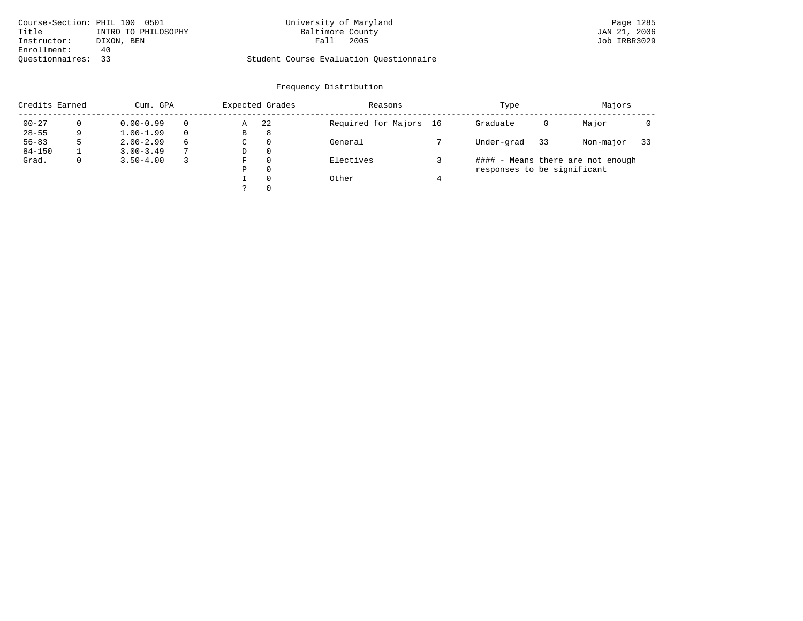| Course-Section: PHIL 100 0501 |                     | University of Maryland                  | Page 1285    |
|-------------------------------|---------------------|-----------------------------------------|--------------|
| Title                         | INTRO TO PHILOSOPHY | Baltimore County                        | JAN 21, 2006 |
| Instructor:                   | DIXON, BEN          | 2005<br>Fall                            | Job IRBR3029 |
| Enrollment:                   | 40                  |                                         |              |
| Ouestionnaires: 33            |                     | Student Course Evaluation Ouestionnaire |              |

# University of Maryland Page 1285<br>Baltimore County Band Page 1285

| Credits Earned |   | Cum. GPA      |          |   | Expected Grades | Reasons                | Type                        | Majors |                                   |    |
|----------------|---|---------------|----------|---|-----------------|------------------------|-----------------------------|--------|-----------------------------------|----|
| $00 - 27$      |   | $0.00 - 0.99$ |          | Α | 22              | Required for Majors 16 | Graduate                    | 0      | Major                             |    |
| $28 - 55$      | 9 | $1.00 - 1.99$ | $\Omega$ | B | 8               |                        |                             |        |                                   |    |
| $56 - 83$      |   | $2.00 - 2.99$ | 6        | C | $\Omega$        | General                | Under-grad                  | 33     | Non-major                         | 33 |
| $84 - 150$     |   | $3.00 - 3.49$ | 7        | D | $\Omega$        |                        |                             |        |                                   |    |
| Grad.          |   | $3.50 - 4.00$ |          | F | $\Omega$        | Electives              |                             |        | #### - Means there are not enough |    |
|                |   |               |          | Ρ | 0               |                        | responses to be significant |        |                                   |    |
|                |   |               |          |   | $\Omega$        | Other                  |                             |        |                                   |    |
|                |   |               |          |   | $\Omega$        |                        |                             |        |                                   |    |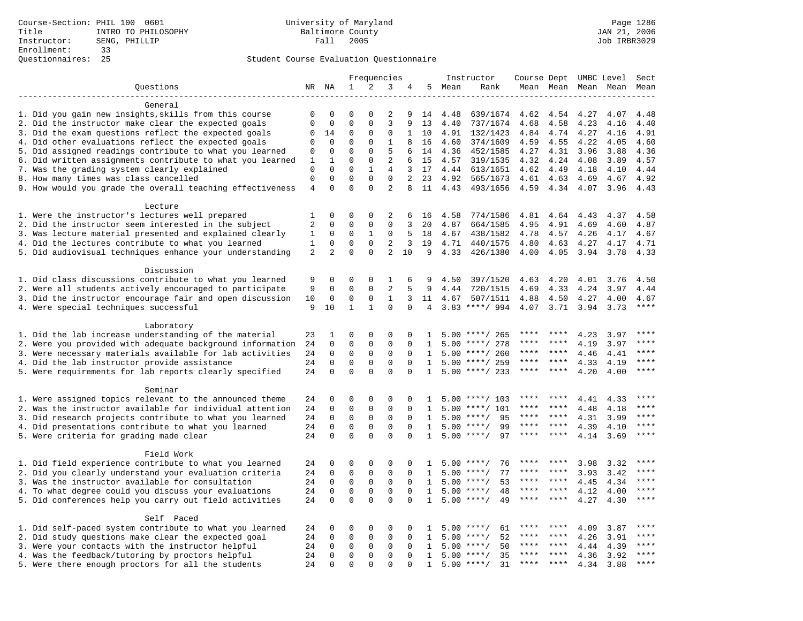|                                                                                                         |                |                | Frequencies  |                         |                | Instructor  |                |              | Course Dept UMBC Level |              | Sect         |              |                     |              |
|---------------------------------------------------------------------------------------------------------|----------------|----------------|--------------|-------------------------|----------------|-------------|----------------|--------------|------------------------|--------------|--------------|--------------|---------------------|--------------|
| Questions                                                                                               |                | NR NA          | $\mathbf 1$  | 2                       | 3              | 4           | 5              | Mean         | Rank                   |              |              |              | Mean Mean Mean Mean | Mean         |
|                                                                                                         |                |                |              |                         |                |             |                |              |                        |              |              |              |                     |              |
| General                                                                                                 |                |                |              |                         |                |             |                |              |                        |              |              |              |                     |              |
| 1. Did you gain new insights, skills from this course                                                   | $\mathbf 0$    | 0              | $\mathbf 0$  | $\Omega$                | 2              | 9           | 14             | 4.48         | 639/1674               | 4.62         | 4.54         | 4.27         | 4.07                | 4.48         |
| 2. Did the instructor make clear the expected goals                                                     | $\mathbf 0$    | $\mathbf 0$    | $\mathbf{0}$ | $\mathbf 0$             | 3              | 9           | 13             | 4.40         | 737/1674               | 4.68         | 4.58         | 4.23         | 4.16                | 4.40         |
| 3. Did the exam questions reflect the expected goals                                                    | $\mathbf 0$    | 14             | $\mathbf 0$  | $\Omega$                | $\Omega$       | 1           | 10             | 4.91         | 132/1423               | 4.84         | 4.74         | 4.27         | 4.16                | 4.91         |
| 4. Did other evaluations reflect the expected goals                                                     | $\mathbf 0$    | $\mathbf 0$    | $\mathbf{0}$ | $\mathbf 0$             | $\mathbf{1}$   | 8           | 16             | 4.60         | 374/1609               | 4.59         | 4.55         | 4.22         | 4.05                | 4.60         |
| 5. Did assigned readings contribute to what you learned                                                 | $\mathbf 0$    | $\mathbf 0$    | $\mathbf{0}$ | $\mathbf 0$             | 5              | 6           | 14             | 4.36         | 452/1585               | 4.27         | 4.31         | 3.96         | 3.88                | 4.36         |
| 6. Did written assignments contribute to what you learned                                               | 1              | 1              | $\mathbf{0}$ | 0                       | 2              | 6           | 15             | 4.57         | 319/1535               | 4.32         | 4.24         | 4.08         | 3.89                | 4.57         |
| 7. Was the grading system clearly explained                                                             | $\mathbf 0$    | $\Omega$       | $\Omega$     | $\mathbf{1}$            | 4              | 3           | 17             | 4.44         | 613/1651               | 4.62         | 4.49         | 4.18         | 4.10                | 4.44         |
| 8. How many times was class cancelled                                                                   | $\mathbf 0$    | $\mathbf 0$    | $\mathbf{0}$ | $\mathbf 0$             | $\Omega$       | 2           | 23             | 4.92         | 565/1673               | 4.61         | 4.63         | 4.69         | 4.67                | 4.92         |
| 9. How would you grade the overall teaching effectiveness                                               | $\overline{4}$ | $\Omega$       | $\Omega$     | $\Omega$                | $\overline{a}$ | 8           | 11             | 4.43         | 493/1656               | 4.59         | 4.34         | 4.07         | 3.96                | 4.43         |
|                                                                                                         |                |                |              |                         |                |             |                |              |                        |              |              |              |                     |              |
| Lecture                                                                                                 |                | 0              | $\mathbf 0$  | $\mathbf 0$             | 2              |             |                |              |                        |              |              |              |                     |              |
| 1. Were the instructor's lectures well prepared<br>2. Did the instructor seem interested in the subject | 1<br>2         | 0              | $\mathbf{0}$ | $\mathbf 0$             | $\mathbf 0$    | 6<br>3      | 16<br>20       | 4.58<br>4.87 | 774/1586<br>664/1585   | 4.81<br>4.95 | 4.64<br>4.91 | 4.43<br>4.69 | 4.37<br>4.60        | 4.58<br>4.87 |
| 3. Was lecture material presented and explained clearly                                                 | 1              | 0              | 0            | 1                       | $\mathbf 0$    | 5           | 18             | 4.67         | 438/1582               | 4.78         | 4.57         | 4.26         | 4.17                | 4.67         |
| 4. Did the lectures contribute to what you learned                                                      | 1              | $\Omega$       | $\Omega$     | $\Omega$                | 2              | 3           | 19             | 4.71         | 440/1575               | 4.80         | 4.63         | 4.27         | 4.17                | 4.71         |
| 5. Did audiovisual techniques enhance your understanding                                                | $\overline{a}$ | $\overline{a}$ | $\mathbf 0$  | $\mathbf 0$             | $\overline{2}$ | 10          | 9              | 4.33         | 426/1380               | 4.00         | 4.05         | 3.94         | 3.78                | 4.33         |
|                                                                                                         |                |                |              |                         |                |             |                |              |                        |              |              |              |                     |              |
| Discussion                                                                                              |                |                |              |                         |                |             |                |              |                        |              |              |              |                     |              |
| 1. Did class discussions contribute to what you learned                                                 | 9              | 0              | $\mathbf 0$  | $\Omega$                | 1              | 6           | 9              | 4.50         | 397/1520               | 4.63         | 4.20         | 4.01         | 3.76                | 4.50         |
| 2. Were all students actively encouraged to participate                                                 | 9              | $\mathbf 0$    | $\mathbf 0$  | $\mathbf 0$             | $\overline{2}$ | 5           | 9              | 4.44         | 720/1515               | 4.69         | 4.33         | 4.24         | 3.97                | 4.44         |
| 3. Did the instructor encourage fair and open discussion                                                | 10             | $\mathbf 0$    | $\mathbf{0}$ | $\mathbf 0$             | $\mathbf{1}$   | 3           | 11             | 4.67         | 507/1511               | 4.88         | 4.50         | 4.27         | 4.00                | 4.67         |
| 4. Were special techniques successful                                                                   | 9              | 10             | $\mathbf{1}$ | $\mathbf{1}$            | $\Omega$       | $\Omega$    | $\overline{4}$ |              | $3.83$ ****/ 994       | 4.07         | 3.71         | 3.94         | 3.73                | $***$        |
|                                                                                                         |                |                |              |                         |                |             |                |              |                        |              |              |              |                     |              |
| Laboratory                                                                                              |                |                |              |                         |                |             |                |              |                        |              |              |              |                     |              |
| 1. Did the lab increase understanding of the material                                                   | 23             | 1              | $\mathbf 0$  | $\mathbf 0$             | $\mathbf 0$    | 0           | -1.            |              | $5.00$ ****/ 265       |              |              | 4.23         | 3.97                |              |
| 2. Were you provided with adequate background information                                               | 24             | $\mathbf 0$    | $\mathbf{0}$ | $\mathbf 0$             | $\mathbf{0}$   | $\Omega$    | 1              | 5.00         | ****/ 278              | ****         | ****         | 4.19         | 3.97                | ****         |
| 3. Were necessary materials available for lab activities                                                | 24             | $\mathbf 0$    | $\mathbf{0}$ | $\mathbf 0$             | $\mathbf{0}$   | $\Omega$    | 1              | 5.00         | ****/ 260              | ****         | ****         | 4.46         | 4.41                | $***$ * * *  |
| 4. Did the lab instructor provide assistance                                                            | 24             | $\mathbf 0$    | $\mathbf{0}$ | $\mathbf 0$             | $\mathbf 0$    | $\mathbf 0$ | 1              | 5.00         | ****/ 259              | ****         | ****         | 4.33         | 4.19                | ****         |
| 5. Were requirements for lab reports clearly specified                                                  | 24             | $\mathbf 0$    | $\mathbf{0}$ | $\Omega$                | $\mathbf 0$    | $\Omega$    | $\mathbf{1}$   | 5.00         | ****/ 233              | ****         | ****         | 4.20         | 4.00                | $* * * *$    |
|                                                                                                         |                |                |              |                         |                |             |                |              |                        |              |              |              |                     |              |
| Seminar                                                                                                 |                |                |              |                         |                |             |                |              |                        |              |              |              |                     |              |
| 1. Were assigned topics relevant to the announced theme                                                 | 24             | 0              | $\mathbf{0}$ | $\mathbf 0$             | $\mathbf 0$    | 0           | -1             | 5.00         | ****/ 103              | ****         | ****         | 4.41         | 4.33                | ****         |
| 2. Was the instructor available for individual attention                                                | 24             | 0              | $\mathbf 0$  | $\mathbf 0$             | $\mathbf{0}$   | $\Omega$    | 1              | 5.00         | $***/101$              | ****         | ****         | 4.48         | 4.18                | $***$        |
| 3. Did research projects contribute to what you learned                                                 | 24             | $\mathbf 0$    | $\mathbf 0$  | $\mathsf 0$             | $\mathsf 0$    | $\mathbf 0$ | 1              | 5.00         | $***$ /<br>95          | ****         | ****         | 4.31         | 3.99                | ****         |
| 4. Did presentations contribute to what you learned                                                     | 24             | $\mathbf 0$    | $\mathbf{0}$ | $\mathbf 0$             | $\mathbf{0}$   | $\Omega$    | 1              | 5.00         | $***$ /<br>99          | $***$ * * *  | ****         | 4.39         | 4.10                | $***$        |
| 5. Were criteria for grading made clear                                                                 | 24             | $\mathbf 0$    | $\mathbf{0}$ | $\Omega$                | $\Omega$       | $\Omega$    | 1              |              | $5.00$ ****/<br>97     | ****         | ****         | 4.14         | 3.69                | ****         |
|                                                                                                         |                |                |              |                         |                |             |                |              |                        |              |              |              |                     |              |
| Field Work                                                                                              |                |                |              |                         |                |             |                |              |                        |              |              |              |                     |              |
| 1. Did field experience contribute to what you learned                                                  | 24             | 0              | $\mathbf 0$  | $\mathbf 0$             | 0              | $\Omega$    | -1.            | 5.00         | $***$ /<br>76          |              |              | 3.98         | 3.32                | * * * *      |
| 2. Did you clearly understand your evaluation criteria                                                  | 24             | $\Omega$       | $\mathbf 0$  | $\Omega$                | $\Omega$       | $\Omega$    | $\mathbf{1}$   | 5.00         | 77<br>$***$ /          | ****         | ****         | 3.93         | 3.42                | $***$        |
| 3. Was the instructor available for consultation                                                        | 24             | $\mathbf 0$    | $\mathsf 0$  | $\mathsf 0$             | $\mathsf 0$    | 0           | 1              | 5.00         | $***/$<br>53           | ****         | $***$        | 4.45         | 4.34                | $***$        |
| 4. To what degree could you discuss your evaluations                                                    | 24             | $\mathbf 0$    | $\mathbf 0$  | $\mathbf 0$             | $\mathbf 0$    | 0           | 1              | 5.00         | $***$ /<br>48          | $***$ * * *  | $***$        | 4.12         | 4.00                | $***$        |
| 5. Did conferences help you carry out field activities                                                  | 24             | $\Omega$       | $\Omega$     | $\Omega$                | $\Omega$       | $\Omega$    | $\mathbf{1}$   | 5.00         | $***$ /<br>49          | ****         | ****         | 4.27         | 4.30                | $***$        |
|                                                                                                         |                |                |              |                         |                |             |                |              |                        |              |              |              |                     |              |
| Self Paced                                                                                              |                |                |              |                         |                |             |                |              | **** /                 | ****         | ****         |              |                     | $***$        |
| 1. Did self-paced system contribute to what you learned                                                 | 24             | 0              | $\mathbf{0}$ | $\mathbf 0$             | $\mathbf{0}$   | $\Omega$    | 1              | 5.00         | 61                     | ****         | $* * * *$    | 4.09         | 3.87                | ****         |
| 2. Did study questions make clear the expected goal                                                     | 24             | $\mathbf 0$    | $\mathbf 0$  | $\mathbf 0$             | $\mathbf{0}$   | $\mathbf 0$ | 1              | 5.00         | $***/$<br>52           | ****         | ****         | 4.26         | 3.91                | ****         |
| 3. Were your contacts with the instructor helpful                                                       | 24             | 0              | $\mathbf 0$  | $\mathbf 0$             | $\mathbf 0$    | 0           | 1              | 5.00         | 50<br>$***/$           |              |              | 4.44         | 4.39                | ****         |
| 4. Was the feedback/tutoring by proctors helpful                                                        | 24             | 0              | $\mathbf 0$  | $\mathbf 0$<br>$\Omega$ | $\mathbf{0}$   | $\Omega$    | 1              | 5.00         | $***/$<br>35           | $***$ * * *  | $***$        | 4.36         | 3.92                | ****         |
| 5. Were there enough proctors for all the students                                                      | 24             | 0              | $\mathbf{0}$ |                         | $\Omega$       |             | 1              |              | $5.00$ ****/<br>31     |              |              | 4.34         | 3.88                |              |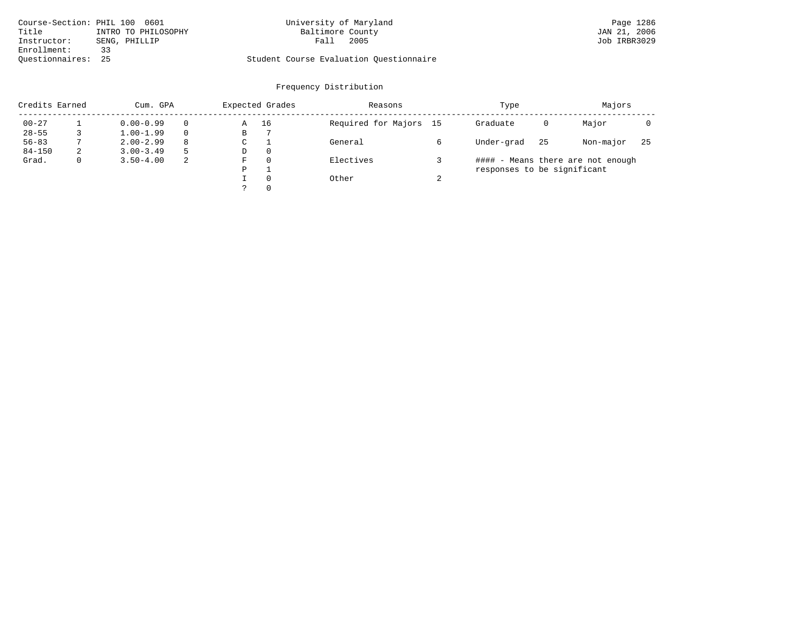| Course-Section: PHIL 100 0601 |                     | University of Maryland                  |
|-------------------------------|---------------------|-----------------------------------------|
| Title                         | INTRO TO PHILOSOPHY | Baltimore County                        |
| Instructor:                   | SENG, PHILLIP       | Fall 2005                               |
| Enrollment:                   | - ર ર               |                                         |
| Ouestionnaires: 25            |                     | Student Course Evaluation Questionnaire |

# sity of Maryland Instructor: T<br>Fall 2005

| Credits Earned |   | Cum. GPA      |          |   | Expected Grades | Reasons                |        | Type                        | Majors |                                   |     |
|----------------|---|---------------|----------|---|-----------------|------------------------|--------|-----------------------------|--------|-----------------------------------|-----|
| $00 - 27$      |   | $0.00 - 0.99$ |          | Α | 16              | Required for Majors 15 |        | Graduate                    | 0      | Major                             |     |
| $28 - 55$      |   | $1.00 - 1.99$ | $\Omega$ | B |                 |                        |        |                             |        |                                   |     |
| $56 - 83$      |   | $2.00 - 2.99$ | 8        | C |                 | General                |        | Under-grad                  | 25     | Non-major                         | -25 |
| $84 - 150$     | 2 | $3.00 - 3.49$ | 5        | D | $\Omega$        |                        |        |                             |        |                                   |     |
| Grad.          |   | $3.50 - 4.00$ | 2        | F | $\Omega$        | Electives              |        |                             |        | #### - Means there are not enough |     |
|                |   |               |          | P |                 |                        |        | responses to be significant |        |                                   |     |
|                |   |               |          |   | $\Omega$        | Other                  | $\sim$ |                             |        |                                   |     |
|                |   |               |          |   | $\Omega$        |                        |        |                             |        |                                   |     |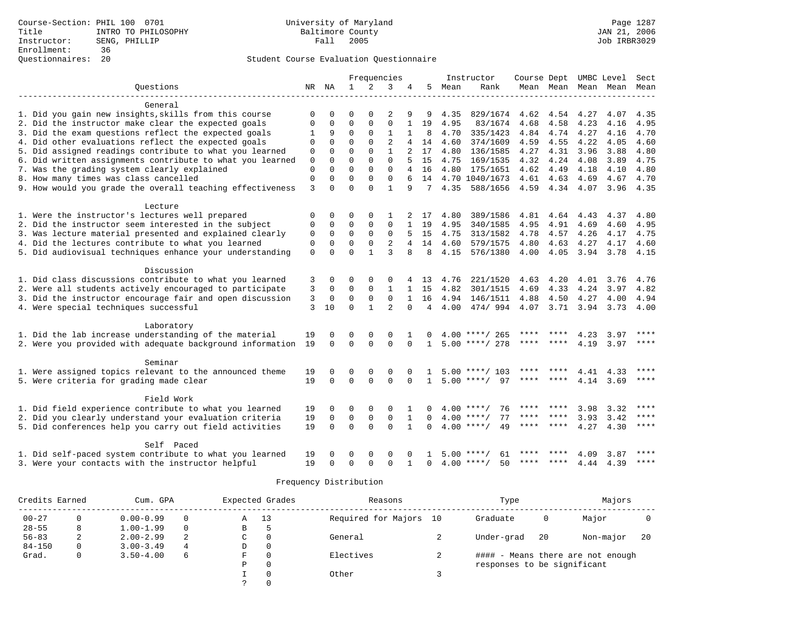|                                                           |                |             |              | Frequencies  |                |              |                |        | Instructor              | Course Dept UMBC Level |                |      |                          | Sect        |
|-----------------------------------------------------------|----------------|-------------|--------------|--------------|----------------|--------------|----------------|--------|-------------------------|------------------------|----------------|------|--------------------------|-------------|
| Ouestions                                                 |                | NR NA       | $\mathbf{1}$ | 2            | 3              | 4            | 5              | Mean   | Rank                    |                        |                |      | Mean Mean Mean Mean Mean |             |
|                                                           |                |             |              |              |                |              |                |        |                         |                        |                |      |                          |             |
| General                                                   |                |             |              |              |                |              |                |        |                         |                        |                |      |                          |             |
| 1. Did you gain new insights, skills from this course     | $\Omega$       | $\Omega$    | $\Omega$     |              |                | 9            | 9              | 4.35   | 829/1674 4.62 4.54 4.27 |                        |                |      | 4.07                     | 4.35        |
| 2. Did the instructor make clear the expected goals       | 0              | 0           | $\Omega$     | $\mathbf{0}$ | 0              |              | 19             | 4.95   | 83/1674                 | 4.68                   | 4.58           | 4.23 | 4.16                     | 4.95        |
| 3. Did the exam questions reflect the expected goals      | 1              | 9           | $\Omega$     | $\Omega$     | $\mathbf{1}$   | $\mathbf{1}$ | 8              | 4.70   | 335/1423                | 4.84                   | 4.74           | 4.27 | 4.16                     | 4.70        |
| 4. Did other evaluations reflect the expected goals       | 0              | $\mathbf 0$ | $\mathbf 0$  | $\Omega$     | $\overline{2}$ |              | 14             | 4.60   | 374/1609                | 4.59                   | 4.55           | 4.22 | 4.05                     | 4.60        |
| 5. Did assigned readings contribute to what you learned   | 0              | $\Omega$    | $\Omega$     | $\Omega$     | $\mathbf{1}$   |              | 17             | 4.80   | 136/1585                | 4.27                   | 4.31           | 3.96 | 3.88                     | 4.80        |
| 6. Did written assignments contribute to what you learned | 0              | $\Omega$    | $\Omega$     | $\Omega$     | $\Omega$       |              | 15             | 4.75   | 169/1535                | 4.32                   | 4.24           | 4.08 | 3.89                     | 4.75        |
| 7. Was the grading system clearly explained               | $\mathbf 0$    | $\Omega$    | $\Omega$     | $\Omega$     | $\Omega$       |              | 4 16           |        | 4.80 175/1651           | 4.62                   | 4.49           | 4.18 | 4.10                     | 4.80        |
| 8. How many times was class cancelled                     | 0              | $\mathbf 0$ | $\mathbf 0$  | $\mathbf{0}$ | $\mathbf 0$    |              |                |        | 14 4.70 1040/1673       | 4.61 4.63              |                | 4.69 | 4.67                     | 4.70        |
| 9. How would you grade the overall teaching effectiveness | $\overline{3}$ | $\Omega$    | $\Omega$     | $\Omega$     | $\mathbf{1}$   | 9            |                | 7 4.35 | 588/1656 4.59 4.34 4.07 |                        |                |      | 3.96 4.35                |             |
| Lecture                                                   |                |             |              |              |                |              |                |        |                         |                        |                |      |                          |             |
| 1. Were the instructor's lectures well prepared           | 0              | 0           | 0            | 0            | 1              |              | 2 17           | 4.80   | 389/1586                | 4.81                   | 4.64           | 4.43 | 4.37                     | 4.80        |
| 2. Did the instructor seem interested in the subject      | 0              | $\mathbf 0$ | 0            | $\Omega$     | $\Omega$       |              | 19             | 4.95   | 340/1585                | 4.95                   | 4.91           | 4.69 | 4.60                     | 4.95        |
| 3. Was lecture material presented and explained clearly   | $\mathbf 0$    | $\mathbf 0$ | $\mathbf 0$  | $\Omega$     | $\Omega$       | 5            | 15             | 4.75   | 313/1582                | 4.78                   | 4.57           | 4.26 | 4.17                     | 4.75        |
| 4. Did the lectures contribute to what you learned        | 0              | $\mathbf 0$ | $\mathbf 0$  | $\mathbf{0}$ | 2              |              | 14             | 4.60   | 579/1575                | 4.80                   | 4.63           | 4.27 | 4.17                     | 4.60        |
| 5. Did audiovisual techniques enhance your understanding  | $\mathbf 0$    | $\Omega$    | $\Omega$     |              | 3              |              | 8              | 4.15   | 576/1380                | 4.00                   | 4.05           | 3.94 | 3.78                     | 4.15        |
| Discussion                                                |                |             |              |              |                |              |                |        |                         |                        |                |      |                          |             |
| 1. Did class discussions contribute to what you learned   | 3              | 0           | $\Omega$     | 0            | 0              |              | 4 13           | 4.76   | 221/1520                | $4.63 \quad 4.20$      |                | 4.01 | 3.76                     | 4.76        |
| 2. Were all students actively encouraged to participate   | 3              | 0           | $\mathbf 0$  | $\mathbf{0}$ | 1              |              | 1 15           | 4.82   | 301/1515                | 4.69                   | 4.33           | 4.24 | 3.97                     | 4.82        |
| 3. Did the instructor encourage fair and open discussion  | 3              | $\mathbf 0$ | $\Omega$     | $\Omega$     | $\Omega$       | 1            | 16             |        | 4.94 146/1511           | 4.88                   | 4.50           | 4.27 | 4.00                     | 4.94        |
| 4. Were special techniques successful                     | 3              | 10          | $\Omega$     | $\mathbf{1}$ | $\overline{2}$ | $\Omega$     | $\overline{4}$ | 4.00   | 474/994                 |                        | 4.07 3.71 3.94 |      |                          | $3.73$ 4.00 |
| Laboratory                                                |                |             |              |              |                |              |                |        |                         |                        |                |      |                          |             |
| 1. Did the lab increase understanding of the material     | 19             | $\Omega$    | 0            | $\Omega$     | $\Omega$       |              | $\Omega$       |        | $4.00$ ****/ 265        |                        |                | 4.23 | 3.97                     |             |
| 2. Were you provided with adequate background information | 19             | $\Omega$    | $\Omega$     | $\Omega$     | $\Omega$       | $\Omega$     | $\mathbf{1}$   |        | $5.00$ ****/ 278        | ****                   | ****           | 4.19 | $3.97$ ****              |             |
| Seminar                                                   |                |             |              |              |                |              |                |        |                         |                        |                |      |                          |             |
| 1. Were assigned topics relevant to the announced theme   | 19             | $\Omega$    | 0            | $\Omega$     | $\Omega$       |              |                |        | $5.00$ ****/ 103        |                        |                | 4.41 | 4.33                     | ****        |
| 5. Were criteria for grading made clear                   | 19             | $\Omega$    | $\Omega$     | $\Omega$     | $\Omega$       | $\Omega$     | $\mathbf{1}$   |        | $5.00$ ****/<br>97      | ****                   |                | 4.14 | 3.69                     | $***$       |
| Field Work                                                |                |             |              |              |                |              |                |        |                         |                        |                |      |                          |             |
| 1. Did field experience contribute to what you learned    | 19             | 0           | 0            | 0            | 0              |              | $\Omega$       |        | $4.00$ ****/<br>76      | **** ****              |                | 3.98 | 3.32                     | ****        |
| 2. Did you clearly understand your evaluation criteria    | 19             | $\mathbf 0$ | $\mathbf 0$  | $\mathbf{0}$ | $\mathbf 0$    | $\mathbf{1}$ | $\Omega$       |        | $4.00$ ****/<br>77      | ****                   | ****           | 3.93 | 3.42                     | $***$       |
| 5. Did conferences help you carry out field activities    | 19             | $\Omega$    | $\Omega$     | $\Omega$     | $\Omega$       | $\mathbf{1}$ | $\Omega$       |        | $4.00$ ****/<br>49      | **** ****              |                | 4.27 | 4.30                     | ****        |
| Self Paced                                                |                |             |              |              |                |              |                |        |                         |                        |                |      |                          |             |
| 1. Did self-paced system contribute to what you learned   | 19             |             | $\Omega$     |              |                |              |                | 5.00   | 61<br>****/             |                        |                | 4.09 | 3.87                     |             |
| 3. Were your contacts with the instructor helpful         | 19             | $\Omega$    | $\Omega$     | $\Omega$     | $\Omega$       |              | $\Omega$       |        | $4.00$ ****/<br>50      | ****                   | ****           | 4.44 | 4.39                     | ****        |

| Credits Earned |              | Cum. GPA      |          |   | Expected Grades | Reasons             |    | Type                        |    |                                   |    |
|----------------|--------------|---------------|----------|---|-----------------|---------------------|----|-----------------------------|----|-----------------------------------|----|
| $00 - 27$      |              | $0.00 - 0.99$ |          | Α | 13              | Required for Majors | 10 | Graduate                    | 0  | Major                             |    |
| $28 - 55$      | 8            | $1.00 - 1.99$ | $\Omega$ | В | 5               |                     |    |                             |    |                                   |    |
| $56 - 83$      | 2            | $2.00 - 2.99$ | 2        | C | $\Omega$        | General             |    | Under-grad                  | 20 | Non-major                         | 20 |
| $84 - 150$     |              | $3.00 - 3.49$ | 4        | D | $\Omega$        |                     |    |                             |    |                                   |    |
| Grad.          | $\mathbf{0}$ | $3.50 - 4.00$ | 6        | F | $\Omega$        | Electives           |    |                             |    | #### - Means there are not enough |    |
|                |              |               |          | P | $\Omega$        |                     |    | responses to be significant |    |                                   |    |
|                |              |               |          |   | $\Omega$        | Other               |    |                             |    |                                   |    |
|                |              |               |          |   |                 |                     |    |                             |    |                                   |    |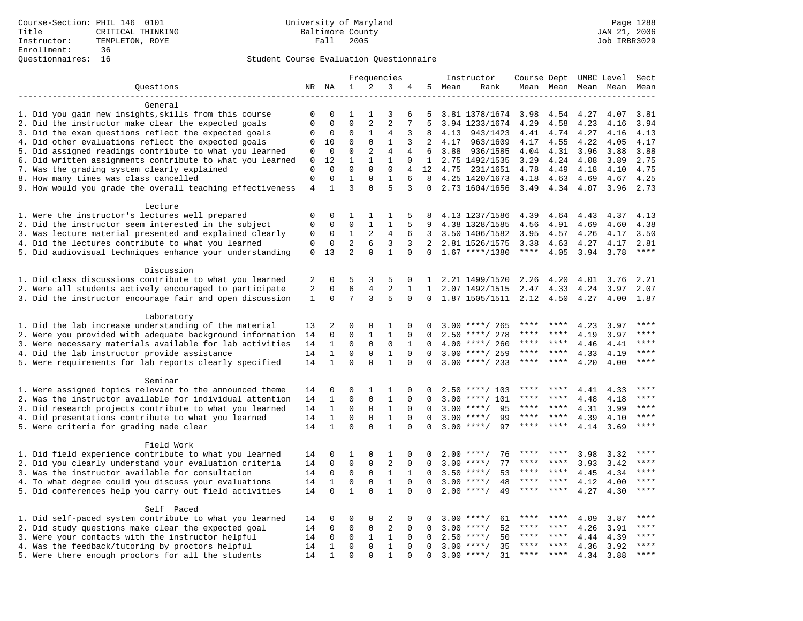# Questionnaires: 16 Student Course Evaluation Questionnaire

|                                                                                                | Frequencies    |                              |                             |                            |                   | Instructor           | Course Dept UMBC Level |              |                            |             | Sect        |                     |              |       |
|------------------------------------------------------------------------------------------------|----------------|------------------------------|-----------------------------|----------------------------|-------------------|----------------------|------------------------|--------------|----------------------------|-------------|-------------|---------------------|--------------|-------|
| Questions                                                                                      |                | NR NA                        | $\mathbf{1}$                | 2                          | 3                 | 4                    | 5                      | Mean         | Rank                       |             |             | Mean Mean Mean Mean |              | Mean  |
|                                                                                                |                |                              |                             |                            |                   |                      |                        |              |                            |             |             |                     |              |       |
| General                                                                                        |                |                              |                             |                            |                   |                      |                        |              |                            |             |             |                     |              |       |
| 1. Did you gain new insights, skills from this course                                          | $\mathbf 0$    | 0                            | 1                           | 1                          | 3                 | 6                    | 5                      |              | 3.81 1378/1674             | 3.98        | 4.54        | 4.27                | 4.07         | 3.81  |
| 2. Did the instructor make clear the expected goals                                            | $\mathbf 0$    | $\mathbf 0$                  | $\mathbf{0}$                | $\overline{2}$             | $\overline{2}$    | 7                    | 5                      |              | 3.94 1233/1674             | 4.29        | 4.58        | 4.23                | 4.16         | 3.94  |
| 3. Did the exam questions reflect the expected goals                                           | 0              | 0                            | 0                           | 1                          | 4                 | 3                    | 8                      | 4.13         | 943/1423                   | 4.41        | 4.74        | 4.27                | 4.16         | 4.13  |
| 4. Did other evaluations reflect the expected goals                                            | 0              | 10                           | $\mathbf 0$                 | $\mathbf 0$                | $\mathbf{1}$      | 3                    | 2                      | 4.17         | 963/1609                   | 4.17        | 4.55        | 4.22                | 4.05         | 4.17  |
| 5. Did assigned readings contribute to what you learned                                        | 0              | 0                            | $\mathbf{0}$                | 2                          | $\overline{4}$    | 4                    | 6                      | 3.88         | 936/1585                   | 4.04        | 4.31        | 3.96                | 3.88         | 3.88  |
| 6. Did written assignments contribute to what you learned                                      | $\mathbf 0$    | 12                           | $\mathbf{1}$                | $\mathbf{1}$               | $\mathbf{1}$      | $\Omega$             |                        |              | 1 2.75 1492/1535           | 3.29        | 4.24        | 4.08                | 3.89         | 2.75  |
| 7. Was the grading system clearly explained                                                    | $\mathbf 0$    | $\Omega$                     | $\Omega$                    | $\Omega$                   | $\mathbf{0}$      | 4                    | 12 <sup>°</sup>        |              | 4.75 231/1651              | 4.78        | 4.49        | 4.18                | 4.10         | 4.75  |
| 8. How many times was class cancelled                                                          | $\mathbf 0$    | $\mathbf 0$                  | $\mathbf{1}$                | $\mathbf 0$                | $\mathbf{1}$      | 6                    | 8                      |              | 4.25 1420/1673             | 4.18        | 4.63        | 4.69                | 4.67         | 4.25  |
| 9. How would you grade the overall teaching effectiveness                                      | $\overline{4}$ | 1                            | $\overline{3}$              | $\Omega$                   | 5                 | 3                    | $\Omega$               |              | 2.73 1604/1656             | 3.49        | 4.34 4.07   |                     | 3.96         | 2.73  |
| Lecture                                                                                        |                |                              |                             |                            |                   |                      |                        |              |                            |             |             |                     |              |       |
| 1. Were the instructor's lectures well prepared                                                | 0              | 0                            | 1                           | 1                          | 1                 | 5                    | 8                      |              | 4.13 1237/1586             | 4.39        | 4.64        | 4.43                | 4.37         | 4.13  |
| 2. Did the instructor seem interested in the subject                                           | $\mathbf 0$    | $\Omega$                     | $\mathbf 0$                 | $\mathbf{1}$               | $\mathbf{1}$      | 5                    | 9                      |              | 4.38 1328/1585             | 4.56        | 4.91        | 4.69                | 4.60         | 4.38  |
| 3. Was lecture material presented and explained clearly                                        | 0              | $\mathbf 0$                  | 1                           | $\mathbf{2}$               | $\overline{4}$    | 6                    | 3                      |              | 3.50 1406/1582             | 3.95        | 4.57        | 4.26                | 4.17         | 3.50  |
| 4. Did the lectures contribute to what you learned                                             | $\mathbf 0$    | $\mathbf 0$                  | $\overline{c}$              | 6                          | 3                 | 3                    | 2                      |              | 2.81 1526/1575             | 3.38        | 4.63        | 4.27                | 4.17         | 2.81  |
| 5. Did audiovisual techniques enhance your understanding                                       | $\mathbf 0$    | 13                           | 2                           | $\Omega$                   | $\mathbf{1}$      | $\Omega$             | $\Omega$               |              | $1.67$ ****/1380           | $***$ * * * | 4.05        | 3.94                | 3.78         | $***$ |
|                                                                                                |                |                              |                             |                            |                   |                      |                        |              |                            |             |             |                     |              |       |
| Discussion                                                                                     |                |                              |                             |                            |                   |                      |                        |              |                            |             |             |                     |              |       |
| 1. Did class discussions contribute to what you learned                                        | 2              | 0                            | 5                           | 3                          | 5                 | 0                    | 1                      |              | 2.21 1499/1520             | 2.26        | 4.20        | 4.01                | 3.76         | 2.21  |
| 2. Were all students actively encouraged to participate                                        | 2              | $\mathbf 0$                  | 6                           | 4                          | $\overline{2}$    | $\mathbf{1}$         | 1                      |              | 2.07 1492/1515             | 2.47        | 4.33        | 4.24                | 3.97         | 2.07  |
| 3. Did the instructor encourage fair and open discussion                                       | $\mathbf{1}$   | 0                            | 7                           | 3                          | 5                 | $\Omega$             | 0                      |              | 1.87 1505/1511             | 2.12        | 4.50        | 4.27                | 4.00         | 1.87  |
| Laboratory                                                                                     |                |                              |                             |                            |                   |                      |                        |              |                            |             |             |                     |              |       |
| 1. Did the lab increase understanding of the material                                          | 13             | 2                            | $\mathbf 0$                 | $\mathbf 0$                | 1                 | 0                    |                        |              | $3.00$ ****/ 265           | ****        |             | 4.23                | 3.97         | ****  |
| 2. Were you provided with adequate background information                                      | 14             | $\mathbf 0$                  | $\mathbf 0$                 | $\mathbf{1}$               | $\mathbf{1}$      | $\mathbf 0$          | $\Omega$               |              | $2.50$ ****/ 278           | ****        | ****        | 4.19                | 3.97         | ****  |
| 3. Were necessary materials available for lab activities                                       | 14             | $\mathbf{1}$                 | $\mathbf 0$                 | $\mathbf 0$                | $\mathsf 0$       | $\mathbf{1}$         | $\Omega$               | 4.00         | ****/ 260                  | ****        | ****        | 4.46                | 4.41         | ****  |
| 4. Did the lab instructor provide assistance                                                   | 14             | $\mathbf{1}$                 | $\mathbf{0}$                | $\mathbf 0$                | $\mathbf{1}$      | $\Omega$             | $\Omega$               | 3.00         | ****/ 259                  | ****        | ****        | 4.33                | 4.19         | $***$ |
| 5. Were requirements for lab reports clearly specified                                         | 14             | $\mathbf{1}$                 | $\mathbf{0}$                | $\Omega$                   | $\mathbf{1}$      | $\Omega$             | $\Omega$               |              | $3.00$ ****/ 233           | ****        | ****        | 4.20                | 4.00         | ****  |
|                                                                                                |                |                              |                             |                            |                   |                      |                        |              |                            |             |             |                     |              |       |
| Seminar                                                                                        |                |                              |                             |                            |                   |                      |                        |              |                            | ****        |             |                     |              | ****  |
| 1. Were assigned topics relevant to the announced theme                                        | 14             | 0                            | $\mathbf{0}$                | 1                          | 1<br>$\mathbf{1}$ | 0                    |                        |              | $2.50$ ****/ 103           | ****        | ****        | 4.41                | 4.33         | ****  |
| 2. Was the instructor available for individual attention                                       | 14             | $\mathbf{1}$<br>$\mathbf{1}$ | $\mathbf{0}$<br>$\mathbf 0$ | $\mathbf 0$<br>$\mathbf 0$ |                   | $\Omega$             | <sup>n</sup>           | 3.00         | $***/101$<br>95<br>$***$ / | ****        | ****        | 4.48                | 4.18         | ****  |
| 3. Did research projects contribute to what you learned                                        | 14             |                              |                             |                            | $\mathbf{1}$      | $\mathbf 0$          | $\Omega$               | 3.00<br>3.00 | $***$ /<br>99              | $***$ * *   | ****        | 4.31                | 3.99         | ****  |
| 4. Did presentations contribute to what you learned<br>5. Were criteria for grading made clear | 14<br>14       | $\mathbf{1}$<br>$\mathbf{1}$ | $\mathbf 0$<br>$\Omega$     | 0<br>$\Omega$              | 1<br>$\mathbf{1}$ | $\Omega$<br>$\Omega$ | $\Omega$<br>$\Omega$   |              | $3.00$ ****/<br>97         | ****        | $* * * * *$ | 4.39<br>4.14        | 4.10<br>3.69 | $***$ |
|                                                                                                |                |                              |                             |                            |                   |                      |                        |              |                            |             |             |                     |              |       |
| Field Work                                                                                     |                |                              |                             |                            |                   |                      |                        |              |                            |             |             |                     |              |       |
| 1. Did field experience contribute to what you learned                                         | 14             | 0                            | 1                           | 0                          | 1                 | 0                    | 0                      |              | $2.00$ ****/<br>76         |             |             | 3.98                | 3.32         | ****  |
| 2. Did you clearly understand your evaluation criteria                                         | 14             | $\mathbf 0$                  | $\mathbf 0$                 | $\mathbf 0$                | 2                 | $\mathbf 0$          | $\Omega$               |              | $3.00$ ****/<br>77         | ****        | $* * * *$   | 3.93                | 3.42         | $***$ |
| 3. Was the instructor available for consultation                                               | 14             | $\mathbf 0$                  | $\mathbf 0$                 | $\mathbf 0$                | $\mathbf{1}$      | $\mathbf{1}$         | $\Omega$               |              | $3.50$ ****/<br>53         | ****        | ****        | 4.45                | 4.34         | ****  |
| 4. To what degree could you discuss your evaluations                                           | 14             | $\mathbf{1}$                 | $\mathbf 0$                 | $\mathbf 0$                | $\mathbf{1}$      | $\Omega$             | $\Omega$               | 3.00         | $***/$<br>48               | ****        | ****        | 4.12                | 4.00         | ****  |
| 5. Did conferences help you carry out field activities                                         |                | $\Omega$                     | $\mathbf{1}$                | $\Omega$                   | $\mathbf{1}$      | $\Omega$             | $\Omega$               |              | $2.00$ ****/<br>49         | ****        | ****        | 4.27                | 4.30         | ****  |
| Self Paced                                                                                     |                |                              |                             |                            |                   |                      |                        |              |                            |             |             |                     |              |       |
| 1. Did self-paced system contribute to what you learned                                        | 14             | 0                            | $\mathbf 0$                 | $\mathbf 0$                | 2                 | $\mathbf 0$          |                        |              | $3.00$ ****/<br>61         |             | ****        | 4.09                | 3.87         | ****  |
| 2. Did study questions make clear the expected goal                                            | 14             | $\Omega$                     | $\mathbf 0$                 | $\mathbf 0$                | $\sqrt{2}$        | $\Omega$             | $\Omega$               | 3.00         | $***/$<br>52               | $***$ * * * | ****        | 4.26                | 3.91         | ****  |
| 3. Were your contacts with the instructor helpful                                              | 14             | 0                            | $\mathbf 0$                 | 1                          | $\mathbf{1}$      | $\Omega$             | $\Omega$               | 2.50         | 50<br>$***/$               | ****        | ****        | 4.44                | 4.39         | ****  |
| 4. Was the feedback/tutoring by proctors helpful                                               | 14             | $\mathbf{1}$                 | $\mathbf{0}$                | $\mathbf 0$                | $\mathbf{1}$      | $\mathbf 0$          | $\mathbf 0$            |              | 35<br>$3.00$ ****/         | ****        | ****        | 4.36                | 3.92         | ****  |
| 5. Were there enough proctors for all the students                                             | 14             | $\mathbf{1}$                 | $\Omega$                    | $\Omega$                   | $\mathbf{1}$      | $\Omega$             | $\Omega$               |              | $3.00$ ****/<br>31         | ****        | $***$ *     | 4.34                | 3.88         | $***$ |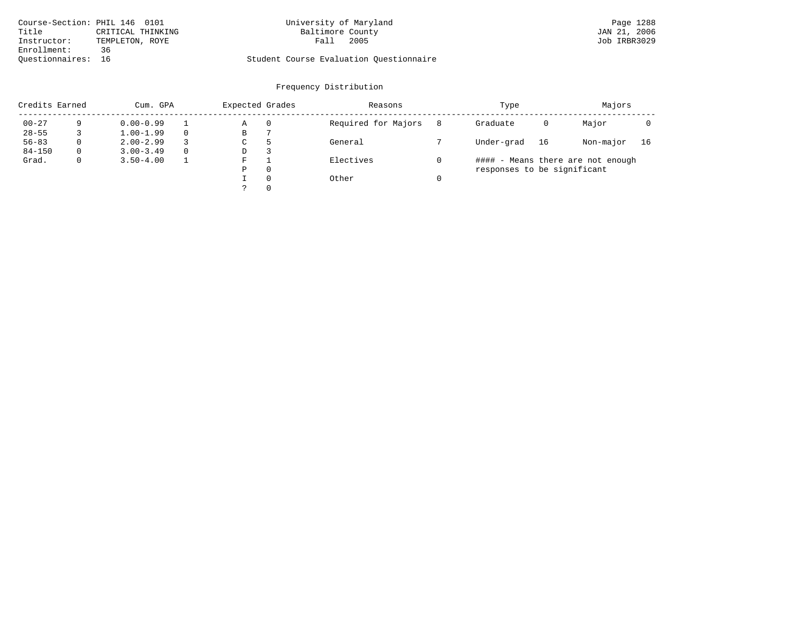| Course-Section: PHIL 146 0101 |                   | University of Maryland                  | Page 1288    |
|-------------------------------|-------------------|-----------------------------------------|--------------|
| Title                         | CRITICAL THINKING | Baltimore County                        | JAN 21, 2006 |
| Instructor:                   | TEMPLETON, ROYE   | 2005<br>Fall                            | Job IRBR3029 |
| Enrollment:                   | 36                |                                         |              |
| Ouestionnaires: 16            |                   | Student Course Evaluation Ouestionnaire |              |

# University of Maryland Page 1288<br>Baltimore County Band Dan 21, 2006

| Credits Earned |             | Cum. GPA      |          |    | Expected Grades | Reasons             |   | Type                        |    | Majors                            |    |
|----------------|-------------|---------------|----------|----|-----------------|---------------------|---|-----------------------------|----|-----------------------------------|----|
| $00 - 27$      |             | $0.00 - 0.99$ |          | Α  | 0               | Required for Majors | 8 | Graduate                    | 0  | Major                             |    |
| $28 - 55$      |             | $1.00 - 1.99$ |          | В  |                 |                     |   |                             |    |                                   |    |
| $56 - 83$      | $\Omega$    | $2.00 - 2.99$ |          | C. |                 | General             |   | Under-grad                  | 16 | Non-major                         | 16 |
| $84 - 150$     | $\Omega$    | $3.00 - 3.49$ | $\Omega$ | D  |                 |                     |   |                             |    |                                   |    |
| Grad.          | $\mathbf 0$ | $3.50 - 4.00$ |          | F  |                 | Electives           |   |                             |    | #### - Means there are not enough |    |
|                |             |               |          | Ρ  | $\Omega$        |                     |   | responses to be significant |    |                                   |    |
|                |             |               |          |    | $\Omega$        | Other               |   |                             |    |                                   |    |
|                |             |               |          |    | $\Omega$        |                     |   |                             |    |                                   |    |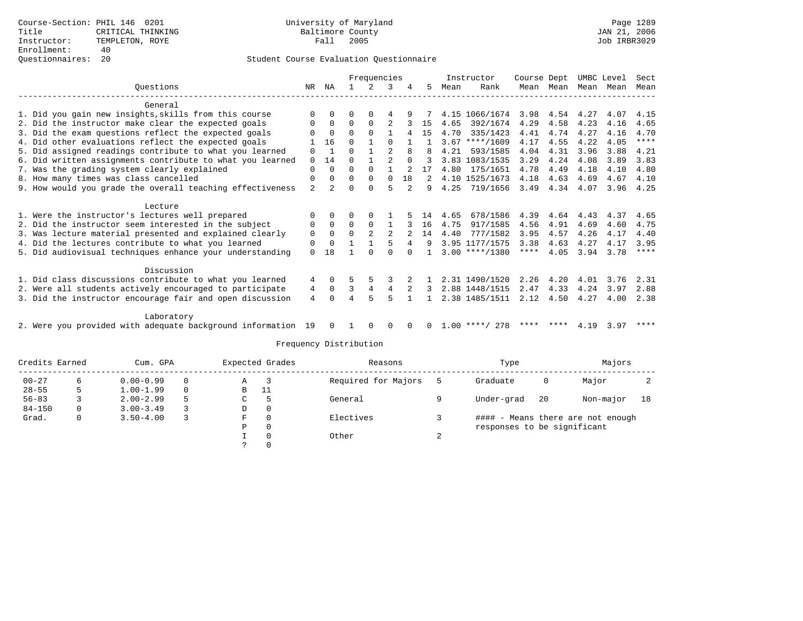|                                                              |                | Frequencies    |                |               |                |          | Instructor    | Course Dept |                  | UMBC Level |           | Sect |      |             |
|--------------------------------------------------------------|----------------|----------------|----------------|---------------|----------------|----------|---------------|-------------|------------------|------------|-----------|------|------|-------------|
| Ouestions                                                    | NR             | NA             |                | $\mathcal{L}$ | 3              | 4        | 5.            | Mean        | Rank             |            | Mean Mean | Mean | Mean | Mean        |
| General                                                      |                |                |                |               |                |          |               |             |                  |            |           |      |      |             |
| 1. Did you gain new insights, skills from this course        | $\Omega$       | $\Omega$       | O              | $\Omega$      | 4              | 9        |               |             | 4.15 1066/1674   | 3.98       | 4.54      | 4.27 | 4.07 | 4.15        |
| 2. Did the instructor make clear the expected goals          | 0              | $\Omega$       | $\Omega$       | $\Omega$      | 2              |          | 15            | 4.65        | 392/1674         | 4.29       | 4.58      | 4.23 | 4.16 | 4.65        |
| 3. Did the exam questions reflect the expected goals         | $\Omega$       | $\Omega$       | $\Omega$       | $\Omega$      |                |          | 15            | 4.70        | 335/1423         | 4.41       | 4.74      | 4.27 | 4.16 | 4.70        |
| 4. Did other evaluations reflect the expected goals          |                | 16             | $\cap$         |               | ∩              |          |               |             | $3.67$ ****/1609 | 4.17       | 4.55      | 4.22 | 4.05 | ****        |
| 5. Did assigned readings contribute to what you learned      | $\mathbf 0$    | $\mathbf{1}$   | $\Omega$       |               | $\mathfrak{D}$ | 8        |               | 4.21        | 593/1585         | 4.04       | 4.31      | 3.96 | 3.88 | 4.21        |
| 6. Did written assignments contribute to what you learned    | $\mathbf 0$    | 14             | $\Omega$       |               | $\mathfrak{D}$ | $\Omega$ | 3             |             | 3.83 1083/1535   | 3.29       | 4.24      | 4.08 | 3.89 | 3.83        |
| 7. Was the grading system clearly explained                  | $\Omega$       | $\Omega$       | $\Omega$       | $\Omega$      |                |          | 17            | 4.80        | 175/1651         | 4.78       | 4.49      | 4.18 | 4.10 | 4.80        |
| 8. How many times was class cancelled                        | $\mathbf 0$    | $\Omega$       | $\Omega$       | $\Omega$      | $\Omega$       | 18       | $\mathcal{L}$ |             | 4.10 1525/1673   | 4.18       | 4.63      | 4.69 | 4.67 | 4.10        |
| 9. How would you grade the overall teaching effectiveness    | $\overline{a}$ | $\mathfrak{D}$ | $\Omega$       | $\Omega$      | 5              | $2^{1}$  | 9             | 4.25        | 719/1656         | 3.49       | 4.34      | 4.07 | 3.96 | 4.25        |
| Lecture                                                      |                |                |                |               |                |          |               |             |                  |            |           |      |      |             |
| 1. Were the instructor's lectures well prepared              |                | $\Omega$       | 0              | $\Omega$      |                |          | 14            | 4.65        | 678/1586         | 4.39       | 4.64      | 4.43 | 4.37 | 4.65        |
| 2. Did the instructor seem interested in the subject         | 0              | $\Omega$       | $\Omega$       | $\Omega$      |                |          | 16            | 4.75        | 917/1585         | 4.56       | 4.91      | 4.69 | 4.60 | 4.75        |
| 3. Was lecture material presented and explained clearly      | $\mathbf 0$    | $\Omega$       | $\Omega$       |               |                |          | 14            | 4.40        | 777/1582         | 3.95       | 4.57      | 4.26 | 4.17 | 4.40        |
| 4. Did the lectures contribute to what you learned           | $\Omega$       | $\Omega$       |                |               | 5              | 4        | 9             |             | 3.95 1177/1575   | 3.38       | 4.63      | 4.27 | 4.17 | 3.95        |
| 5. Did audiovisual techniques enhance your understanding     | $\Omega$       | 18             |                | $\cap$        | O              |          |               |             | $3.00$ ****/1380 | $***$ * *  | 4.05      | 3.94 | 3.78 | $* * * * *$ |
|                                                              |                |                |                |               |                |          |               |             |                  |            |           |      |      |             |
| Discussion                                                   |                |                |                |               |                |          |               |             |                  |            |           |      |      |             |
| 1. Did class discussions contribute to what you learned      | 4              | $\Omega$       |                |               |                |          |               |             | 2.31 1490/1520   | 2.26       | 4.20      | 4.01 | 3.76 | 2.31        |
| 2. Were all students actively encouraged to participate      | 4              | $\Omega$       | 3              | 4             | 4              |          | 3             |             | 2.88 1448/1515   | 2.47       | 4.33      | 4.24 | 3.97 | 2.88        |
| 3. Did the instructor encourage fair and open discussion     | 4              | $\Omega$       | $\overline{4}$ |               | 5              |          |               |             | 2.38 1485/1511   | 2.12       | 4.50      | 4.27 | 4.00 | 2.38        |
| Laboratory                                                   |                |                |                |               |                |          |               |             |                  |            |           |      |      |             |
| 2. Were you provided with adequate background information 19 |                | 0              |                | $\Omega$      | $\Omega$       |          |               |             | $1.00$ ****/ 278 |            | **** **** | 4.19 | 3.97 | ****        |

| Credits Earned |   | Cum. GPA      |          |    | Expected Grades | Reasons             | Type                        |    | Majors                            |    |
|----------------|---|---------------|----------|----|-----------------|---------------------|-----------------------------|----|-----------------------------------|----|
| $00 - 27$      | 6 | $0.00 - 0.99$ | $\Omega$ | A  |                 | Required for Majors | Graduate                    | 0  | Major                             |    |
| $28 - 55$      |   | $1.00 - 1.99$ | $\Omega$ | B  | 11              |                     |                             |    |                                   |    |
| $56 - 83$      |   | $2.00 - 2.99$ |          | C  |                 | General             | Under-grad                  | 20 | Non-major                         | 18 |
| $84 - 150$     | 0 | $3.00 - 3.49$ |          | D  | 0               |                     |                             |    |                                   |    |
| Grad.          | 0 | $3.50 - 4.00$ |          | F. | $\Omega$        | Electives           |                             |    | #### - Means there are not enough |    |
|                |   |               |          | Ρ  | $\Omega$        |                     | responses to be significant |    |                                   |    |
|                |   |               |          |    |                 | Other               |                             |    |                                   |    |
|                |   |               |          |    |                 |                     |                             |    |                                   |    |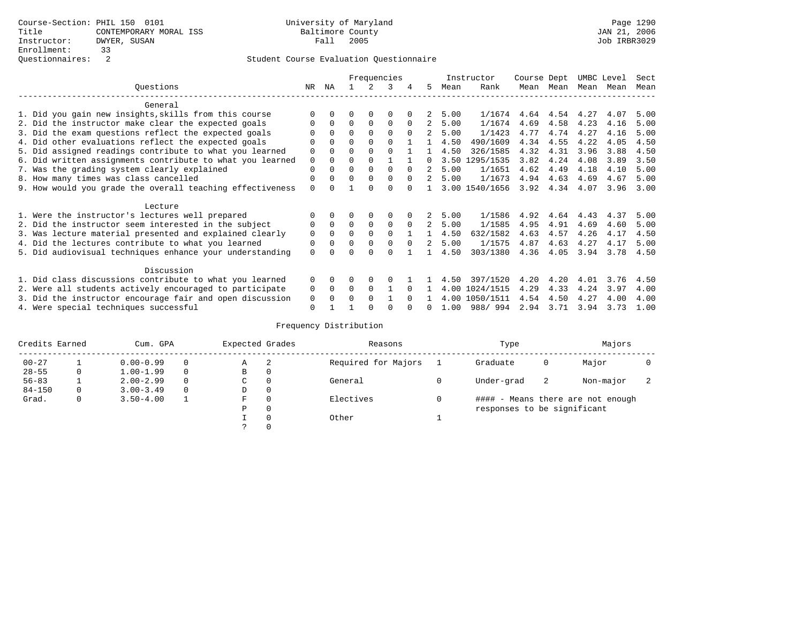|                                                           |          |          |          |             | Frequencies  |          |               |      | Instructor     | Course Dept |      | UMBC Level |      | Sect |
|-----------------------------------------------------------|----------|----------|----------|-------------|--------------|----------|---------------|------|----------------|-------------|------|------------|------|------|
| Questions                                                 | NR.      | ΝA       |          |             | 3            | 4        | 5.            | Mean | Rank           | Mean        | Mean | Mean       | Mean | Mean |
| General                                                   |          |          |          |             |              |          |               |      |                |             |      |            |      |      |
| 1. Did you gain new insights, skills from this course     |          | $\Omega$ | O        | $\Omega$    | $\Omega$     |          |               | 5.00 | 1/1674         | 4.64        | 4.54 | 4.27       | 4.07 | 5.00 |
| 2. Did the instructor make clear the expected goals       |          | $\Omega$ | $\Omega$ | $\Omega$    | $\Omega$     | $\Omega$ | 2             | 5.00 | 1/1674         | 4.69        | 4.58 | 4.23       | 4.16 | 5.00 |
| 3. Did the exam questions reflect the expected goals      |          | $\Omega$ | $\Omega$ | $\Omega$    | $\Omega$     | $\Omega$ |               | 5.00 | 1/1423         | 4.77        | 4.74 | 4.27       | 4.16 | 5.00 |
| 4. Did other evaluations reflect the expected goals       | O        | $\Omega$ | O        | $\Omega$    | $\Omega$     |          |               | 4.50 | 490/1609       | 4.34        | 4.55 | 4.22       | 4.05 | 4.50 |
| 5. Did assigned readings contribute to what you learned   | 0        | $\Omega$ | O        | $\Omega$    | $\Omega$     |          |               | 4.50 | 326/1585       | 4.32        | 4.31 | 3.96       | 3.88 | 4.50 |
| 6. Did written assignments contribute to what you learned | 0        | $\Omega$ | O        | $\Omega$    |              |          | <sup>n</sup>  |      | 3.50 1295/1535 | 3.82        | 4.24 | 4.08       | 3.89 | 3.50 |
| 7. Was the grading system clearly explained               | 0        |          |          | $\Omega$    | <sup>0</sup> | $\Omega$ |               | 5.00 | 1/1651         | 4.62        | 4.49 | 4.18       | 4.10 | 5.00 |
| 8. How many times was class cancelled                     | $\Omega$ | $\Omega$ | 0        | $\Omega$    | 0            | $\Omega$ | $2^{\circ}$   | 5.00 | 1/1673         | 4.94        | 4.63 | 4.69       | 4.67 | 5.00 |
| 9. How would you grade the overall teaching effectiveness | $\Omega$ |          |          |             | U            |          |               |      | 3.00 1540/1656 | 3.92        | 4.34 | 4.07       | 3.96 | 3.00 |
| Lecture                                                   |          |          |          |             |              |          |               |      |                |             |      |            |      |      |
| 1. Were the instructor's lectures well prepared           |          |          |          | $\Omega$    | $\Omega$     |          |               | 5.00 | 1/1586         | 4.92        | 4.64 | 4.43       | 4.37 | 5.00 |
| 2. Did the instructor seem interested in the subject      | 0        | $\Omega$ | $\Omega$ | $\mathbf 0$ | 0            | $\Omega$ | 2             | 5.00 | 1/1585         | 4.95        | 4.91 | 4.69       | 4.60 | 5.00 |
| 3. Was lecture material presented and explained clearly   | 0        | $\Omega$ | 0        | $\Omega$    | $\Omega$     |          |               | 4.50 | 632/1582       | 4.63        | 4.57 | 4.26       | 4.17 | 4.50 |
| 4. Did the lectures contribute to what you learned        | 0        | 0        | O        | $\mathbf 0$ | $\Omega$     | $\Omega$ | $\mathcal{L}$ | 5.00 | 1/1575         | 4.87        | 4.63 | 4.27       | 4.17 | 5.00 |
| 5. Did audiovisual techniques enhance your understanding  | $\Omega$ |          |          |             |              |          |               | 4.50 | 303/1380       | 4.36        | 4.05 | 3.94       | 3.78 | 4.50 |
| Discussion                                                |          |          |          |             |              |          |               |      |                |             |      |            |      |      |
| 1. Did class discussions contribute to what you learned   | $\Omega$ | $\Omega$ | U        | $\Omega$    | O            |          |               | 4.50 | 397/1520       | 4.20        | 4.20 | 4.01       | 3.76 | 4.50 |
| 2. Were all students actively encouraged to participate   | 0        | $\Omega$ | $\Omega$ | $\Omega$    |              |          |               | 4.00 | 1024/1515      | 4.29        | 4.33 | 4.24       | 3.97 | 4.00 |
| 3. Did the instructor encourage fair and open discussion  | 0        |          | U        | $\Omega$    |              |          |               |      | 4.00 1050/1511 | 4.54        | 4.50 | 4.27       | 4.00 | 4.00 |
| 4. Were special techniques successful                     | $\Omega$ |          |          |             |              |          |               | 1.00 | 988/994        | 2.94        | 3.71 | 3.94       | 3.73 | 1.00 |

| Credits Earned |   | Cum. GPA      |   |             | Expected Grades | Reasons             | Type                        |    | Majors                            |                          |
|----------------|---|---------------|---|-------------|-----------------|---------------------|-----------------------------|----|-----------------------------------|--------------------------|
| $00 - 27$      |   | $0.00 - 0.99$ |   | Α           | -2              | Required for Majors | Graduate                    | 0  | Major                             |                          |
| $28 - 55$      | 0 | $1.00 - 1.99$ |   | B           | 0               |                     |                             |    |                                   |                          |
| $56 - 83$      |   | $2.00 - 2.99$ | 0 | $\sim$<br>◡ | $\Omega$        | General             | Under-grad                  | -2 | Non-major                         | $\overline{\phantom{a}}$ |
| $84 - 150$     | 0 | $3.00 - 3.49$ |   | D           | 0               |                     |                             |    |                                   |                          |
| Grad.          | 0 | $3.50 - 4.00$ |   | F           | 0               | Electives           |                             |    | #### - Means there are not enough |                          |
|                |   |               |   | Ρ           | 0               |                     | responses to be significant |    |                                   |                          |
|                |   |               |   |             | 0               | Other               |                             |    |                                   |                          |
|                |   |               |   | C.          |                 |                     |                             |    |                                   |                          |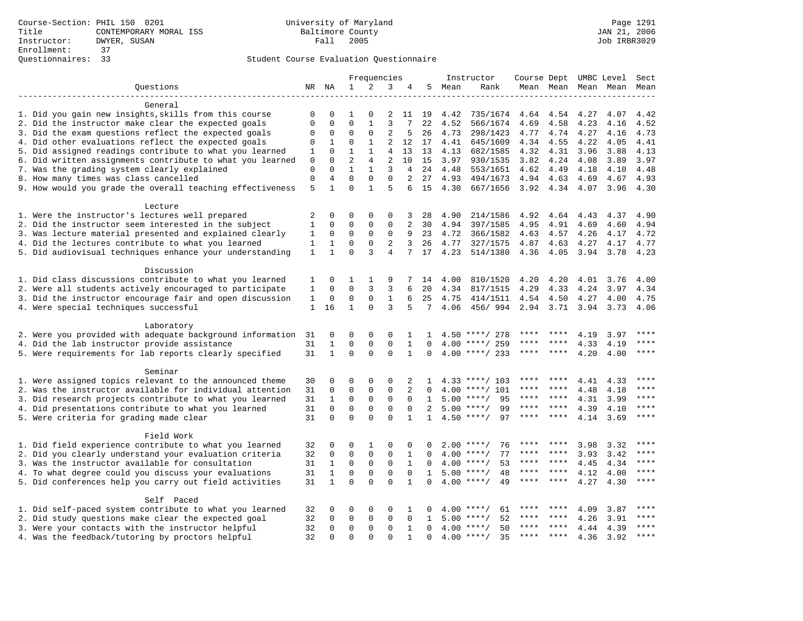|                                                           |              |                |                | Frequencies  |                |              |              |        | Instructor         | Course Dept UMBC Level |                |      |                          | Sect        |
|-----------------------------------------------------------|--------------|----------------|----------------|--------------|----------------|--------------|--------------|--------|--------------------|------------------------|----------------|------|--------------------------|-------------|
| Questions                                                 |              | NR NA          | $\mathbf{1}$   | 2            | 3              | 4            |              | 5 Mean | Rank               |                        |                |      | Mean Mean Mean Mean Mean |             |
|                                                           |              |                |                |              |                |              |              |        |                    |                        |                |      |                          |             |
| General                                                   |              |                |                |              |                |              |              |        |                    |                        |                |      |                          |             |
| 1. Did you gain new insights, skills from this course     | $\Omega$     | $\Omega$       | 1              | $\Omega$     | 2              | 11           | 19           | 4.42   | 735/1674           | 4.64                   | 4.54           | 4.27 | 4.07                     | 4.42        |
| 2. Did the instructor make clear the expected goals       | $\Omega$     | 0              | $\Omega$       | 1            | 3              | 7            | 22           | 4.52   | 566/1674           | 4.69                   | 4.58           | 4.23 | 4.16                     | 4.52        |
| 3. Did the exam questions reflect the expected goals      | 0            | 0              | $\Omega$       | 0            | 2              | 5            | 26           | 4.73   | 298/1423           | 4.77                   | 4.74           | 4.27 | 4.16                     | 4.73        |
| 4. Did other evaluations reflect the expected goals       | 0            | 1              | $\Omega$       | 1            | 2              | 12           | 17           | 4.41   | 645/1609           | 4.34                   | 4.55           | 4.22 | 4.05                     | 4.41        |
| 5. Did assigned readings contribute to what you learned   | 1            | $\Omega$       | 1              | $\mathbf{1}$ | 4              | 13           | 13           | 4.13   | 682/1585           | 4.32                   | 4.31           | 3.96 | 3.88                     | 4.13        |
| 6. Did written assignments contribute to what you learned | 0            | $\Omega$       | $\overline{2}$ | 4            | $\overline{2}$ | 10           | 15           | 3.97   | 930/1535           | 3.82                   | 4.24           | 4.08 | 3.89                     | 3.97        |
| 7. Was the grading system clearly explained               | $\mathbf 0$  | $\Omega$       | $\mathbf{1}$   | $\mathbf{1}$ | 3              | 4            | 24           | 4.48   | 553/1651           | 4.62                   | 4.49           | 4.18 | 4.10                     | 4.48        |
| 8. How many times was class cancelled                     | $\mathsf 0$  | $\overline{4}$ | $\mathbf 0$    | $\mathbf 0$  | $\mathbf 0$    | 2            | 27           | 4.93   | 494/1673           | 4.94                   | 4.63           | 4.69 | 4.67                     | 4.93        |
| 9. How would you grade the overall teaching effectiveness | 5            | $\mathbf{1}$   | $\Omega$       | $\mathbf{1}$ | 5              | 6            | 15           | 4.30   | 667/1656           | 3.92 4.34              |                | 4.07 | 3.96                     | 4.30        |
|                                                           |              |                |                |              |                |              |              |        |                    |                        |                |      |                          |             |
| Lecture                                                   |              |                |                |              |                |              |              |        |                    |                        |                |      |                          |             |
| 1. Were the instructor's lectures well prepared           | 2            | 0              | $\Omega$       | $\Omega$     | $\mathbf 0$    | 3            | 28           | 4.90   | 214/1586           | 4.92                   | 4.64           | 4.43 | 4.37                     | 4.90        |
| 2. Did the instructor seem interested in the subject      | 1            | 0              | $\mathbf 0$    | 0            | $\mathbf 0$    | 2            | 30           | 4.94   | 397/1585           | 4.95                   | 4.91           | 4.69 | 4.60                     | 4.94        |
| 3. Was lecture material presented and explained clearly   | 1            | 0              | 0              | 0            | $\mathsf 0$    | 9            | 23           | 4.72   | 366/1582           | 4.63                   | 4.57           | 4.26 | 4.17                     | 4.72        |
| 4. Did the lectures contribute to what you learned        | 1            | 1              | 0              | 0            | 2              | 3            | 26           | 4.77   | 327/1575           | 4.87                   | 4.63           | 4.27 | 4.17                     | 4.77        |
| 5. Did audiovisual techniques enhance your understanding  | $\mathbf{1}$ | $\mathbf{1}$   | 0              | 3            | $\overline{4}$ | 7            | 17           | 4.23   | 514/1380           | 4.36                   | 4.05           | 3.94 | 3.78                     | 4.23        |
|                                                           |              |                |                |              |                |              |              |        |                    |                        |                |      |                          |             |
| Discussion                                                |              |                |                |              |                |              |              |        |                    |                        |                |      |                          |             |
| 1. Did class discussions contribute to what you learned   | 1            | 0              | 1              | 1            | 9              |              | 14           | 4.00   | 810/1520           | 4.20                   | 4.20           | 4.01 | 3.76                     | 4.00        |
| 2. Were all students actively encouraged to participate   | 1            | 0              | $\Omega$       | 3            | 3              | 6            | 20           | 4.34   | 817/1515           | 4.29                   | 4.33           | 4.24 | 3.97                     | 4.34        |
| 3. Did the instructor encourage fair and open discussion  | 1            | 0              | $\mathbf 0$    | $\mathbf 0$  | $\mathbf{1}$   | 6            | 25           | 4.75   | 414/1511           | 4.54                   | 4.50           | 4.27 | 4.00                     | 4.75        |
| 4. Were special techniques successful                     | 1            | 16             | $\mathbf{1}$   | $\Omega$     | 3              | 5            | 7            | 4.06   | 456/ 994           |                        | 2.94 3.71 3.94 |      | 3.73                     | 4.06        |
|                                                           |              |                |                |              |                |              |              |        |                    |                        |                |      |                          |             |
| Laboratory                                                |              |                |                |              |                |              |              |        |                    |                        |                |      |                          |             |
| 2. Were you provided with adequate background information | 31           | 0              | 0              | $\Omega$     | $\mathbf 0$    | 1            | 1            | 4.50   | ****/ 278          | ****                   | ****           | 4.19 | 3.97                     | ****        |
| 4. Did the lab instructor provide assistance              | 31           | $\mathbf{1}$   | $\Omega$       | $\mathbf 0$  | $\mathbf 0$    | $\mathbf{1}$ | $\Omega$     | 4.00   | ****/ 259          | ****                   |                | 4.33 | 4.19                     | $***$       |
| 5. Were requirements for lab reports clearly specified    | 31           | $\mathbf{1}$   | $\Omega$       | $\Omega$     | $\Omega$       | $\mathbf{1}$ | $\Omega$     | 4.00   | ****/ 233          | ****                   | $* * * * *$    | 4.20 | 4.00                     | ****        |
|                                                           |              |                |                |              |                |              |              |        |                    |                        |                |      |                          |             |
| Seminar                                                   |              |                |                |              |                |              |              |        |                    |                        |                |      |                          |             |
| 1. Were assigned topics relevant to the announced theme   | 30           | 0              | 0              | $\Omega$     | $\Omega$       | 2            | ı.           |        | $4.33$ ****/ 103   |                        |                | 4.41 | 4.33                     |             |
| 2. Was the instructor available for individual attention  | 31           | $\mathbf 0$    | $\mathbf 0$    | 0            | $\mathsf 0$    | 2            | 0            | 4.00   | ****/ 101          |                        |                | 4.48 | 4.18                     |             |
| 3. Did research projects contribute to what you learned   | 31           | $\mathbf{1}$   | $\mathbf 0$    | $\mathbf 0$  | $\mathbf 0$    | $\Omega$     | 1            | 5.00   | $***/$<br>95       | ****                   | ****           | 4.31 | 3.99                     | ****        |
|                                                           | 31           | 0              | $\mathbf{0}$   | $\Omega$     | $\mathbf 0$    | $\mathbf 0$  | 2            | 5.00   | 99<br>$***/$       | ****                   | ****           | 4.39 | 4.10                     | ****        |
| 4. Did presentations contribute to what you learned       |              | $\Omega$       | $\Omega$       | $\Omega$     | $\Omega$       | $\mathbf{1}$ |              |        | $4.50$ ****/<br>97 | ****                   | $* * * * *$    |      |                          | $***$       |
| 5. Were criteria for grading made clear                   | 31           |                |                |              |                |              | $\mathbf{1}$ |        |                    |                        |                | 4.14 | 3.69                     |             |
| Field Work                                                |              |                |                |              |                |              |              |        |                    |                        |                |      |                          |             |
|                                                           |              |                |                |              | $\Omega$       |              |              |        | $2.00$ ****/       | ****                   | ****           |      |                          | ****        |
| 1. Did field experience contribute to what you learned    | 32           | 0              | $\mathbf 0$    | 1            |                | 0            | 0            |        | 76                 | ****                   | ****           | 3.98 | 3.32                     | ****        |
| 2. Did you clearly understand your evaluation criteria    | 32           | 0              | 0              | 0            | 0              | 1            | 0            | 4.00   | $***$ /<br>77      | ****                   | $* * * * *$    | 3.93 | 3.42                     | ****        |
| 3. Was the instructor available for consultation          | 31           | $1\,$          | $\mathbf 0$    | 0            | $\mathsf 0$    | 1            | 0            |        | $4.00$ ****/<br>53 |                        |                | 4.45 | 4.34                     |             |
| 4. To what degree could you discuss your evaluations      | 31           | 1              | $\mathbf 0$    | $\mathbf 0$  | $\mathbf 0$    | $\Omega$     | $\mathbf{1}$ |        | $5.00$ ****/<br>48 | ****                   | ****           | 4.12 | 4.00                     | ****        |
| 5. Did conferences help you carry out field activities    | 31           | $\mathbf{1}$   | $\Omega$       | $\Omega$     | $\Omega$       | $\mathbf{1}$ | $\Omega$     |        | $4.00$ ****/<br>49 | $***$ * *              | $***$ *        | 4.27 | 4.30                     | $***$       |
|                                                           |              |                |                |              |                |              |              |        |                    |                        |                |      |                          |             |
| Self Paced                                                |              |                |                |              |                |              |              |        |                    | ****                   | ****           |      |                          | ****        |
| 1. Did self-paced system contribute to what you learned   | 32           | 0              | 0              | $\Omega$     | $\Omega$       | 1            | 0            | 4.00   | 61<br>$***$ /      |                        | ****           | 4.09 | 3.87                     | ****        |
| 2. Did study questions make clear the expected goal       | 32           | 0              | $\Omega$       | 0            | $\mathbf 0$    | $\mathbf 0$  | $\mathbf{1}$ | 5.00   | 52<br>$***$ /      |                        | ****           | 4.26 | 3.91                     | $***$       |
| 3. Were your contacts with the instructor helpful         | 32           | 0              | $\mathbf{0}$   | 0            | $\mathbf 0$    | $\mathbf{1}$ | 0            |        | $4.00$ ****/<br>50 |                        | $***$          | 4.44 | 4.39                     | $***$ * * * |
| 4. Was the feedback/tutoring by proctors helpful          | 32           | $\Omega$       | $\Omega$       | $\Omega$     | $\Omega$       |              | $\Omega$     |        | 35<br>$4.00$ ****/ |                        |                | 4.36 | 3.92                     |             |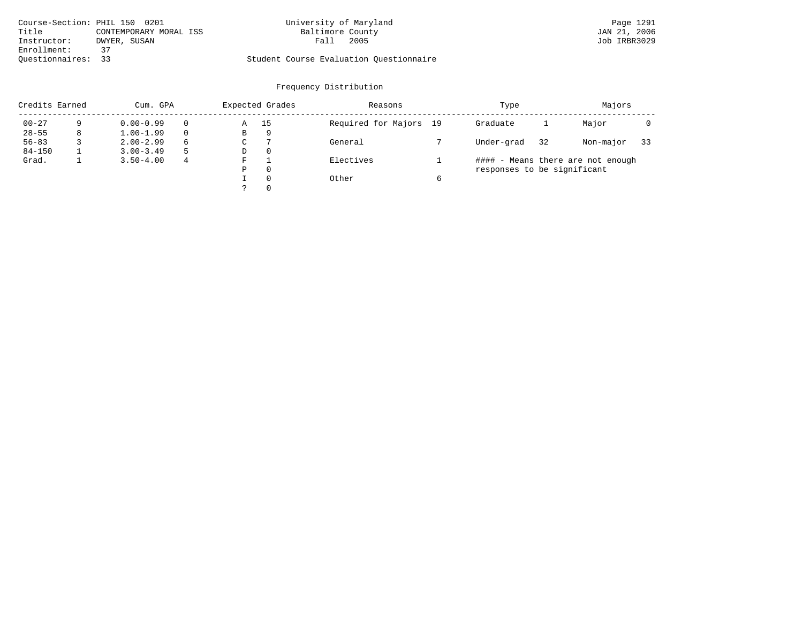| Course-Section: PHIL 150 0201 |                        | University of Maryland                  | Page 1291    |
|-------------------------------|------------------------|-----------------------------------------|--------------|
| Title                         | CONTEMPORARY MORAL ISS | Baltimore County                        | JAN 21, 2006 |
| DWYER, SUSAN<br>Instructor:   | Fall                   | 2005                                    | Job IRBR3029 |
| Enrollment:<br>37             |                        |                                         |              |
| Ouestionnaires: 33            |                        | Student Course Evaluation Questionnaire |              |

| Credits Earned |   | Cum. GPA      |    |             | Expected Grades | Reasons                |   | Type                        |    | Majors                            |    |
|----------------|---|---------------|----|-------------|-----------------|------------------------|---|-----------------------------|----|-----------------------------------|----|
| $00 - 27$      | 9 | $0.00 - 0.99$ |    | Α           | 15              | Required for Majors 19 |   | Graduate                    |    | Major                             |    |
| $28 - 55$      | 8 | $1.00 - 1.99$ |    | B           | 9               |                        |   |                             |    |                                   |    |
| $56 - 83$      |   | $2.00 - 2.99$ | 6  | $\sim$<br>◡ |                 | General                |   | Under-grad                  | 32 | Non-major                         | 33 |
| $84 - 150$     |   | $3.00 - 3.49$ | -5 | D           | 0               |                        |   |                             |    |                                   |    |
| Grad.          |   | $3.50 - 4.00$ | 4  | F           |                 | Electives              |   |                             |    | #### - Means there are not enough |    |
|                |   |               |    | Ρ           | 0               |                        |   | responses to be significant |    |                                   |    |
|                |   |               |    |             | $\Omega$        | Other                  | 6 |                             |    |                                   |    |
|                |   |               |    | っ           | 0               |                        |   |                             |    |                                   |    |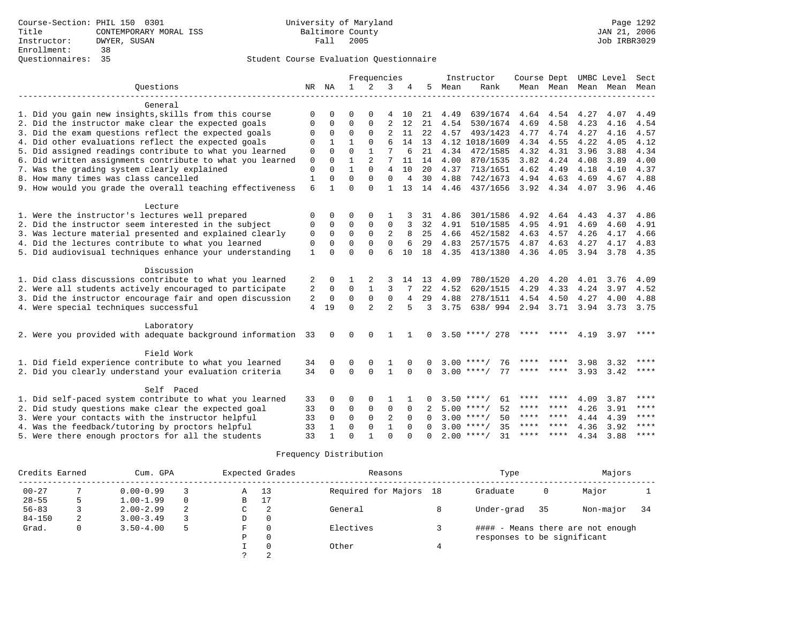|                                                              |              |              | Frequencies  |                |                |                | Instructor | Course Dept UMBC Level |                         |           |           | Sect                |           |             |
|--------------------------------------------------------------|--------------|--------------|--------------|----------------|----------------|----------------|------------|------------------------|-------------------------|-----------|-----------|---------------------|-----------|-------------|
| Ouestions                                                    | NR           | NA           | 1            | 2              | 3              |                | 5          | Mean                   | Rank                    |           |           | Mean Mean Mean Mean |           | Mean        |
|                                                              |              |              |              |                |                |                |            |                        |                         |           |           |                     |           |             |
| General                                                      |              |              |              |                |                |                |            |                        |                         |           |           |                     |           |             |
| 1. Did you gain new insights, skills from this course        | $\Omega$     | 0            | $\Omega$     |                |                | 10             | 21         | 4.49                   | 639/1674                |           | 4.64 4.54 | 4.27                | 4.07      | 4.49        |
| 2. Did the instructor make clear the expected goals          | $\mathbf 0$  | $\Omega$     | $\Omega$     | $\Omega$       | 2              | 12             | 21         | 4.54                   | 530/1674                | 4.69      | 4.58      | 4.23                | 4.16      | 4.54        |
| 3. Did the exam questions reflect the expected goals         | $\Omega$     | $\Omega$     | $\Omega$     | $\Omega$       | $\overline{2}$ | 11             | 22         | 4.57                   | 493/1423                | 4.77      | 4.74      | 4.27                | 4.16      | 4.57        |
| 4. Did other evaluations reflect the expected goals          | $\Omega$     | $\mathbf{1}$ | $\mathbf{1}$ | $\Omega$       | 6              | 14             | 13         |                        | 4.12 1018/1609          | 4.34      | 4.55      | 4.22                | 4.05      | 4.12        |
| 5. Did assigned readings contribute to what you learned      | $\mathbf{0}$ | $\Omega$     | $\Omega$     | $\mathbf{1}$   | 7              | 6              | 21         | 4.34                   | 472/1585                | 4.32      | 4.31      | 3.96                | 3.88      | 4.34        |
| 6. Did written assignments contribute to what you learned    | $\mathbf{0}$ | $\Omega$     | $\mathbf{1}$ | $\overline{2}$ | 7              | 11             | 14         | 4.00                   | 870/1535                | 3.82      | 4.24      | 4.08                | 3.89      | 4.00        |
| 7. Was the grading system clearly explained                  | $\mathbf{0}$ | $\Omega$     | $\mathbf{1}$ | $\Omega$       | 4              | 10             | 20         | 4.37                   | 713/1651                | 4.62      | 4.49      | 4.18                | 4.10      | 4.37        |
| 8. How many times was class cancelled                        | $\mathbf{1}$ | $\Omega$     | $\Omega$     | $\Omega$       | $\Omega$       | $\overline{4}$ | 30         | 4.88                   | 742/1673                | 4.94      | 4.63      | 4.69                | 4.67      | 4.88        |
| 9. How would you grade the overall teaching effectiveness    | 6            | $\mathbf{1}$ | $\Omega$     | $\Omega$       | 1              | 13             | 14         | 4.46                   | 437/1656                |           | 3.92 4.34 | 4.07                | 3.96      | 4.46        |
|                                                              |              |              |              |                |                |                |            |                        |                         |           |           |                     |           |             |
| Lecture                                                      |              |              |              |                |                |                |            |                        |                         |           |           |                     |           |             |
| 1. Were the instructor's lectures well prepared              | $\mathbf 0$  | $\Omega$     | $\Omega$     | $\Omega$       |                |                | 31         | 4.86                   | 301/1586                | 4.92      | 4.64      | 4.43                | 4.37      | 4.86        |
| 2. Did the instructor seem interested in the subject         | $\mathbf 0$  | $\mathbf 0$  | $\Omega$     | $\Omega$       | $\Omega$       | 3              | 32         | 4.91                   | 510/1585                | 4.95      | 4.91      | 4.69                | 4.60      | 4.91        |
| 3. Was lecture material presented and explained clearly      | $\mathbf 0$  | $\Omega$     | $\Omega$     | $\Omega$       | 2              | 8              | 25         | 4.66                   | 452/1582                | 4.63      | 4.57      | 4.26                | 4.17      | 4.66        |
| 4. Did the lectures contribute to what you learned           | $\mathbf 0$  | $\Omega$     | $\Omega$     | $\Omega$       | $\Omega$       | 6              | 29         | 4.83                   | 257/1575                | 4.87      | 4.63      | 4.27                | 4.17      | 4.83        |
| 5. Did audiovisual techniques enhance your understanding     | $\mathbf{1}$ | $\Omega$     | $\Omega$     | $\Omega$       | $\epsilon$     | 10             | 18         | 4.35                   | 413/1380                | 4.36      | 4.05      | 3.94                | 3.78 4.35 |             |
| Discussion                                                   |              |              |              |                |                |                |            |                        |                         |           |           |                     |           |             |
| 1. Did class discussions contribute to what you learned      | 2            | 0            |              |                |                | 14             | 13         | 4.09                   | 780/1520                | 4.20      | 4.20      | 4.01                | 3.76      | 4.09        |
| 2. Were all students actively encouraged to participate      | 2            | $\mathbf 0$  | $\Omega$     | $\mathbf{1}$   | 3              |                | 22         | 4.52                   | 620/1515                | 4.29      | 4.33      | 4.24                | 3.97      | 4.52        |
| 3. Did the instructor encourage fair and open discussion     | 2            | 0            | 0            | $\mathbf 0$    | $\mathbf 0$    | 4              | 29         | 4.88                   | 278/1511                |           | 4.54 4.50 | 4.27                | 4.00      | 4.88        |
| 4. Were special techniques successful                        | 4            | 19           | $\Omega$     | $\overline{a}$ | $\overline{2}$ | 5              | 3          | 3.75                   | 638/ 994 2.94 3.71 3.94 |           |           |                     | 3.73 3.75 |             |
|                                                              |              |              |              |                |                |                |            |                        |                         |           |           |                     |           |             |
| Laboratory                                                   |              |              |              |                |                |                |            |                        |                         |           |           |                     |           |             |
| 2. Were you provided with adequate background information 33 |              | $\Omega$     | $\Omega$     | $\Omega$       |                |                | $\Omega$   |                        | $3.50$ ****/ 278        |           |           | 4.19                | 3.97      | ****        |
| Field Work                                                   |              |              |              |                |                |                |            |                        |                         |           |           |                     |           |             |
| 1. Did field experience contribute to what you learned       | 34           | $\Omega$     | $\Omega$     | 0              |                |                |            | 3.00                   | $* * * * /$<br>76       |           |           | 3.98                | 3.32      | $* * * * *$ |
| 2. Did you clearly understand your evaluation criteria       | 34           | $\Omega$     | $\Omega$     | $\Omega$       | $\mathbf{1}$   | $\Omega$       | $\Omega$   |                        | 77<br>$3.00$ ****/      | ****      | ****      | 3.93                | 3.42      | ****        |
|                                                              |              |              |              |                |                |                |            |                        |                         |           |           |                     |           |             |
| Self Paced                                                   |              |              |              |                |                |                |            |                        |                         |           |           |                     |           |             |
| 1. Did self-paced system contribute to what you learned      | 33           | 0            | $\Omega$     | $\Omega$       | -1             |                |            |                        | $3.50$ ****/<br>61      | ****      |           | 4.09                | 3.87      | ****        |
| 2. Did study questions make clear the expected goal          | 33           | $\Omega$     | $\mathbf 0$  | $\mathbf 0$    | 0              | $\Omega$       |            |                        | 52<br>$5.00$ ****/      | **** **** |           | 4.26                | 3.91      | $***$       |
| 3. Were your contacts with the instructor helpful            | 33           | $\Omega$     | $\mathbf 0$  | $\mathbf 0$    | $\overline{2}$ | $\Omega$       | $\Omega$   |                        | $3.00$ ****/<br>50      |           | **** **** | 4.44                | 4.39      | $* * * * *$ |
| 4. Was the feedback/tutoring by proctors helpful             | 33           | $\mathbf{1}$ | $\mathbf 0$  | $\mathbf{0}$   | $\mathbf{1}$   | $\Omega$       |            | 3.00                   | 35<br>$***$ /           | ****      | ****      | 4.36                | 3.92      | $***$ * * * |
| 5. Were there enough proctors for all the students           | 33           | $\mathbf{1}$ | $\Omega$     | 1              | $\cap$         |                | $\cap$     |                        | $2.00$ ****/<br>31      | ****      | ****      | 4.34                | 3.88      | $***$ * * * |

| Credits Earned |   | Cum. GPA      |          |    | Expected Grades | Reasons                | Type                        |    | Majors                            |     |
|----------------|---|---------------|----------|----|-----------------|------------------------|-----------------------------|----|-----------------------------------|-----|
| $00 - 27$      |   | $0.00 - 0.99$ |          | Α  | 13              | Required for Majors 18 | Graduate                    | 0  | Major                             |     |
| $28 - 55$      |   | $1.00 - 1.99$ | $\Omega$ | B  | 17              |                        |                             |    |                                   |     |
| $56 - 83$      |   | $2.00 - 2.99$ | 2        | C. | 2               | General                | Under-grad                  | 35 | Non-major                         | -34 |
| $84 - 150$     | 2 | $3.00 - 3.49$ |          | D  | 0               |                        |                             |    |                                   |     |
| Grad.          | 0 | $3.50 - 4.00$ |          | F  | $\Omega$        | Electives              |                             |    | #### - Means there are not enough |     |
|                |   |               |          | P  | $\Omega$        |                        | responses to be significant |    |                                   |     |
|                |   |               |          |    | $\Omega$        | Other                  |                             |    |                                   |     |
|                |   |               |          |    |                 |                        |                             |    |                                   |     |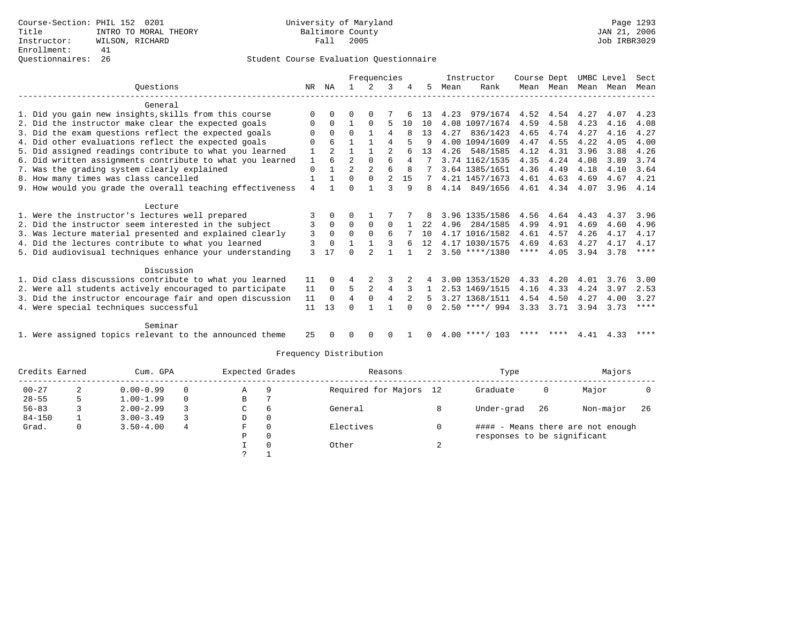|                                                           |             |          |                | Frequencies    |          |    |      |      | Instructor       | Course Dept |           | UMBC Level |      | Sect |
|-----------------------------------------------------------|-------------|----------|----------------|----------------|----------|----|------|------|------------------|-------------|-----------|------------|------|------|
| Ouestions                                                 | NR          | ΝA       |                |                |          |    | 5.   | Mean | Rank             |             | Mean Mean | Mean Mean  |      | Mean |
| General                                                   |             |          |                |                |          |    |      |      |                  |             |           |            |      |      |
| 1. Did you gain new insights, skills from this course     | $\Omega$    |          |                |                |          |    | 13   | 4.23 | 979/1674         | 4.52        | 4.54      | 4.27       | 4.07 | 4.23 |
| 2. Did the instructor make clear the expected goals       | 0           | $\Omega$ |                | $\Omega$       | 5        | 10 | 10   |      | 4.08 1097/1674   | 4.59        | 4.58      | 4.23       | 4.16 | 4.08 |
| 3. Did the exam questions reflect the expected goals      | 0           | $\Omega$ | $\Omega$       |                | 4        |    | 13   | 4.27 | 836/1423         | 4.65        | 4.74      | 4.27       | 4.16 | 4.27 |
| 4. Did other evaluations reflect the expected goals       | $\Omega$    | 6        |                |                | 4        |    |      |      | 4.00 1094/1609   | 4.47        | 4.55      | 4.22       | 4.05 | 4.00 |
| 5. Did assigned readings contribute to what you learned   |             |          |                |                |          |    | 13   | 4.26 | 548/1585         | 4.12        | 4.31      | 3.96       | 3.88 | 4.26 |
| 6. Did written assignments contribute to what you learned | 1           | 6        | $\mathfrak{D}$ | $\Omega$       | 6        | 4  |      |      | 3.74 1162/1535   | 4.35        | 4.24      | 4.08       | 3.89 | 3.74 |
| 7. Was the grading system clearly explained               | $\Omega$    |          | $\mathfrak{D}$ | $\overline{a}$ | ĥ        | 8  |      |      | 3.64 1385/1651   | 4.36        | 4.49      | 4.18       | 4.10 | 3.64 |
| 8. How many times was class cancelled                     | $\mathbf 1$ |          | 0              | $\mathbf 0$    | 2        | 15 |      |      | 4.21 1457/1673   | 4.61        | 4.63      | 4.69       | 4.67 | 4.21 |
| 9. How would you grade the overall teaching effectiveness | 4           |          | $\Omega$       |                | 3        | 9  | 8    |      | 4.14 849/1656    | 4.61        | 4.34      | 4.07       | 3.96 | 4.14 |
| Lecture                                                   |             |          |                |                |          |    |      |      |                  |             |           |            |      |      |
| 1. Were the instructor's lectures well prepared           | 3           | $\Omega$ | $\Omega$       |                |          |    | 8    |      | 3.96 1335/1586   | 4.56        | 4.64      | 4.43       | 4.37 | 3.96 |
| 2. Did the instructor seem interested in the subject      | 3           | $\Omega$ | $\Omega$       | $\Omega$       | $\Omega$ |    | 2.2. | 4.96 | 284/1585         | 4.99        | 4.91      | 4.69       | 4.60 | 4.96 |
| 3. Was lecture material presented and explained clearly   | 3           | $\Omega$ | $\Omega$       | $\Omega$       | 6        |    | 10   |      | 4.17 1016/1582   | 4.61        | 4.57      | 4.26       | 4.17 | 4.17 |
| 4. Did the lectures contribute to what you learned        | 3           | $\Omega$ |                |                |          | 6  | 12   |      | 4.17 1030/1575   | 4.69        | 4.63      | 4.27       | 4.17 | 4.17 |
| 5. Did audiovisual techniques enhance your understanding  | 3           | 17       | $\cap$         |                |          |    |      |      | $3.50$ ****/1380 | $***$ * * * | 4.05      | 3.94       | 3.78 | **** |
| Discussion                                                |             |          |                |                |          |    |      |      |                  |             |           |            |      |      |
| 1. Did class discussions contribute to what you learned   | 11          | $\Omega$ | 4              | 2              | 3        |    |      |      | 3.00 1353/1520   | 4.33        | 4.20      | 4.01       | 3.76 | 3.00 |
| 2. Were all students actively encouraged to participate   | 11          | 0        | 5              | $\mathfrak{D}$ | 4        |    |      |      | 2.53 1469/1515   | 4.16        | 4.33      | 4.24       | 3.97 | 2.53 |
| 3. Did the instructor encourage fair and open discussion  | 11          | $\Omega$ | $\overline{4}$ | $\Omega$       | 4        | 2  | 5.   |      | 3.27 1368/1511   | 4.54        | 4.50      | 4.27       | 4.00 | 3.27 |
| 4. Were special techniques successful                     | 11          | 13       | $\cap$         |                |          |    | 0    |      | $2.50$ ****/ 994 | 3.33        | 3.71      | 3.94       | 3.73 | **** |
| Seminar                                                   |             |          |                |                |          |    |      |      |                  |             |           |            |      |      |
| 1. Were assigned topics relevant to the announced theme   | 25          |          | O              | $\Omega$       | $\Omega$ |    | 0    |      | $4.00$ ****/ 103 |             | **** **** | 4.41       | 4.33 | **** |

|            | Credits Earned |               | Expected Grades<br>Cum. GPA |    |              | Reasons                | Type                        |    |                                   |     |
|------------|----------------|---------------|-----------------------------|----|--------------|------------------------|-----------------------------|----|-----------------------------------|-----|
| $00 - 27$  |                | $0.00 - 0.99$ | $\Omega$                    | Α  | 9            | Required for Majors 12 | Graduate                    | 0  | Major                             |     |
| $28 - 55$  |                | $1.00 - 1.99$ | $\Omega$                    | В  |              |                        |                             |    |                                   |     |
| $56 - 83$  |                | $2.00 - 2.99$ |                             | C. | - 6          | General                | Under-grad                  | 26 | Non-major                         | -26 |
| $84 - 150$ |                | $3.00 - 3.49$ |                             | D  | $\mathbf{0}$ |                        |                             |    |                                   |     |
| Grad.      | 0              | $3.50 - 4.00$ | 4                           | F  | $\Omega$     | Electives              |                             |    | #### - Means there are not enough |     |
|            |                |               |                             | D  | 0            |                        | responses to be significant |    |                                   |     |
|            |                |               |                             |    | $\Omega$     | Other                  |                             |    |                                   |     |
|            |                |               |                             |    |              |                        |                             |    |                                   |     |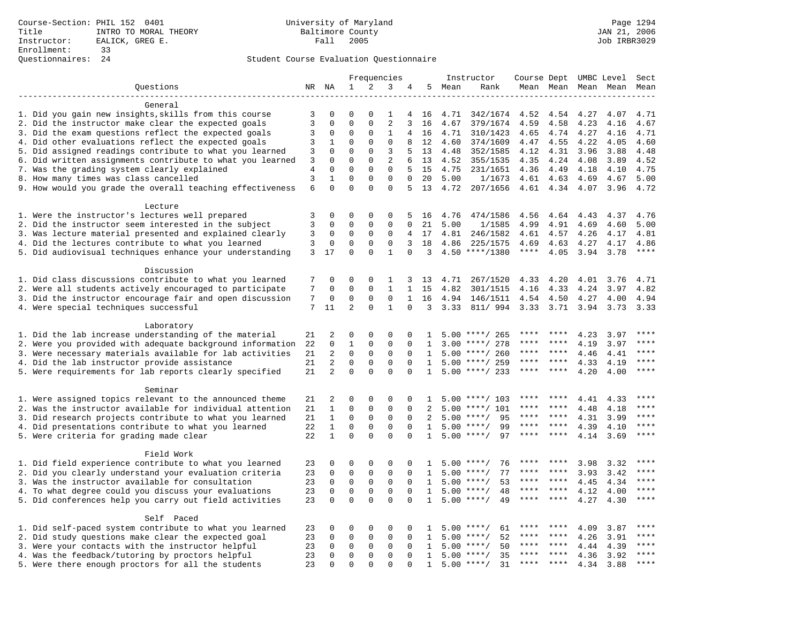|                                                            |                |                |             | Frequencies         |              |              |              | Instructor |                    | Course Dept UMBC Level |         |              |                     | Sect  |
|------------------------------------------------------------|----------------|----------------|-------------|---------------------|--------------|--------------|--------------|------------|--------------------|------------------------|---------|--------------|---------------------|-------|
| Questions                                                  |                | NR NA          | 1           | 2                   | 3            | 4            | 5            | Mean       | Rank               |                        |         |              | Mean Mean Mean Mean | Mean  |
|                                                            |                |                |             |                     |              |              |              |            |                    |                        |         |              |                     |       |
| General                                                    |                |                |             |                     |              |              |              |            |                    |                        |         |              |                     |       |
| 1. Did you gain new insights, skills from this course      | 3              | 0              | $\mathbf 0$ | $\Omega$            | 1            | 4            | 16           | 4.71       | 342/1674           | 4.52                   | 4.54    | 4.27         | 4.07                | 4.71  |
| 2. Did the instructor make clear the expected goals        | $\overline{3}$ | $\mathbf 0$    | $\mathbf 0$ | $\mathbf 0$         | 2            | 3            | 16           | 4.67       | 379/1674           | 4.59                   | 4.58    | 4.23         | 4.16                | 4.67  |
| 3. Did the exam questions reflect the expected goals       | 3              | $\Omega$       | 0           | 0                   | 1            | 4            | 16           | 4.71       | 310/1423           | 4.65                   | 4.74    | 4.27         | 4.16                | 4.71  |
| 4. Did other evaluations reflect the expected goals        | 3              | 1              | $\Omega$    | $\Omega$            | $\Omega$     | 8            | 12           | 4.60       | 374/1609           | 4.47                   | 4.55    | 4.22         | 4.05                | 4.60  |
| 5. Did assigned readings contribute to what you learned    | 3              | $\mathbf 0$    | $\mathsf 0$ | $\mathsf{O}\xspace$ | 3            | 5            | 13           | 4.48       | 352/1585           | 4.12                   | 4.31    | 3.96         | 3.88                | 4.48  |
| 6. Did written assignments contribute to what you learned  | 3              | $\mathbf 0$    | $\mathbf 0$ | $\mathbf 0$         | 2            | 6            | 13           | 4.52       | 355/1535           | 4.35                   | 4.24    | 4.08         | 3.89                | 4.52  |
| 7. Was the grading system clearly explained                | 4              | $\Omega$       | $\mathbf 0$ | $\mathbf 0$         | $\mathbf{0}$ | 5            | 15           | 4.75       | 231/1651           | 4.36                   | 4.49    | 4.18         | 4.10                | 4.75  |
| 8. How many times was class cancelled                      | 3              | $\mathbf{1}$   | $\mathbf 0$ | $\mathbf 0$         | $\mathbf{0}$ | 0            | 20           | 5.00       | 1/1673             | 4.61                   | 4.63    | 4.69         | 4.67                | 5.00  |
| 9. How would you grade the overall teaching effectiveness  | 6              | $\Omega$       | $\Omega$    | $\Omega$            | $\Omega$     | 5.           | 13           | 4.72       | 207/1656           | 4.61 4.34 4.07         |         |              | 3.96                | 4.72  |
|                                                            |                |                |             |                     |              |              |              |            |                    |                        |         |              |                     |       |
| Lecture<br>1. Were the instructor's lectures well prepared | 3              | $\mathbf 0$    | $\mathbf 0$ | $\mathbf 0$         | $\mathbf 0$  | 5            | 16           | 4.76       | 474/1586           | 4.56                   | 4.64    | 4.43         | 4.37                | 4.76  |
| 2. Did the instructor seem interested in the subject       | 3              | 0              | 0           | 0                   | $\mathbf 0$  | $\Omega$     | 21           | 5.00       | 1/1585             | 4.99                   | 4.91    | 4.69         | 4.60                | 5.00  |
| 3. Was lecture material presented and explained clearly    | 3              | 0              | 0           | 0                   | $\mathbf 0$  | 4            | 17           | 4.81       | 246/1582           | 4.61                   | 4.57    | 4.26         | 4.17                | 4.81  |
| 4. Did the lectures contribute to what you learned         | 3              | $\mathbf 0$    | 0           | $\mathbf 0$         | $\Omega$     | 3            | 18           | 4.86       | 225/1575           | 4.69                   | 4.63    | 4.27         | 4.17                | 4.86  |
| 5. Did audiovisual techniques enhance your understanding   | 3              | 17             | $\Omega$    | $\Omega$            | $\mathbf{1}$ | $\Omega$     | 3            |            | $4.50$ ****/1380   | $***$ * * *            | 4.05    | 3.94         | 3.78                | $***$ |
|                                                            |                |                |             |                     |              |              |              |            |                    |                        |         |              |                     |       |
| Discussion                                                 |                |                |             |                     |              |              |              |            |                    |                        |         |              |                     |       |
| 1. Did class discussions contribute to what you learned    | 7              | $\mathbf 0$    | $\mathbf 0$ | $\mathbf 0$         | 1            | 3            | 13           | 4.71       | 267/1520           | 4.33                   | 4.20    | 4.01         | 3.76                | 4.71  |
| 2. Were all students actively encouraged to participate    | 7              | $\mathbf 0$    | $\mathbf 0$ | $\mathbf 0$         | $\mathbf{1}$ | $\mathbf{1}$ | 15           | 4.82       | 301/1515           | 4.16                   | 4.33    | 4.24         | 3.97                | 4.82  |
| 3. Did the instructor encourage fair and open discussion   | 7              | 0              | $\mathbf 0$ | 0                   | $\mathbf 0$  | $\mathbf{1}$ | 16           | 4.94       | 146/1511           | 4.54                   | 4.50    | 4.27         | 4.00                | 4.94  |
| 4. Were special techniques successful                      | 7              | 11             | 2           | 0                   | $\mathbf{1}$ | $\Omega$     | 3            | 3.33       | 811/ 994           | 3.33                   | 3.71    | 3.94         | 3.73                | 3.33  |
|                                                            |                |                |             |                     |              |              |              |            |                    |                        |         |              |                     |       |
| Laboratory                                                 |                |                |             |                     |              |              |              |            |                    |                        |         |              |                     |       |
| 1. Did the lab increase understanding of the material      | 21             | 2              | $\mathbf 0$ | $\mathbf 0$         | $\mathbf 0$  | $\mathbf 0$  | 1            |            | $5.00$ ****/ 265   |                        |         | 4.23         | 3.97                |       |
| 2. Were you provided with adequate background information  | 22             | $\mathbf 0$    | $1\,$       | $\mathbf 0$         | $\mathbf{0}$ | $\mathbf 0$  | 1            | 3.00       | ****/ 278          | ****                   | ****    | 4.19         | 3.97                | ****  |
| 3. Were necessary materials available for lab activities   | 21             | $\overline{2}$ | $\mathsf 0$ | 0                   | $\mathbf 0$  | $\Omega$     | $\mathbf{1}$ | 5.00       | ****/ 260          | ****                   | ****    | 4.46         | 4.41                | ****  |
| 4. Did the lab instructor provide assistance               | 21             | $\overline{2}$ | $\mathbf 0$ | $\mathbf 0$         | $\mathbf 0$  | $\Omega$     | $\mathbf{1}$ |            | $5.00$ ****/ 259   | ****                   | ****    | 4.33         | 4.19                | $***$ |
| 5. Were requirements for lab reports clearly specified     | 21             | 2              | $\Omega$    | $\Omega$            | $\Omega$     | $\Omega$     | $\mathbf{1}$ | 5.00       | ****/ 233          | ****                   | ****    | 4.20         | 4.00                | ****  |
|                                                            |                |                |             |                     |              |              |              |            |                    |                        |         |              |                     |       |
| Seminar                                                    |                |                |             |                     |              |              |              |            |                    |                        |         |              |                     |       |
| 1. Were assigned topics relevant to the announced theme    | 21             | 2              | $\mathbf 0$ | $\mathbf 0$         | $\mathbf 0$  | $\mathbf 0$  | 1            | 5.00       | ****/ 103          | ****                   | ****    | 4.41         | 4.33                | ****  |
| 2. Was the instructor available for individual attention   | 21             | $\mathbf{1}$   | $\mathbf 0$ | $\mathbf 0$         | $\mathbf 0$  | $\mathbf 0$  | 2            | 5.00       | ****/ 101          | ****                   | ****    | 4.48         | 4.18                |       |
| 3. Did research projects contribute to what you learned    | 21             | $\mathbf{1}$   | $\mathbf 0$ | $\mathbf 0$         | $\mathbf 0$  | $\mathbf 0$  | 2            | 5.00       | $***/$<br>95       | ****                   | ****    | 4.31         | 3.99                | ****  |
| 4. Did presentations contribute to what you learned        | 22             | $\mathbf{1}$   | $\mathbf 0$ | 0                   | $\mathbf 0$  | $\Omega$     | 1            | 5.00       | $***$ /<br>99      | ****                   | $***$ * | 4.39         | 4.10                | ****  |
| 5. Were criteria for grading made clear                    | 22             | $\mathbf{1}$   | $\Omega$    | $\Omega$            | $\Omega$     | $\Omega$     | $\mathbf{1}$ |            | $5.00$ ****/<br>97 | ****                   | ****    | 4.14         | 3.69                | ****  |
|                                                            |                |                |             |                     |              |              |              |            |                    |                        |         |              |                     |       |
| Field Work                                                 |                |                |             |                     |              |              |              |            |                    |                        |         |              |                     | ****  |
| 1. Did field experience contribute to what you learned     | 23             | $\mathbf 0$    | $\mathbf 0$ | $\mathbf 0$         | 0            | $\mathbf 0$  | Т.           | 5.00       | $***/$<br>76       |                        |         | 3.98         | 3.32                |       |
| 2. Did you clearly understand your evaluation criteria     | 23             | $\mathbf 0$    | $\mathsf 0$ | $\mathbf 0$         | $\mathbf 0$  | $\Omega$     | 1            | 5.00       | $***$ /<br>77      | ****                   | $***$   | 3.93         | 3.42                | ****  |
| 3. Was the instructor available for consultation           | 23             | $\mathbf 0$    | $\mathbf 0$ | $\mathbf 0$         | $\mathbf 0$  | $\mathbf 0$  | $\mathbf{1}$ | 5.00       | 53<br>$***/$       | ****                   | ****    | 4.45         | 4.34                | ****  |
| 4. To what degree could you discuss your evaluations       | 23             | $\mathbf 0$    | $\mathsf 0$ | $\mathbf 0$         | $\mathbf 0$  | $\Omega$     | 1            | 5.00       | 48<br>$***/$       | ****                   | ****    | 4.12         | 4.00                | $***$ |
| 5. Did conferences help you carry out field activities     | 23             | $\Omega$       | $\Omega$    | $\Omega$            | $\Omega$     | $\Omega$     | $\mathbf{1}$ | 5.00       | $***$ /<br>49      | ****                   | ****    | 4.27         | 4.30                | $***$ |
| Self Paced                                                 |                |                |             |                     |              |              |              |            |                    |                        |         |              |                     |       |
| 1. Did self-paced system contribute to what you learned    | 23             | 0              | $\mathbf 0$ | 0                   | $\mathbf 0$  | $\mathbf 0$  | 1            | 5.00       | $***/$<br>61       | ****                   |         | 4.09         | 3.87                | ****  |
| 2. Did study questions make clear the expected goal        | 23             | $\mathbf 0$    | $\mathsf 0$ | $\mathbf 0$         | $\mathbf 0$  | $\mathbf 0$  |              | 5.00       | $***$ /<br>52      | ****                   | ****    |              | 3.91                | ****  |
|                                                            |                | $\mathbf 0$    | $\mathbf 0$ | 0                   | $\mathbf 0$  | $\Omega$     | 1<br>1       | 5.00       | $***$ /<br>50      | ****                   | ****    | 4.26<br>4.44 |                     | $***$ |
| 3. Were your contacts with the instructor helpful          | 23<br>23       | $\mathbf 0$    | $\mathbf 0$ | $\mathbf 0$         | $\mathbf{0}$ | $\mathbf 0$  | $\mathbf{1}$ | 5.00       | $***/$<br>35       |                        | ****    |              | 4.39                | ****  |
| 4. Was the feedback/tutoring by proctors helpful           | 23             | $\Omega$       | $\mathbf 0$ | $\Omega$            | $\Omega$     | $\Omega$     | 1            |            | $5.00$ ****/<br>31 | $***$ * *              | ****    | 4.36         | 3.92                | $***$ |
| 5. Were there enough proctors for all the students         |                |                |             |                     |              |              |              |            |                    |                        |         | 4.34         | 3.88                |       |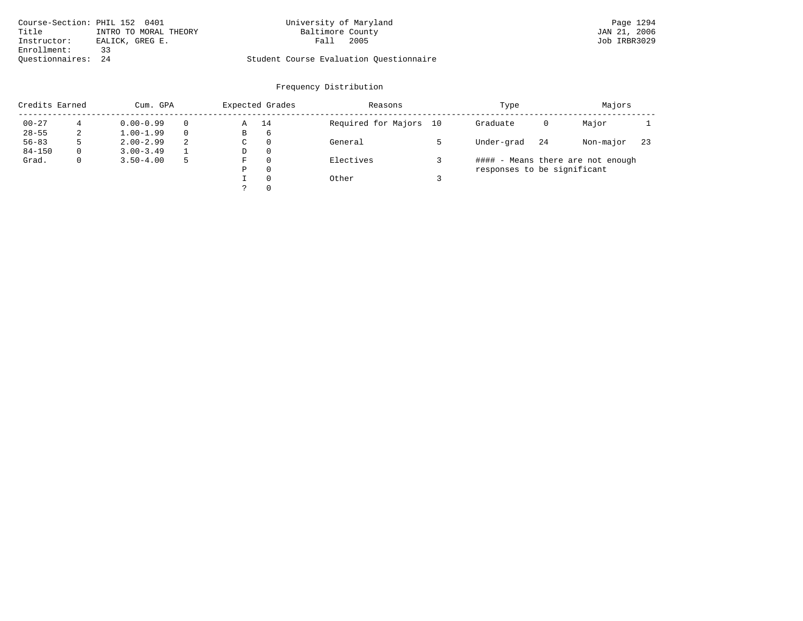| Course-Section: PHIL 152 0401  | University of Maryland                  | Page 1294    |
|--------------------------------|-----------------------------------------|--------------|
| Title<br>INTRO TO MORAL THEORY | Baltimore County                        | JAN 21, 2006 |
| Instructor:<br>EALICK, GREG E. | 2005<br>Fall                            | Job IRBR3029 |
| Enrollment:                    |                                         |              |
| Ouestionnaires: 24             | Student Course Evaluation Ouestionnaire |              |

| Credits Earned |   | Cum. GPA      |   |             | Expected Grades | Reasons             |    | Type                        | Majors |                                   |     |
|----------------|---|---------------|---|-------------|-----------------|---------------------|----|-----------------------------|--------|-----------------------------------|-----|
| $00 - 27$      |   | $0.00 - 0.99$ |   | Α           | 14              | Required for Majors | 10 | Graduate                    | 0      | Major                             |     |
| $28 - 55$      | 2 | $1.00 - 1.99$ |   | В           | 6               |                     |    |                             |        |                                   |     |
| $56 - 83$      | 5 | $2.00 - 2.99$ | 2 | $\sim$<br>◡ | 0               | General             |    | Under-grad                  | 24     | Non-major                         | -23 |
| $84 - 150$     | 0 | $3.00 - 3.49$ |   | D           | 0               |                     |    |                             |        |                                   |     |
| Grad.          | 0 | $3.50 - 4.00$ | 5 | F           | 0               | Electives           |    |                             |        | #### - Means there are not enough |     |
|                |   |               |   | Ρ           | 0               |                     |    | responses to be significant |        |                                   |     |
|                |   |               |   |             | $\Omega$        | Other               |    |                             |        |                                   |     |
|                |   |               |   | っ           | 0               |                     |    |                             |        |                                   |     |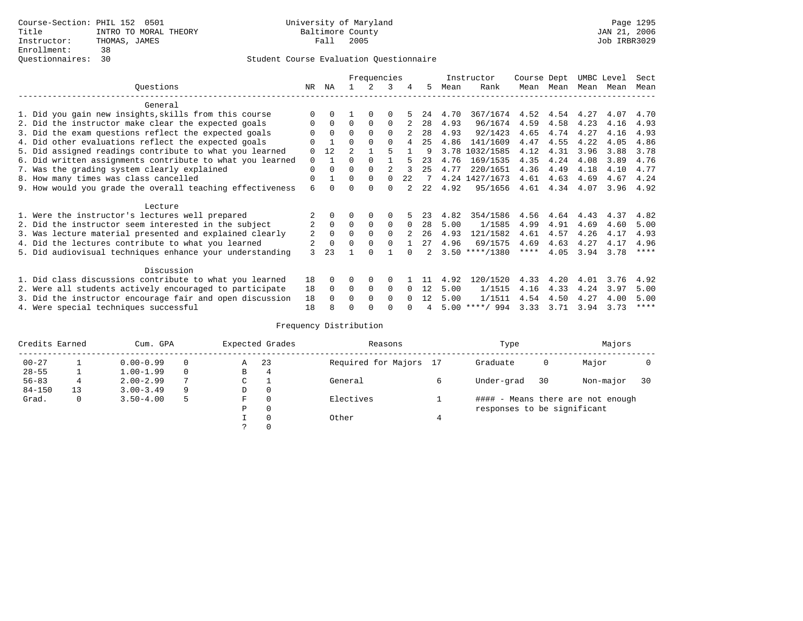|                                                           |                |              | Frequencies    |             |             |          |     | Instructor | Course Dept      |           | UMBC Level |      | Sect |             |
|-----------------------------------------------------------|----------------|--------------|----------------|-------------|-------------|----------|-----|------------|------------------|-----------|------------|------|------|-------------|
| Ouestions                                                 | NR.            | ΝA           |                | 2           | 3           | 4        | 5.  | Mean       | Rank             |           | Mean Mean  | Mean | Mean | Mean        |
| General                                                   |                |              |                |             |             |          |     |            |                  |           |            |      |      |             |
| 1. Did you gain new insights, skills from this course     |                | $\Omega$     |                | $\Omega$    | $\Omega$    |          | 24  | 4.70       | 367/1674         |           | 4.52 4.54  | 4.27 | 4.07 | 4.70        |
| 2. Did the instructor make clear the expected goals       | O              | $\Omega$     | $\Omega$       | $\Omega$    | $\Omega$    |          | 28  | 4.93       | 96/1674          | 4.59      | 4.58       | 4.23 | 4.16 | 4.93        |
| 3. Did the exam questions reflect the expected goals      |                | $\Omega$     | $\Omega$       | $\Omega$    | $\Omega$    |          | 28  | 4.93       | 92/1423          | 4.65      | 4.74       | 4.27 | 4.16 | 4.93        |
| 4. Did other evaluations reflect the expected goals       | O              |              | $\Omega$       | $\Omega$    | $\Omega$    | 4        | 25  | 4.86       | 141/1609         | 4.47      | 4.55       | 4.22 | 4.05 | 4.86        |
| 5. Did assigned readings contribute to what you learned   | $\Omega$       | 12           | $\mathfrak{D}$ |             | 5           |          | 9   |            | 3.78 1032/1585   | 4.12      | 4.31       | 3.96 | 3.88 | 3.78        |
| 6. Did written assignments contribute to what you learned | $\Omega$       | $\mathbf{1}$ | $\Omega$       | $\Omega$    |             |          | 23  | 4.76       | 169/1535         | 4.35      | 4.24       | 4.08 | 3.89 | 4.76        |
| 7. Was the grading system clearly explained               | $\Omega$       | $\Omega$     | $\Omega$       | $\Omega$    |             |          | 25  | 4.77       | 220/1651         | 4.36      | 4.49       | 4.18 | 4.10 | 4.77        |
| 8. How many times was class cancelled                     | $\Omega$       |              | $\Omega$       | $\Omega$    | $\cap$      | 2.2      |     |            | 4.24 1427/1673   | 4.61      | 4.63       | 4.69 | 4.67 | 4.24        |
| 9. How would you grade the overall teaching effectiveness | 6              | <sup>n</sup> | U              | $\cap$      | 0           |          | 2.2 | 4.92       | 95/1656          | 4.61      | 4.34       | 4.07 |      | $3.96$ 4.92 |
| Lecture                                                   |                |              |                |             |             |          |     |            |                  |           |            |      |      |             |
| 1. Were the instructor's lectures well prepared           |                |              |                |             | $\Omega$    |          | 23  | 4.82       | 354/1586         | 4.56      | 4.64       | 4.43 | 4.37 | 4.82        |
| 2. Did the instructor seem interested in the subject      | $\overline{2}$ | $\Omega$     | $\Omega$       | $\mathbf 0$ | $\mathbf 0$ | $\Omega$ | 28  | 5.00       | 1/1585           | 4.99      | 4.91       | 4.69 | 4.60 | 5.00        |
| 3. Was lecture material presented and explained clearly   | 2              | $\Omega$     |                |             | $\Omega$    |          | 26  | 4.93       | 121/1582         | 4.61      | 4.57       | 4.26 | 4.17 | 4.93        |
| 4. Did the lectures contribute to what you learned        | 2              | $\Omega$     | $\Omega$       | $\Omega$    | $\Omega$    |          | 27  | 4.96       | 69/1575          | 4.69      | 4.63       | 4.27 | 4.17 | 4.96        |
| 5. Did audiovisual techniques enhance your understanding  | 3              | 23           |                | ∩           |             |          |     |            | $3.50$ ****/1380 | $***$ * * | 4.05       | 3.94 | 3.78 | $* * * * *$ |
| Discussion                                                |                |              |                |             |             |          |     |            |                  |           |            |      |      |             |
| 1. Did class discussions contribute to what you learned   | 18             |              |                | 0           | $\Omega$    |          |     | 4.92       | 120/1520         | 4.33      | 4.20       | 4.01 | 3.76 | 4.92        |
| 2. Were all students actively encouraged to participate   | 18             | $\Omega$     | $\Omega$       | $\mathbf 0$ | 0           | $\Omega$ | 12  | 5.00       | 1/1515           | 4.16      | 4.33       | 4.24 | 3.97 | 5.00        |
| 3. Did the instructor encourage fair and open discussion  | 18             | $\cap$       | $\Omega$       | $\Omega$    | $\cap$      | $\cap$   | 12  | 5.00       | 1/1511           | 4.54      | 4.50       | 4.27 | 4.00 | 5.00        |
| 4. Were special techniques successful                     | 18             |              |                |             |             |          |     |            | $5.00$ ****/ 994 | 3.33      | 3.71       | 3.94 | 3.73 | ****        |

| Credits Earned |    | Cum. GPA      |   |   | Expected Grades | Reasons                | Type                        | Majors |                                   |    |
|----------------|----|---------------|---|---|-----------------|------------------------|-----------------------------|--------|-----------------------------------|----|
| $00 - 27$      |    | $0.00 - 0.99$ |   | Α | 23              | Required for Majors 17 | Graduate                    | 0      | Major                             |    |
| $28 - 55$      |    | $1.00 - 1.99$ |   | B | 4               |                        |                             |        |                                   |    |
| $56 - 83$      | 4  | $2.00 - 2.99$ |   | ◡ |                 | General                | Under-grad                  | 30     | Non-major                         | 30 |
| $84 - 150$     | 13 | $3.00 - 3.49$ | 9 | D | 0               |                        |                             |        |                                   |    |
| Grad.          | 0  | $3.50 - 4.00$ | 5 | F | 0               | Electives              |                             |        | #### - Means there are not enough |    |
|                |    |               |   | Ρ | 0               |                        | responses to be significant |        |                                   |    |
|                |    |               |   |   | $\Omega$        | Other                  |                             |        |                                   |    |
|                |    |               |   |   |                 |                        |                             |        |                                   |    |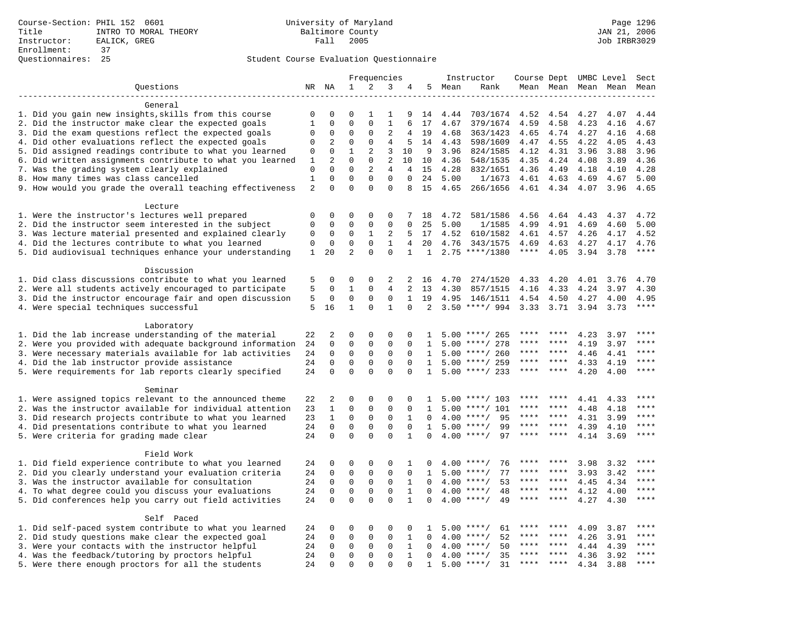|                                                            | Frequencies  |                |                |             |                | Instructor   | Course Dept UMBC Level |      |                    |                | Sect    |                     |      |                        |
|------------------------------------------------------------|--------------|----------------|----------------|-------------|----------------|--------------|------------------------|------|--------------------|----------------|---------|---------------------|------|------------------------|
| Questions                                                  |              | NR NA          | $\mathbf 1$    | 2           | 3              | 4            | 5                      | Mean | Rank               |                |         | Mean Mean Mean Mean |      | Mean                   |
|                                                            |              |                |                |             |                |              |                        |      |                    |                |         |                     |      |                        |
| General                                                    |              |                |                |             |                |              |                        |      |                    |                |         |                     |      |                        |
| 1. Did you gain new insights, skills from this course      | 0            | 0              | $\Omega$       | 1           | 1              | 9            | 14                     | 4.44 | 703/1674           | 4.52           | 4.54    | 4.27                | 4.07 | 4.44                   |
| 2. Did the instructor make clear the expected goals        | $\mathbf{1}$ | $\Omega$       | $\Omega$       | $\Omega$    | $\mathbf{1}$   | 6            | 17                     | 4.67 | 379/1674           | 4.59           | 4.58    | 4.23                | 4.16 | 4.67                   |
| 3. Did the exam questions reflect the expected goals       | $\mathbf 0$  | $\Omega$       | $\Omega$       | $\Omega$    | $\overline{2}$ | 4            | 19                     | 4.68 | 363/1423           | 4.65           | 4.74    | 4.27                | 4.16 | 4.68                   |
| 4. Did other evaluations reflect the expected goals        | $\Omega$     | 2              | $\Omega$       | $\Omega$    | $\overline{4}$ | 5            | 14                     | 4.43 | 598/1609           | 4.47           | 4.55    | 4.22                | 4.05 | 4.43                   |
| 5. Did assigned readings contribute to what you learned    | $\mathsf 0$  | $\mathbf 0$    | $\mathbf{1}$   | 2           | 3              | 10           | 9                      | 3.96 | 824/1585           | 4.12           | 4.31    | 3.96                | 3.88 | 3.96                   |
| 6. Did written assignments contribute to what you learned  | $1\,$        | $\overline{c}$ | $\mathbf 0$    | $\mathbf 0$ | $\overline{2}$ | 10           | 10                     | 4.36 | 548/1535           | 4.35           | 4.24    | 4.08                | 3.89 | 4.36                   |
| 7. Was the grading system clearly explained                | $\mathbf 0$  | $\Omega$       | $\Omega$       | 2           | 4              | 4            | 15                     | 4.28 | 832/1651           | 4.36           | 4.49    | 4.18                | 4.10 | 4.28                   |
| 8. How many times was class cancelled                      | $\mathbf{1}$ | $\mathbf 0$    | $\mathbf{0}$   | $\mathbf 0$ | $\mathbf{0}$   | $\Omega$     | 24                     | 5.00 | 1/1673             | 4.61           | 4.63    | 4.69                | 4.67 | 5.00                   |
| 9. How would you grade the overall teaching effectiveness  | 2            | $\Omega$       | $\Omega$       | $\Omega$    | $\Omega$       | 8            | 15                     | 4.65 | 266/1656           | 4.61 4.34 4.07 |         |                     | 3.96 | 4.65                   |
|                                                            |              |                |                |             |                |              |                        |      |                    |                |         |                     |      |                        |
| Lecture<br>1. Were the instructor's lectures well prepared | $\mathbf 0$  | $\mathbf 0$    | $\mathbf 0$    | $\mathbf 0$ | $\mathbf 0$    | 7            | 18                     | 4.72 | 581/1586           | 4.56           | 4.64    | 4.43                | 4.37 | 4.72                   |
| 2. Did the instructor seem interested in the subject       | 0            | 0              | $\mathbf 0$    | $\mathbf 0$ | 0              | 0            | 25                     | 5.00 | 1/1585             | 4.99           | 4.91    | 4.69                | 4.60 | 5.00                   |
| 3. Was lecture material presented and explained clearly    | 0            | 0              | 0              | 1           | 2              | 5            | 17                     | 4.52 | 610/1582           | 4.61           | 4.57    | 4.26                | 4.17 | 4.52                   |
| 4. Did the lectures contribute to what you learned         | $\mathbf 0$  | $\mathbf 0$    | $\mathbf{0}$   | $\Omega$    | 1              | 4            | 20                     | 4.76 | 343/1575           | 4.69           | 4.63    | 4.27                | 4.17 | 4.76                   |
| 5. Did audiovisual techniques enhance your understanding   | $\mathbf{1}$ | 20             | $\overline{a}$ | $\Omega$    | $\Omega$       | $\mathbf{1}$ | 1                      |      | $2.75$ ****/1380   | $***$ * * *    | 4.05    | 3.94                | 3.78 | $***$                  |
|                                                            |              |                |                |             |                |              |                        |      |                    |                |         |                     |      |                        |
| Discussion                                                 |              |                |                |             |                |              |                        |      |                    |                |         |                     |      |                        |
| 1. Did class discussions contribute to what you learned    | 5            | $\mathbf 0$    | $\mathbf{0}$   | $\mathbf 0$ | 2              | 2            | 16                     | 4.70 | 274/1520           | 4.33           | 4.20    | 4.01                | 3.76 | 4.70                   |
| 2. Were all students actively encouraged to participate    | 5            | 0              | 1              | $\mathbf 0$ | $\overline{4}$ | 2            | 13                     | 4.30 | 857/1515           | 4.16           | 4.33    | 4.24                | 3.97 | 4.30                   |
| 3. Did the instructor encourage fair and open discussion   | 5            | 0              | $\mathbf 0$    | $\mathbf 0$ | $\mathbf{0}$   | $\mathbf{1}$ | 19                     | 4.95 | 146/1511           | 4.54           | 4.50    | 4.27                | 4.00 | 4.95                   |
| 4. Were special techniques successful                      | 5            | 16             | $\mathbf{1}$   | $\Omega$    | $\mathbf{1}$   | $\Omega$     | 2                      |      | $3.50$ ****/ 994   | 3.33           | 3.71    | 3.94                | 3.73 | $***$                  |
|                                                            |              |                |                |             |                |              |                        |      |                    |                |         |                     |      |                        |
| Laboratory                                                 |              |                |                |             |                |              |                        |      |                    |                |         |                     |      |                        |
| 1. Did the lab increase understanding of the material      | 22           | 2              | $\mathbf 0$    | $\mathbf 0$ | $\mathbf{0}$   | $\mathbf 0$  | 1                      |      | $5.00$ ****/ 265   |                |         | 4.23                | 3.97 |                        |
| 2. Were you provided with adequate background information  | 24           | $\mathbf 0$    | $\mathbf 0$    | $\mathbf 0$ | $\mathbf 0$    | $\mathbf 0$  | 1                      | 5.00 | ****/ 278          | ****           | ****    | 4.19                | 3.97 | ****                   |
| 3. Were necessary materials available for lab activities   | 24           | 0              | $\mathbf 0$    | $\mathbf 0$ | 0              | $\Omega$     | 1                      | 5.00 | ****/ 260          | ****           | ****    | 4.46                | 4.41 | $***$                  |
| 4. Did the lab instructor provide assistance               | 24           | $\Omega$       | $\mathbf{0}$   | $\Omega$    | $\mathbf{0}$   | $\Omega$     | $\mathbf{1}$           | 5.00 | ****/ 259          | ****           | ****    | 4.33                | 4.19 | ****                   |
| 5. Were requirements for lab reports clearly specified     | 24           | $\mathbf 0$    | $\Omega$       | $\Omega$    | $\Omega$       | $\Omega$     | $\mathbf{1}$           | 5.00 | ****/ 233          | ****           | ****    | 4.20                | 4.00 | ****                   |
|                                                            |              |                |                |             |                |              |                        |      |                    |                |         |                     |      |                        |
| Seminar                                                    |              |                |                |             |                |              |                        |      |                    |                |         |                     |      |                        |
| 1. Were assigned topics relevant to the announced theme    | 22           | 2              | $\mathbf{0}$   | $\mathbf 0$ | 0              | $\mathbf 0$  | 1                      | 5.00 | ****/ 103          | ****           | ****    | 4.41                | 4.33 | ****                   |
| 2. Was the instructor available for individual attention   | 23           | $\mathbf{1}$   | $\mathbf 0$    | $\mathbf 0$ | $\mathbf{0}$   | $\mathbf 0$  | 1                      | 5.00 | ****/ 101          | ****           | ****    | 4.48                | 4.18 |                        |
| 3. Did research projects contribute to what you learned    | 23           | $\mathbf{1}$   | $\mathbf 0$    | $\mathbf 0$ | $\mathbf{0}$   | 1            | $\Omega$               | 4.00 | $***/$<br>95       | ****           | ****    | 4.31                | 3.99 | ****                   |
| 4. Did presentations contribute to what you learned        | 24           | $\mathbf 0$    | $\mathbf 0$    | $\mathbf 0$ | $\mathbf 0$    | 0            | 1                      | 5.00 | $***$ /<br>99      | ****           | $***$ * | 4.39                | 4.10 | ****                   |
| 5. Were criteria for grading made clear                    | 24           | $\Omega$       | $\Omega$       | $\Omega$    | $\Omega$       | $\mathbf{1}$ | $\Omega$               |      | $4.00$ ****/<br>97 | ****           | ****    | 4.14                | 3.69 | ****                   |
|                                                            |              |                |                |             |                |              |                        |      |                    |                |         |                     |      |                        |
| Field Work                                                 |              |                |                |             |                |              |                        |      |                    |                |         |                     |      |                        |
| 1. Did field experience contribute to what you learned     | 24           | $\mathbf 0$    | $\mathbf 0$    | $\mathsf 0$ | 0              | 1            | 0                      | 4.00 | $***$ /<br>76      |                |         | 3.98                | 3.32 | ****                   |
| 2. Did you clearly understand your evaluation criteria     | 24           | $\mathbf 0$    | $\mathbf 0$    | $\mathbf 0$ | $\mathbf 0$    | $\Omega$     | 1                      | 5.00 | $***/$<br>77       | ****           | ****    | 3.93                | 3.42 | ****                   |
| 3. Was the instructor available for consultation           | 24           | $\mathbf 0$    | $\mathbf 0$    | $\mathbf 0$ | $\mathbf 0$    | $\mathbf{1}$ | $\Omega$               |      | 53<br>$4.00$ ****/ | ****           | ****    | 4.45                | 4.34 | ****                   |
| 4. To what degree could you discuss your evaluations       | 24           | $\mathbf 0$    | $\mathbf 0$    | $\mathbf 0$ | $\mathbf 0$    | 1            | $\Omega$               | 4.00 | 48<br>$***$ /      | ****           | ****    | 4.12                | 4.00 | $\star\star\star\star$ |
| 5. Did conferences help you carry out field activities     | 24           | $\Omega$       | $\Omega$       | $\Omega$    | $\Omega$       | $\mathbf{1}$ | $\Omega$               | 4.00 | $***$ /<br>49      | ****           | ****    | 4.27                | 4.30 | $***$                  |
|                                                            |              |                |                |             |                |              |                        |      |                    |                |         |                     |      |                        |
| Self Paced                                                 |              |                |                |             |                |              |                        |      |                    |                |         |                     |      |                        |
| 1. Did self-paced system contribute to what you learned    | 24           | 0              | $\mathbf 0$    | $\mathbf 0$ | $\Omega$       | $\mathbf 0$  | 1                      | 5.00 | $***$ /<br>61      | ****           |         | 4.09                | 3.87 | ****                   |
| 2. Did study questions make clear the expected goal        | 24           | $\mathbf 0$    | $\mathbf{0}$   | $\mathbf 0$ | $\mathbf 0$    | 1            | $\Omega$               | 4.00 | $***/$<br>52       | ****           | ****    | 4.26                | 3.91 | ****                   |
| 3. Were your contacts with the instructor helpful          | 24           | $\mathbf 0$    | $\mathbf{0}$   | $\mathbf 0$ | $\mathbf 0$    | $\mathbf{1}$ | $\Omega$               | 4.00 | $***/$<br>50       | ****           | ****    | 4.44                | 4.39 | ****                   |
| 4. Was the feedback/tutoring by proctors helpful           | 24           | $\mathbf 0$    | $\mathbf 0$    | $\mathbf 0$ | $\mathbf 0$    | $\mathbf{1}$ | $\Omega$               | 4.00 | $***/$<br>35       | ***            | * * * * | 4.36                | 3.92 | ****                   |
| 5. Were there enough proctors for all the students         | 24           | $\Omega$       | $\Omega$       | $\Omega$    | $\Omega$       | $\Omega$     | 1                      |      | $5.00$ ****/<br>31 | $***$ * * *    | $***$ * | 4.34                | 3.88 | $***$                  |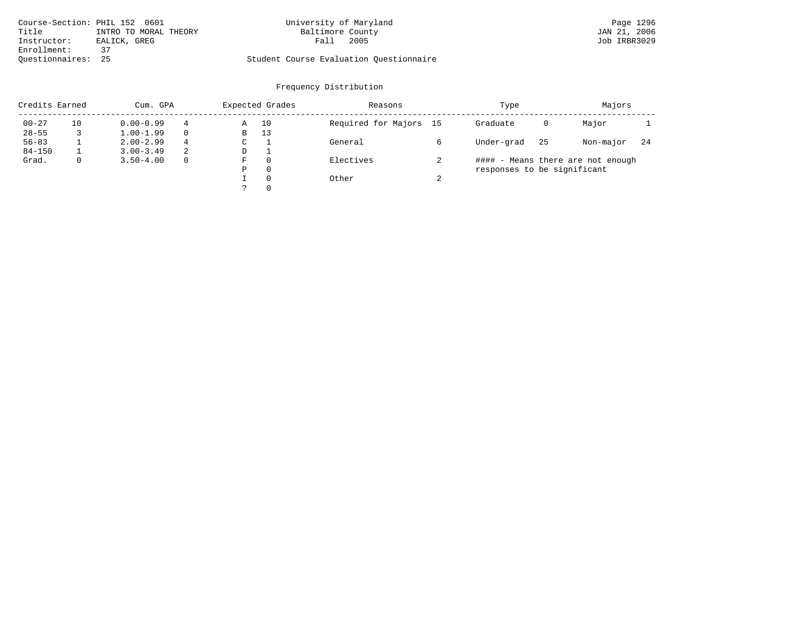| Course-Section: PHIL 152 0601 |                       | University of Maryland                  | Page 1296    |
|-------------------------------|-----------------------|-----------------------------------------|--------------|
| Title                         | INTRO TO MORAL THEORY | Baltimore County                        | JAN 21, 2006 |
| Instructor:                   | EALICK, GREG          | 2005<br>Fall                            | Job IRBR3029 |
| Enrollment:                   |                       |                                         |              |
| Ouestionnaires: 25            |                       | Student Course Evaluation Questionnaire |              |

# University of Maryland Page 1296<br>Baltimore County Band Page 1296<br>JAN 21, 2006

| Credits Earned |    | Cum. GPA      |          |    | Expected Grades | Reasons                |        | Type                        | Majors |                                   |     |
|----------------|----|---------------|----------|----|-----------------|------------------------|--------|-----------------------------|--------|-----------------------------------|-----|
| $00 - 27$      | 10 | $0.00 - 0.99$ | 4        | Α  | 10              | Required for Majors 15 |        | Graduate                    | 0      | Major                             |     |
| $28 - 55$      |    | $1.00 - 1.99$ |          | В  | 13              |                        |        |                             |        |                                   |     |
| $56 - 83$      |    | $2.00 - 2.99$ | 4        | C. |                 | General                |        | Under-grad                  | 25     | Non-major                         | -24 |
| $84 - 150$     |    | $3.00 - 3.49$ | 2        | D  |                 |                        |        |                             |        |                                   |     |
| Grad.          | 0  | $3.50 - 4.00$ | $\Omega$ | F  | $\Omega$        | Electives              |        |                             |        | #### - Means there are not enough |     |
|                |    |               |          | Ρ  | $\Omega$        |                        |        | responses to be significant |        |                                   |     |
|                |    |               |          |    | $\Omega$        | Other                  | $\sim$ |                             |        |                                   |     |
|                |    |               |          |    | $\Omega$        |                        |        |                             |        |                                   |     |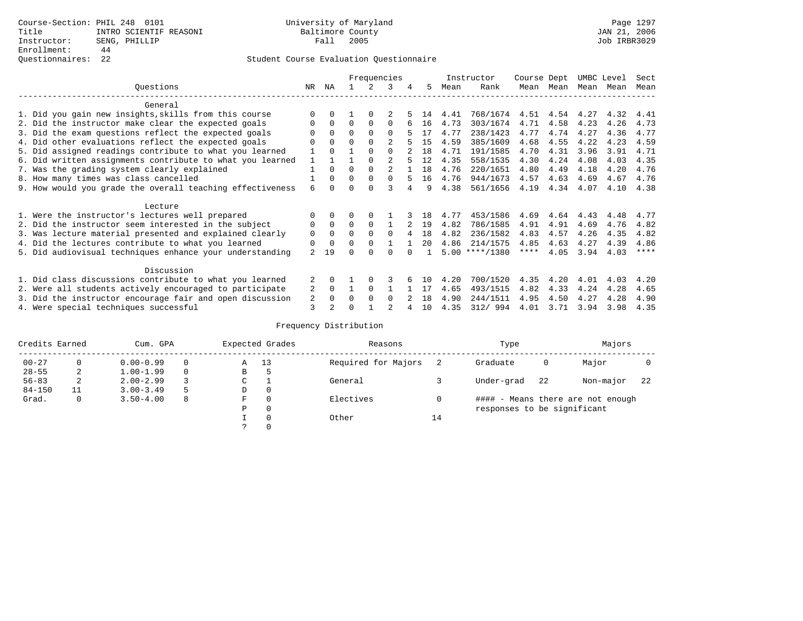|                                                          |                                                           |                |              |          |          | Frequencies |   |     |      | Instructor       | Course Dept |      | UMBC Level |      | Sect    |
|----------------------------------------------------------|-----------------------------------------------------------|----------------|--------------|----------|----------|-------------|---|-----|------|------------------|-------------|------|------------|------|---------|
|                                                          | Ouestions                                                 | NR.            | ΝA           |          |          | 3           | 4 | 5   | Mean | Rank             | Mean        | Mean | Mean       | Mean | Mean    |
|                                                          | General                                                   |                |              |          |          |             |   |     |      |                  |             |      |            |      |         |
|                                                          | 1. Did you gain new insights, skills from this course     |                | 0            |          | $\Omega$ |             |   | 14  | 4.41 | 768/1674         | 4.51        | 4.54 | 4.27       | 4.32 | 4.41    |
|                                                          | 2. Did the instructor make clear the expected goals       |                | $\Omega$     | 0        | $\Omega$ | 0           |   | 16  | 4.73 | 303/1674         | 4.71        | 4.58 | 4.23       | 4.26 | 4.73    |
|                                                          | 3. Did the exam questions reflect the expected goals      |                | $\Omega$     | $\Omega$ | $\Omega$ | 0           |   | 17  | 4.77 | 238/1423         | 4.77        | 4.74 | 4.27       | 4.36 | 4.77    |
|                                                          | 4. Did other evaluations reflect the expected goals       |                | $\Omega$     | $\Omega$ | $\Omega$ | 2           |   | 15  | 4.59 | 385/1609         | 4.68        | 4.55 | 4.22       | 4.23 | 4.59    |
|                                                          | 5. Did assigned readings contribute to what you learned   |                | 0            |          | $\Omega$ | $\Omega$    |   | 18  | 4.71 | 191/1585         | 4.70        | 4.31 | 3.96       | 3.91 | 4.71    |
|                                                          | 6. Did written assignments contribute to what you learned |                |              |          |          |             |   | 12  | 4.35 | 558/1535         | 4.30        | 4.24 | 4.08       | 4.03 | 4.35    |
|                                                          | 7. Was the grading system clearly explained               |                | 0            | U        | $\Omega$ |             |   | 18  | 4.76 | 220/1651         | 4.80        | 4.49 | 4.18       | 4.20 | 4.76    |
|                                                          | 8. How many times was class cancelled                     |                | $\Omega$     | 0        | $\Omega$ | $\Omega$    |   | 16  | 4.76 | 944/1673         | 4.57        | 4.63 | 4.69       | 4.67 | 4.76    |
|                                                          | 9. How would you grade the overall teaching effectiveness | 6              | <sup>n</sup> |          |          |             |   | q   | 4.38 | 561/1656         | 4.19        | 4.34 | 4.07       | 4.10 | 4.38    |
|                                                          | Lecture                                                   |                |              |          |          |             |   |     |      |                  |             |      |            |      |         |
|                                                          | 1. Were the instructor's lectures well prepared           |                | $\Omega$     |          |          |             |   | 18  | 4.77 | 453/1586         | 4.69        | 4.64 | 4.43       | 4.48 | 4.77    |
|                                                          | 2. Did the instructor seem interested in the subject      | 0              | $\Omega$     | 0        | $\Omega$ |             |   | 19  | 4.82 | 786/1585         | 4.91        | 4.91 | 4.69       | 4.76 | 4.82    |
|                                                          | 3. Was lecture material presented and explained clearly   | 0              | $\Omega$     | 0        | $\Omega$ | $\Omega$    |   | 18  | 4.82 | 236/1582         | 4.83        | 4.57 | 4.26       | 4.35 | 4.82    |
|                                                          | 4. Did the lectures contribute to what you learned        | 0              | $\mathbf 0$  | U        | $\Omega$ |             |   | 20  | 4.86 | 214/1575         | 4.85        | 4.63 | 4.27       | 4.39 | 4.86    |
|                                                          | 5. Did audiovisual techniques enhance your understanding  | $\overline{a}$ | 19           |          |          |             |   |     |      | $5.00$ ****/1380 | $***$ * *   | 4.05 | 3.94       | 4.03 | $***$ * |
|                                                          | Discussion                                                |                |              |          |          |             |   |     |      |                  |             |      |            |      |         |
|                                                          | 1. Did class discussions contribute to what you learned   | 2              | 0            |          |          |             |   | 1 N | 4.20 | 700/1520         | 4.35        | 4.20 | 4.01       | 4.03 | 4.20    |
|                                                          | 2. Were all students actively encouraged to participate   | 2              | $\Omega$     |          | $\Omega$ |             |   | 17  | 4.65 | 493/1515         | 4.82        | 4.33 | 4.24       | 4.28 | 4.65    |
| 3. Did the instructor encourage fair and open discussion |                                                           |                |              |          | $\Omega$ | $\Omega$    |   | 18  | 4.90 | 244/1511         | 4.95        | 4.50 | 4.27       | 4.28 | 4.90    |
|                                                          | 4. Were special techniques successful                     | 2<br>3         | 2            |          |          |             |   | 10  | 4.35 | 312/ 994         | 4.01        | 3.71 | 3.94       | 3.98 | 4.35    |

| Credits Earned |    | Cum. GPA      |    |               | Expected Grades | Reasons             |    | Type                        | Majors |                                   |    |
|----------------|----|---------------|----|---------------|-----------------|---------------------|----|-----------------------------|--------|-----------------------------------|----|
| $00 - 27$      | 0  | $0.00 - 0.99$ |    | Α             | 13              | Required for Majors |    | Graduate                    | 0      | Major                             |    |
| $28 - 55$      | 2  | $1.00 - 1.99$ |    | В             | 5               |                     |    |                             |        |                                   |    |
| $56 - 83$      | 2  | $2.00 - 2.99$ |    | $\sim$<br>◡   |                 | General             |    | Under-grad                  | 22     | Non-major                         | 22 |
| $84 - 150$     | 11 | $3.00 - 3.49$ | -5 | D             | 0               |                     |    |                             |        |                                   |    |
| Grad.          | 0  | $3.50 - 4.00$ | 8  | F             | 0               | Electives           |    |                             |        | #### - Means there are not enough |    |
|                |    |               |    | Ρ             | 0               |                     |    | responses to be significant |        |                                   |    |
|                |    |               |    |               | 0               | Other               | 14 |                             |        |                                   |    |
|                |    |               |    | $\mathcal{L}$ |                 |                     |    |                             |        |                                   |    |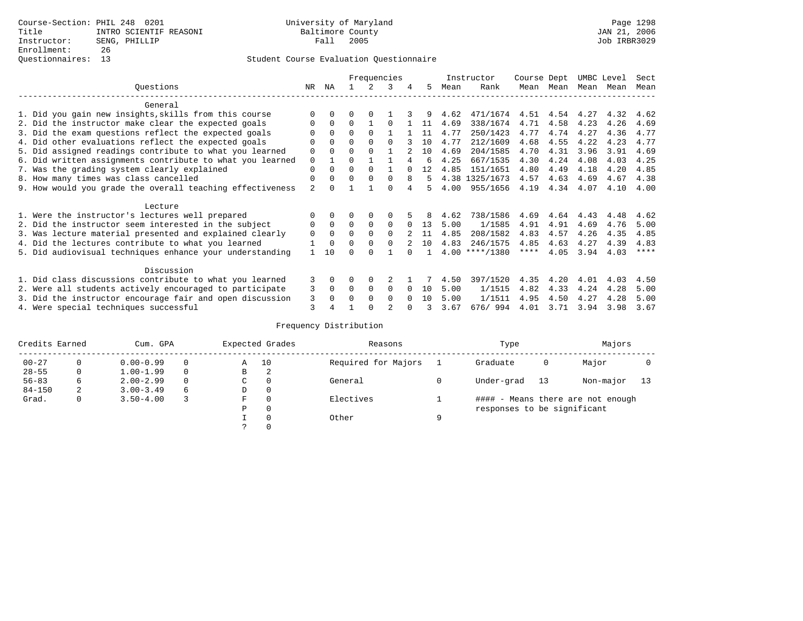|                                                           |                |             |          |          | Frequencies  |          |     |      | Instructor       | Course Dept |      | UMBC Level |      | Sect    |
|-----------------------------------------------------------|----------------|-------------|----------|----------|--------------|----------|-----|------|------------------|-------------|------|------------|------|---------|
| Questions                                                 | NR.            | ΝA          |          |          | 3            | 4        | 5.  | Mean | Rank             | Mean        | Mean | Mean       | Mean | Mean    |
| General                                                   |                |             |          |          |              |          |     |      |                  |             |      |            |      |         |
| 1. Did you gain new insights, skills from this course     |                | $\Omega$    | 0        | $\Omega$ |              |          |     | 4.62 | 471/1674         | 4.51        | 4.54 | 4.27       | 4.32 | 4.62    |
| 2. Did the instructor make clear the expected goals       |                | $\Omega$    | $\Omega$ |          |              |          | 11  | 4.69 | 338/1674         | 4.71        | 4.58 | 4.23       | 4.26 | 4.69    |
| 3. Did the exam questions reflect the expected goals      |                | $\Omega$    | $\Omega$ | $\Omega$ |              |          | 11  | 4.77 | 250/1423         | 4.77        | 4.74 | 4.27       | 4.36 | 4.77    |
| 4. Did other evaluations reflect the expected goals       | O              | $\Omega$    | O        | $\Omega$ | $\Omega$     |          | 10  | 4.77 | 212/1609         | 4.68        | 4.55 | 4.22       | 4.23 | 4.77    |
| 5. Did assigned readings contribute to what you learned   | 0              | $\Omega$    | O        | $\Omega$ |              |          | 10  | 4.69 | 204/1585         | 4.70        | 4.31 | 3.96       | 3.91 | 4.69    |
| 6. Did written assignments contribute to what you learned | 0              |             | U        |          |              |          | ีค  | 4.25 | 667/1535         | 4.30        | 4.24 | 4.08       | 4.03 | 4.25    |
| 7. Was the grading system clearly explained               | $\Omega$       |             | O        | $\Omega$ |              |          |     | 4.85 | 151/1651         | 4.80        | 4.49 | 4.18       | 4.20 | 4.85    |
| 8. How many times was class cancelled                     | 0              | $\Omega$    | 0        | $\Omega$ | 0            | 8        | 5.  |      | 4.38 1325/1673   | 4.57        | 4.63 | 4.69       | 4.67 | 4.38    |
| 9. How would you grade the overall teaching effectiveness | $\overline{2}$ |             |          |          | U            |          |     | 4.00 | 955/1656         | 4.19        | 4.34 | 4.07       | 4.10 | 4.00    |
| Lecture                                                   |                |             |          |          |              |          |     |      |                  |             |      |            |      |         |
| 1. Were the instructor's lectures well prepared           |                |             |          |          |              |          |     | 4.62 | 738/1586         | 4.69        | 4.64 | 4.43       | 4.48 | 4.62    |
| 2. Did the instructor seem interested in the subject      | 0              | $\Omega$    | $\Omega$ | $\Omega$ | 0            |          | 13  | 5.00 | 1/1585           | 4.91        | 4.91 | 4.69       | 4.76 | 5.00    |
| 3. Was lecture material presented and explained clearly   | 0              | $\Omega$    | O        | $\Omega$ | 0            |          | 11  | 4.85 | 208/1582         | 4.83        | 4.57 | 4.26       | 4.35 | 4.85    |
| 4. Did the lectures contribute to what you learned        |                | $\mathbf 0$ | 0        | $\Omega$ | <sup>0</sup> |          | 10  | 4.83 | 246/1575         | 4.85        | 4.63 | 4.27       | 4.39 | 4.83    |
| 5. Did audiovisual techniques enhance your understanding  |                | 10          |          |          |              |          |     |      | $4.00$ ****/1380 | ****        | 4.05 | 3.94       | 4.03 | $***$ * |
| Discussion                                                |                |             |          |          |              |          |     |      |                  |             |      |            |      |         |
| 1. Did class discussions contribute to what you learned   | 3              | $\Omega$    | U        | $\Omega$ |              |          |     | 4.50 | 397/1520         | 4.35        | 4.20 | 4.01       | 4.03 | 4.50    |
| 2. Were all students actively encouraged to participate   | 3              | $\Omega$    | $\Omega$ | 0        | 0            |          | 10  | 5.00 | 1/1515           | 4.82        | 4.33 | 4.24       | 4.28 | 5.00    |
| 3. Did the instructor encourage fair and open discussion  | 3              |             |          | $\Omega$ | 0            | $\Omega$ | 1 N | 5.00 | 1/1511           | 4.95        | 4.50 | 4.27       | 4.28 | 5.00    |
| 4. Were special techniques successful                     | 3              |             |          |          | 2            |          |     | 3.67 | 676/994          | 4.01        | 3.71 | 3.94       | 3.98 | 3.67    |

| Credits Earned |   | Cum. GPA      |          |               | Expected Grades | Reasons             |   | Type                        |    | Majors                            |    |
|----------------|---|---------------|----------|---------------|-----------------|---------------------|---|-----------------------------|----|-----------------------------------|----|
| $00 - 27$      | 0 | $0.00 - 0.99$ |          | Α             | 10              | Required for Majors |   | Graduate                    | 0  | Major                             |    |
| $28 - 55$      | 0 | $1.00 - 1.99$ |          | В             | 2               |                     |   |                             |    |                                   |    |
| $56 - 83$      | 6 | $2.00 - 2.99$ | $\Omega$ | $\sim$<br>◡   | 0               | General             |   | Under-grad                  | 13 | Non-major                         | 13 |
| $84 - 150$     | 2 | $3.00 - 3.49$ | 6        | D             | 0               |                     |   |                             |    |                                   |    |
| Grad.          | 0 | $3.50 - 4.00$ |          | F             | 0               | Electives           |   |                             |    | #### - Means there are not enough |    |
|                |   |               |          | Ρ             | 0               |                     |   | responses to be significant |    |                                   |    |
|                |   |               |          |               | 0               | Other               | a |                             |    |                                   |    |
|                |   |               |          | $\mathcal{L}$ |                 |                     |   |                             |    |                                   |    |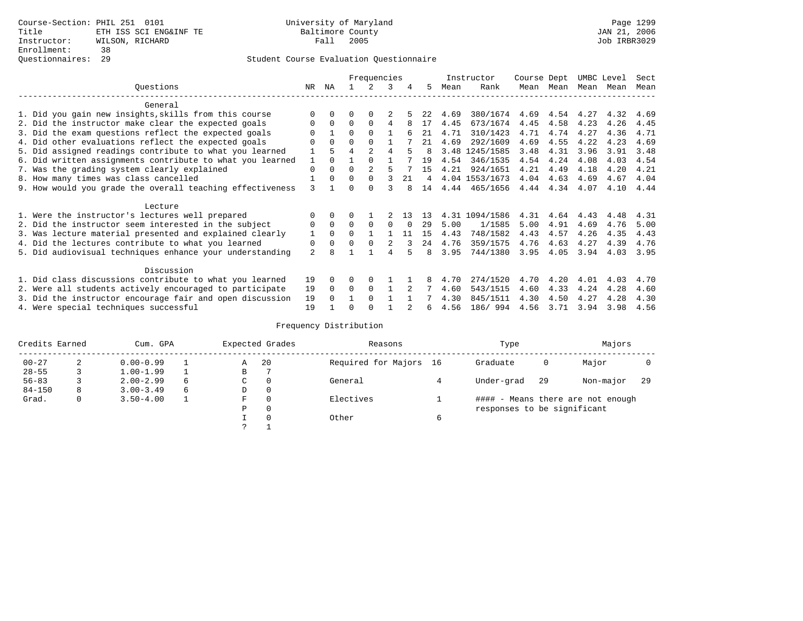|                                                           |          |              |          | Frequencies    |               |               |     |      | Instructor     | Course Dept |      | UMBC Level |      | Sect |
|-----------------------------------------------------------|----------|--------------|----------|----------------|---------------|---------------|-----|------|----------------|-------------|------|------------|------|------|
| Ouestions                                                 | NR       | ΝA           |          |                | 3             | 4             | 5   | Mean | Rank           | Mean        | Mean | Mean Mean  |      | Mean |
| General                                                   |          |              |          |                |               |               |     |      |                |             |      |            |      |      |
| 1. Did you gain new insights, skills from this course     |          |              | U        | 0              |               |               |     | 4.69 | 380/1674       | 4.69        | 4.54 | 4.27       | 4.32 | 4.69 |
| 2. Did the instructor make clear the expected goals       | 0        | $\Omega$     | $\Omega$ | $\Omega$       | 4             | 8             | 17  | 4.45 | 673/1674       | 4.45        | 4.58 | 4.23       | 4.26 | 4.45 |
| 3. Did the exam questions reflect the expected goals      | O        | $\mathbf{1}$ | $\Omega$ | $\Omega$       |               |               | 21  | 4.71 | 310/1423       | 4.71        | 4.74 | 4.27       | 4.36 | 4.71 |
| 4. Did other evaluations reflect the expected goals       | O        | $\Omega$     | 0        | $\Omega$       |               |               | 21  | 4.69 | 292/1609       | 4.69        | 4.55 | 4.22       | 4.23 | 4.69 |
| 5. Did assigned readings contribute to what you learned   |          | 5            | 4        | $\mathfrak{D}$ | 4             |               |     | 3.48 | 1245/1585      | 3.48        | 4.31 | 3.96       | 3.91 | 3.48 |
| 6. Did written assignments contribute to what you learned |          | $\Omega$     |          |                |               |               | 19  | 4.54 | 346/1535       | 4.54        | 4.24 | 4.08       | 4.03 | 4.54 |
| 7. Was the grading system clearly explained               | $\Omega$ | $\Omega$     | 0        | $\mathfrak{D}$ |               |               | 15  | 4.21 | 924/1651       | 4.21        | 4.49 | 4.18       | 4.20 | 4.21 |
| 8. How many times was class cancelled                     |          | $\Omega$     | $\Omega$ | $\Omega$       | 3             | 21            | 4   |      | 4.04 1553/1673 | 4.04        | 4.63 | 4.69       | 4.67 | 4.04 |
| 9. How would you grade the overall teaching effectiveness | 3        |              |          | $\cap$         |               |               | 14  | 4.44 | 465/1656       | 4.44        | 4.34 | 4.07       | 4.10 | 4.44 |
| Lecture                                                   |          |              |          |                |               |               |     |      |                |             |      |            |      |      |
| 1. Were the instructor's lectures well prepared           | 0        |              |          |                |               | 1 3           | -13 | 4.31 | 1094/1586      | 4.31        | 4.64 | 4.43       | 4.48 | 4.31 |
| 2. Did the instructor seem interested in the subject      | 0        | $\Omega$     | $\Omega$ | $\Omega$       | $\Omega$      |               | 29  | 5.00 | 1/1585         | 5.00        | 4.91 | 4.69       | 4.76 | 5.00 |
| 3. Was lecture material presented and explained clearly   |          | $\Omega$     |          |                |               | 11            | 15  | 4.43 | 748/1582       | 4.43        | 4.57 | 4.26       | 4.35 | 4.43 |
| 4. Did the lectures contribute to what you learned        | 0        | $\Omega$     | $\Omega$ | $\Omega$       | $\mathcal{L}$ |               | 24  | 4.76 | 359/1575       | 4.76        | 4.63 | 4.27       | 4.39 | 4.76 |
| 5. Did audiovisual techniques enhance your understanding  | 2        |              |          |                |               |               | 8   | 3.95 | 744/1380       | 3.95        | 4.05 | 3.94       | 4.03 | 3.95 |
| Discussion                                                |          |              |          |                |               |               |     |      |                |             |      |            |      |      |
| 1. Did class discussions contribute to what you learned   | 19       |              |          | 0              |               |               | 8   | 4.70 | 274/1520       | 4.70        | 4.20 | 4.01       | 4.03 | 4.70 |
| 2. Were all students actively encouraged to participate   | 19       | $\Omega$     | $\Omega$ | $\Omega$       |               | $\mathcal{L}$ |     | 4.60 | 543/1515       | 4.60        | 4.33 | 4.24       | 4.28 | 4.60 |
| 3. Did the instructor encourage fair and open discussion  | 19       |              |          | $\Omega$       |               |               |     | 4.30 | 845/1511       | 4.30        | 4.50 | 4.27       | 4.28 | 4.30 |
| 4. Were special techniques successful                     | 19       |              |          |                |               |               | 6   | 4.56 | 186/ 994       | 4.56        | 3.71 | 3.94       | 3.98 | 4.56 |

| Credits Earned |   | Cum. GPA      |   |             | Expected Grades | Reasons                |   | Type                        |     | Majors                            |     |
|----------------|---|---------------|---|-------------|-----------------|------------------------|---|-----------------------------|-----|-----------------------------------|-----|
| $00 - 27$      | 2 | $0.00 - 0.99$ |   | Α           | 20              | Required for Majors 16 |   | Graduate                    | 0   | Major                             |     |
| $28 - 55$      | 3 | $1.00 - 1.99$ |   | В           |                 |                        |   |                             |     |                                   |     |
| $56 - 83$      |   | $2.00 - 2.99$ | 6 | $\sim$<br>◡ | 0               | General                |   | Under-grad                  | -29 | Non-major                         | -29 |
| $84 - 150$     | 8 | $3.00 - 3.49$ | 6 | D           | 0               |                        |   |                             |     |                                   |     |
| Grad.          | 0 | $3.50 - 4.00$ |   | F           | 0               | Electives              |   |                             |     | #### - Means there are not enough |     |
|                |   |               |   | Ρ           | 0               |                        |   | responses to be significant |     |                                   |     |
|                |   |               |   |             | $\Omega$        | Other                  | 6 |                             |     |                                   |     |
|                |   |               |   | C           |                 |                        |   |                             |     |                                   |     |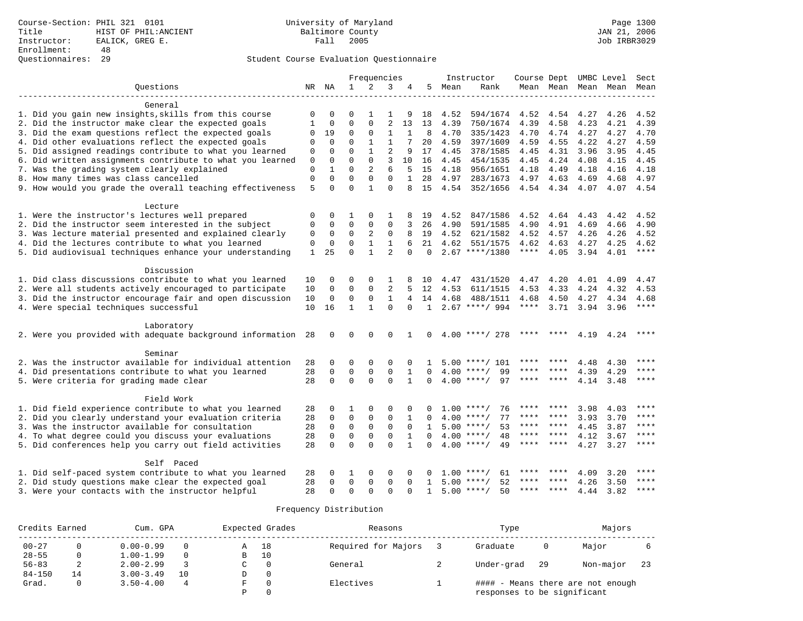|                                                              |              |              |              |                | Frequencies    |              |              |      | Instructor          |             |                     |           | Course Dept UMBC Level | Sect      |
|--------------------------------------------------------------|--------------|--------------|--------------|----------------|----------------|--------------|--------------|------|---------------------|-------------|---------------------|-----------|------------------------|-----------|
| Ouestions                                                    |              | NR NA        | $\mathbf{1}$ | $\overline{2}$ | 3              | 4            | 5            | Mean | Rank                |             | Mean Mean Mean Mean |           |                        | Mean      |
| General                                                      |              |              |              |                |                |              |              |      |                     |             |                     |           |                        |           |
| 1. Did you gain new insights, skills from this course        | 0            | O            |              | 1              | 1              | 9            | 18           | 4.52 | 594/1674            | 4.52        | 4.54                | 4.27      | 4.26                   | 4.52      |
| 2. Did the instructor make clear the expected goals          | 1            | $\Omega$     | $\Omega$     | $\Omega$       | $\overline{2}$ | 13           | 13           | 4.39 | 750/1674            | 4.39        | 4.58                | 4.23      | 4.21                   | 4.39      |
| 3. Did the exam questions reflect the expected goals         | 0            | 19           | 0            | $\mathbf 0$    | 1              | 1            | 8            | 4.70 | 335/1423            | 4.70        | 4.74                | 4.27      | 4.27                   | 4.70      |
| 4. Did other evaluations reflect the expected goals          | 0            | $\mathbf 0$  | $\mathbf 0$  | $\mathbf{1}$   | 1              |              | 20           | 4.59 | 397/1609            | 4.59        | 4.55                | 4.22      | 4.27                   | 4.59      |
| 5. Did assigned readings contribute to what you learned      | 0            | $\mathbf{0}$ | $\Omega$     | $\mathbf{1}$   | $\overline{2}$ | 9            | 17           | 4.45 | 378/1585            | 4.45        | 4.31                | 3.96      | 3.95                   | 4.45      |
| 6. Did written assignments contribute to what you learned    | $\mathbf 0$  | $\mathbf{0}$ | $\Omega$     | $\Omega$       | 3              | 10           | 16           | 4.45 | 454/1535            | 4.45        | 4.24                | 4.08      | 4.15                   | 4.45      |
| 7. Was the grading system clearly explained                  | $\mathbf 0$  | 1            | $\Omega$     | 2              | 6              | 5            | 15           | 4.18 | 956/1651            | 4.18        | 4.49                | 4.18      | 4.16                   | 4.18      |
| 8. How many times was class cancelled                        | $\mathbf{0}$ | $\mathbf 0$  | $\mathbf 0$  | $\mathbf{0}$   | $\mathbf 0$    | $\mathbf{1}$ | 28           | 4.97 | 283/1673            |             | 4.97 4.63           | 4.69      | 4.68                   | 4.97      |
| 9. How would you grade the overall teaching effectiveness    | 5            | $\Omega$     | $\Omega$     | $\mathbf{1}$   | $\Omega$       |              | 15           | 4.54 | 352/1656            |             | 4.54 4.34 4.07      |           |                        | 4.07 4.54 |
| Lecture                                                      |              |              |              |                |                |              |              |      |                     |             |                     |           |                        |           |
| 1. Were the instructor's lectures well prepared              | 0            | 0            | 1            | 0              | 1              |              | 19           | 4.52 | 847/1586            | 4.52        | 4.64                | 4.43      | 4.42                   | 4.52      |
| 2. Did the instructor seem interested in the subject         | $\mathbf 0$  | $\mathbf 0$  | $\Omega$     | $\Omega$       | $\Omega$       | 3            | 26           | 4.90 | 591/1585            | 4.90        | 4.91                | 4.69      | 4.66                   | 4.90      |
| 3. Was lecture material presented and explained clearly      | $\mathbf 0$  | $\mathbf 0$  | $\mathbf 0$  | 2              | 0              | 8            | 19           | 4.52 | 621/1582            | 4.52        | 4.57                | 4.26      | 4.26                   | 4.52      |
| 4. Did the lectures contribute to what you learned           | 0            | $\mathbf 0$  | 0            | $\mathbf{1}$   | 1              | 6            | 21           | 4.62 | 551/1575            | 4.62        | 4.63                | 4.27      | 4.25                   | 4.62      |
| 5. Did audiovisual techniques enhance your understanding     | $\mathbf{1}$ | 25           | $\Omega$     | $\mathbf{1}$   | $\overline{2}$ | $\Omega$     | $\Omega$     |      | $2.67$ ****/1380    | $***$ * * * | 4.05                | 3.94 4.01 |                        | $***$     |
| Discussion                                                   |              |              |              |                |                |              |              |      |                     |             |                     |           |                        |           |
| 1. Did class discussions contribute to what you learned      | 10           | 0            | 0            | 0              |                |              | 10           | 4.47 | 431/1520            | 4.47        | 4.20                | 4.01      | 4.09                   | 4.47      |
| 2. Were all students actively encouraged to participate      | 10           | $\mathbf 0$  | $\mathbf 0$  | $\mathbf{0}$   | 2              |              | 12           | 4.53 | 611/1515            | 4.53        | 4.33                | 4.24      | 4.32                   | 4.53      |
| 3. Did the instructor encourage fair and open discussion     | 10           | $\mathbf{0}$ | $\mathbf 0$  | $\Omega$       | $\mathbf{1}$   | 4            | 14           | 4.68 | 488/1511            | 4.68        | 4.50                | 4.27      | 4.34                   | 4.68      |
| 4. Were special techniques successful                        | 10           | 16           | $\mathbf{1}$ | $\mathbf{1}$   | $\Omega$       | $\Omega$     |              |      | $1, 2.67$ ****/ 994 |             | **** $3.71$ 3.94    |           | 3.96                   | ****      |
| Laboratory                                                   |              |              |              |                |                |              |              |      |                     |             |                     |           |                        |           |
| 2. Were you provided with adequate background information 28 |              | $\mathbf 0$  | $\mathbf 0$  | $\Omega$       | $\Omega$       | 1            | $\Omega$     |      | $4.00$ ****/ 278    |             |                     | 4.19      | 4.24                   | ****      |
| Seminar                                                      |              |              |              |                |                |              |              |      |                     |             |                     |           |                        |           |
| 2. Was the instructor available for individual attention     | 28           | 0            | 0            | 0              | $\Omega$       |              | 1            | 5.00 | ****/ 101           |             |                     | 4.48      | 4.30                   |           |
| 4. Did presentations contribute to what you learned          | 28           | $\Omega$     | $\mathbf 0$  | $\mathbf 0$    | $\mathbf 0$    | 1            | $\Omega$     | 4.00 | 99<br>$***/$        | ****        |                     | 4.39      | 4.29                   | ****      |
| 5. Were criteria for grading made clear                      | 28           | $\Omega$     | $\Omega$     | $\Omega$       | $\Omega$       | 1            | $\Omega$     |      | $4.00$ ****/<br>97  | ****        | ****                | 4.14      | 3.48                   | ****      |
| Field Work                                                   |              |              |              |                |                |              |              |      |                     |             |                     |           |                        |           |
| 1. Did field experience contribute to what you learned       | 28           | $\Omega$     | 1            | $\Omega$       | $\Omega$       |              |              |      | $1.00$ ****/<br>76  | ****        | ****                | 3.98      | 4.03                   | ****      |
| 2. Did you clearly understand your evaluation criteria       | 28           | $\mathbf 0$  | $\mathbf 0$  | $\mathsf 0$    | $\mathbf 0$    | 1            | $\Omega$     |      | $4.00$ ****/<br>77  | ****        | ****                | 3.93      | 3.70                   | ****      |
| 3. Was the instructor available for consultation             | 28           | $\mathbf 0$  | $\mathbf 0$  | $\Omega$       | $\Omega$       | $\Omega$     | $\mathbf{1}$ |      | $5.00$ ****/<br>53  | ****        | ****                | 4.45      | 3.87                   | $***$     |
| 4. To what degree could you discuss your evaluations         | 28           | $\Omega$     | $\Omega$     | $\Omega$       | $\Omega$       | $\mathbf{1}$ | $\Omega$     |      | $4.00$ ****/<br>48  | ****        | $***$ *             | 4.12      | 3.67                   | ****      |
| 5. Did conferences help you carry out field activities       | 28           | $\Omega$     | $\Omega$     | $\Omega$       | $\Omega$       | $\mathbf{1}$ | $\Omega$     |      | $4.00$ ****/<br>49  | ****        | ****                | 4.27      | 3.27                   | ****      |
| Self Paced                                                   |              |              |              |                |                |              |              |      |                     |             |                     |           |                        |           |
| 1. Did self-paced system contribute to what you learned      | 28           | 0            | 1            | 0              | 0              |              |              | 1.00 | 61<br>$***/$        | ****        | ****                | 4.09      | 3.20                   | ****      |
| 2. Did study questions make clear the expected goal          | 28           | $\Omega$     | $\mathbf 0$  | 0              | $\mathbf{0}$   | $\Omega$     | 1            |      | $5.00$ ****/<br>52  | ****        | ****                | 4.26      | 3.50                   | ****      |
| 3. Were your contacts with the instructor helpful            | 28           | $\Omega$     | $\Omega$     | $\Omega$       | $\Omega$       | $\Omega$     | $\mathbf{1}$ |      | 50<br>$5.00$ ****/  | ****        | $***$ * * *         | 4.44      | 3.82                   | ****      |

| Credits Earned |    | Cum. GPA      |    |   | Expected Grades | Reasons             | Type                        |      | Majors                            |     |
|----------------|----|---------------|----|---|-----------------|---------------------|-----------------------------|------|-----------------------------------|-----|
| $00 - 27$      |    | $0.00 - 0.99$ |    | А | 18              | Required for Majors | Graduate                    |      | Major                             |     |
| $28 - 55$      |    | $1.00 - 1.99$ |    | в | 10              |                     |                             |      |                                   |     |
| $56 - 83$      |    | $2.00 - 2.99$ |    | ◡ |                 | General             | Under-grad                  | - 29 | Non-major                         | -23 |
| $84 - 150$     | 14 | $3.00 - 3.49$ | 10 | D | 0               |                     |                             |      |                                   |     |
| Grad.          |    | $3.50 - 4.00$ |    |   |                 | Electives           |                             |      | #### - Means there are not enough |     |
|                |    |               |    | D |                 |                     | responses to be significant |      |                                   |     |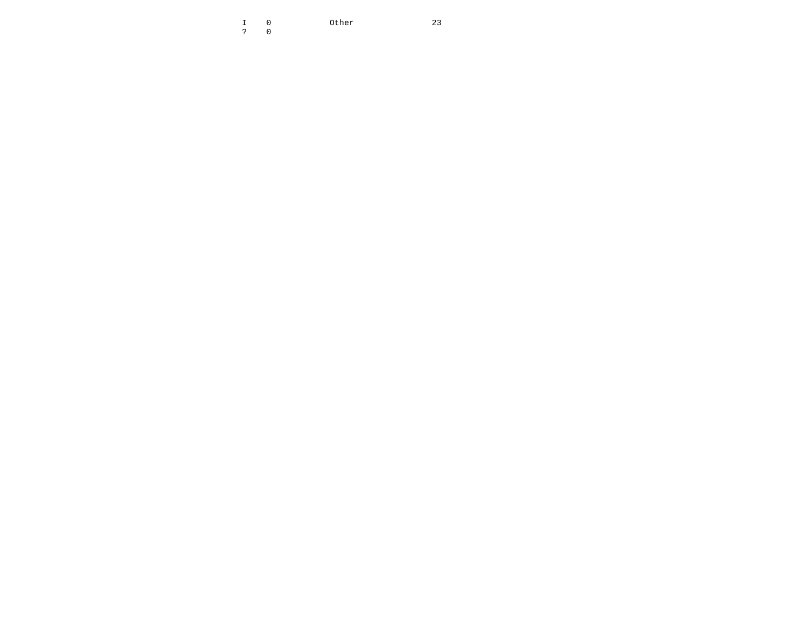I 0 Other 23  $23$ ? 0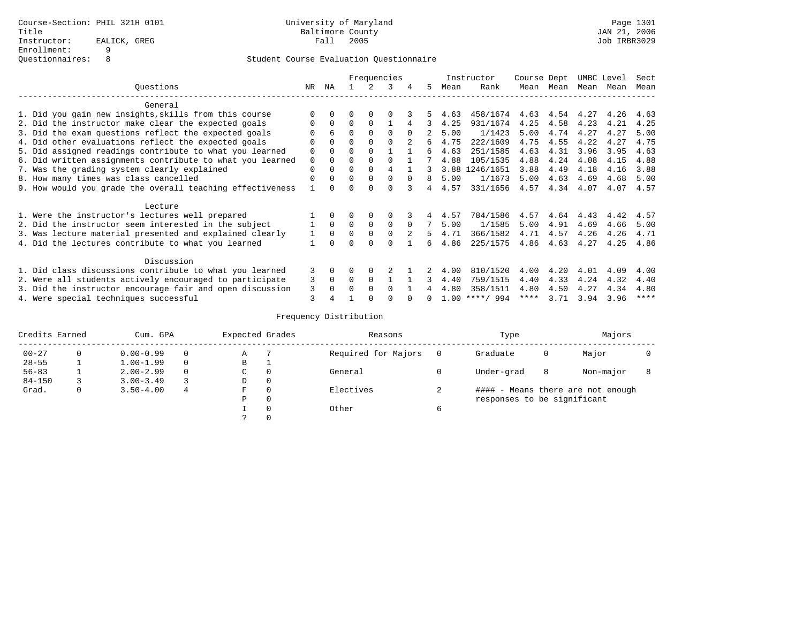|                                                           |          |          |          |          | Frequencies |             |                |      | Instructor       | Course Dept |                | UMBC Level |      | Sect |
|-----------------------------------------------------------|----------|----------|----------|----------|-------------|-------------|----------------|------|------------------|-------------|----------------|------------|------|------|
| Ouestions                                                 | NR       | ΝA       |          | 2        | 3           | 4           | 5              | Mean | Rank             | Mean        | Mean           | Mean       | Mean | Mean |
| General                                                   |          |          |          |          |             |             |                |      |                  |             |                |            |      |      |
| 1. Did you gain new insights, skills from this course     |          |          |          |          |             |             |                | 4.63 | 458/1674         |             | 4.63 4.54 4.27 |            | 4.26 | 4.63 |
| 2. Did the instructor make clear the expected goals       |          |          | $\Omega$ |          |             |             |                | 4.25 | 931/1674         | 4.25        | 4.58           | 4.23       | 4.21 | 4.25 |
| 3. Did the exam questions reflect the expected goals      |          |          | $\Omega$ |          |             | $\Omega$    |                | 5.00 | 1/1423           | 5.00        | 4.74           | 4.27       | 4.27 | 5.00 |
| 4. Did other evaluations reflect the expected goals       |          |          |          |          |             |             | 6              | 4.75 | 222/1609         | 4.75        | 4.55           | 4.22       | 4.27 | 4.75 |
| 5. Did assigned readings contribute to what you learned   |          |          |          |          |             |             | б.             | 4.63 | 251/1585         | 4.63        | 4.31           | 3.96       | 3.95 | 4.63 |
| 6. Did written assignments contribute to what you learned | $\Omega$ |          |          |          |             |             |                | 4.88 | 105/1535         | 4.88        | 4.24           | 4.08       | 4.15 | 4.88 |
| 7. Was the grading system clearly explained               | $\Omega$ |          | $\Omega$ |          |             |             | 3              |      | 3.88 1246/1651   | 3.88        | 4.49           | 4.18       | 4.16 | 3.88 |
| 8. How many times was class cancelled                     |          |          |          |          |             | $\Omega$    | 8              | 5.00 | 1/1673           | 5.00        | 4.63           | 4.69       | 4.68 | 5.00 |
| 9. How would you grade the overall teaching effectiveness |          |          |          |          |             |             | $\overline{4}$ | 4.57 | 331/1656         |             | 4.57 4.34 4.07 |            | 4.07 | 4.57 |
| Lecture                                                   |          |          |          |          |             |             |                |      |                  |             |                |            |      |      |
| 1. Were the instructor's lectures well prepared           |          |          |          |          |             |             | 4              | 4.57 | 784/1586         | 4.57        | 4.64           | 4.43       | 4.42 | 4.57 |
| 2. Did the instructor seem interested in the subject      |          | $\Omega$ | $\Omega$ | $\Omega$ | $\Omega$    | $\Omega$    | 7              | 5.00 | 1/1585           | 5.00        | 4.91           | 4.69       | 4.66 | 5.00 |
| 3. Was lecture material presented and explained clearly   |          | $\Omega$ | $\Omega$ |          |             | $2^{\circ}$ | 5.             | 4.71 | 366/1582         | 4.71        | 4.57           | 4.26       | 4.26 | 4.71 |
| 4. Did the lectures contribute to what you learned        |          |          | $\cap$   |          |             |             | б.             | 4.86 | 225/1575         | 4.86        | 4.63           | 4.27       | 4.25 | 4.86 |
| Discussion                                                |          |          |          |          |             |             |                |      |                  |             |                |            |      |      |
| 1. Did class discussions contribute to what you learned   | 3        |          |          |          |             |             | 2              | 4.00 | 810/1520         | 4.00        | 4.20           | 4.01       | 4.09 | 4.00 |
| 2. Were all students actively encouraged to participate   | 3        | $\Omega$ | $\Omega$ |          |             |             | 3              | 4.40 | 759/1515         | 4.40        | 4.33           | 4.24       | 4.32 | 4.40 |
| 3. Did the instructor encourage fair and open discussion  | 3        |          | $\cap$   | $\cap$   | $\cap$      |             |                | 4.80 | 358/1511         | 4.80        | 4.50           | 4.27       | 4.34 | 4.80 |
| 4. Were special techniques successful                     |          |          |          |          |             |             |                |      | $1.00$ ****/ 994 | ****        | 3.71           | 3.94       | 3.96 | **** |

| Credits Earned | Cum. GPA      |   | Expected Grades |          | Reasons             |   | Type                        |   | Majors                            |  |
|----------------|---------------|---|-----------------|----------|---------------------|---|-----------------------------|---|-----------------------------------|--|
| $00 - 27$      | $0.00 - 0.99$ |   | Α               |          | Required for Majors |   | Graduate                    | 0 | Major                             |  |
| $28 - 55$      | $1.00 - 1.99$ | 0 | В               |          |                     |   |                             |   |                                   |  |
| $56 - 83$      | $2.00 - 2.99$ |   | C               | $\Omega$ | General             |   | Under-grad                  | 8 | Non-major                         |  |
| $84 - 150$     | $3.00 - 3.49$ |   | D               | 0        |                     |   |                             |   |                                   |  |
| Grad.          | $3.50 - 4.00$ | 4 | F               | $\Omega$ | Electives           |   |                             |   | #### - Means there are not enough |  |
|                |               |   | Ρ               | 0        |                     |   | responses to be significant |   |                                   |  |
|                |               |   |                 | $\Omega$ | Other               | 6 |                             |   |                                   |  |
|                |               |   |                 |          |                     |   |                             |   |                                   |  |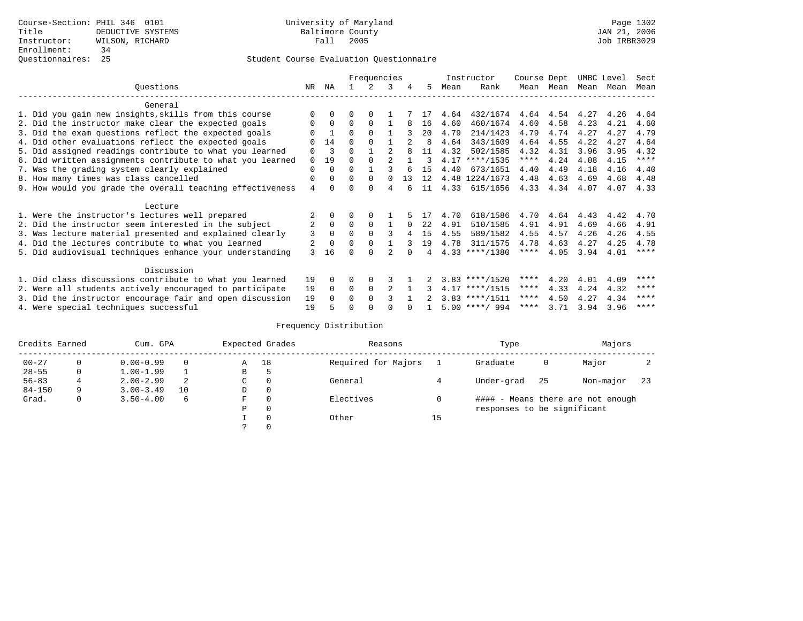|                                                           |                |          |          | Frequencies |          |          |     |      | Instructor       | Course Dept |           | UMBC Level |      | Sect        |
|-----------------------------------------------------------|----------------|----------|----------|-------------|----------|----------|-----|------|------------------|-------------|-----------|------------|------|-------------|
| Ouestions                                                 | NR             | ΝA       |          | 2           | 3        |          | 5.  | Mean | Rank             |             | Mean Mean | Mean       | Mean | Mean        |
| General                                                   |                |          |          |             |          |          |     |      |                  |             |           |            |      |             |
| 1. Did you gain new insights, skills from this course     |                | 0        | O        | $\Omega$    |          |          |     | 4.64 | 432/1674         | 4.64        | 4.54      | 4.27       | 4.26 | 4.64        |
| 2. Did the instructor make clear the expected goals       | $\Omega$       | $\Omega$ | $\Omega$ | $\Omega$    |          |          | 16  | 4.60 | 460/1674         | 4.60        | 4.58      | 4.23       | 4.21 | 4.60        |
| 3. Did the exam questions reflect the expected goals      |                |          | $\Omega$ | $\Omega$    |          |          | 20  | 4.79 | 214/1423         | 4.79        | 4.74      | 4.27       | 4.27 | 4.79        |
| 4. Did other evaluations reflect the expected goals       |                | 14       | $\Omega$ |             |          |          | 8   | 4.64 | 343/1609         | 4.64        | 4.55      | 4.22       | 4.27 | 4.64        |
| 5. Did assigned readings contribute to what you learned   | $\Omega$       | 3        | $\Omega$ |             |          |          | 11  | 4.32 | 502/1585         | 4.32        | 4.31      | 3.96       | 3.95 | 4.32        |
| 6. Did written assignments contribute to what you learned | $\Omega$       | 19       | O        |             |          |          | ζ   |      | $4.17$ ****/1535 | $***$ * * * | 4.24      | 4.08       | 4.15 | $***$ * * * |
| 7. Was the grading system clearly explained               | $\Omega$       |          | $\Omega$ |             | २        |          | 1.5 | 4.40 | 673/1651         | 4.40        | 4.49      | 4.18       | 4.16 | 4.40        |
| 8. How many times was class cancelled                     | $\Omega$       | 0        | $\Omega$ | $\Omega$    | $\Omega$ | 13       | 12  |      | 4.48 1224/1673   | 4.48        | 4.63      | 4.69       | 4.68 | 4.48        |
| 9. How would you grade the overall teaching effectiveness | 4              |          | U        | ∩           | 4        |          | 11  | 4.33 | 615/1656         | 4.33        | 4.34      | 4.07       | 4.07 | 4.33        |
| Lecture                                                   |                |          |          |             |          |          |     |      |                  |             |           |            |      |             |
| 1. Were the instructor's lectures well prepared           |                |          |          |             |          |          |     | 4.70 | 618/1586         | 4.70        | 4.64      | 4.43       | 4.42 | 4.70        |
| 2. Did the instructor seem interested in the subject      | $\overline{2}$ | $\Omega$ | $\Omega$ | $\Omega$    |          | $\Omega$ | 22  | 4.91 | 510/1585         | 4.91        | 4.91      | 4.69       | 4.66 | 4.91        |
| 3. Was lecture material presented and explained clearly   | 3              | $\Omega$ | $\Omega$ |             | 3        |          | 15  | 4.55 | 589/1582         | 4.55        | 4.57      | 4.26       | 4.26 | 4.55        |
| 4. Did the lectures contribute to what you learned        |                |          | 0        |             |          |          | 19  | 4.78 | 311/1575         | 4.78        | 4.63      | 4.27       | 4.25 | 4.78        |
| 5. Did audiovisual techniques enhance your understanding  | 3              | 16       | ∩        |             |          |          |     |      | $4.33$ ****/1380 | ****        | 4.05      | 3.94       | 4.01 | $***$ * * * |
| Discussion                                                |                |          |          |             |          |          |     |      |                  |             |           |            |      |             |
| 1. Did class discussions contribute to what you learned   | 19             | 0        | O        | 0           |          |          |     |      | $3.83$ ****/1520 | $***$ * *   | 4.20      | 4.01       | 4.09 | ****        |
| 2. Were all students actively encouraged to participate   | 19             | $\Omega$ | $\Omega$ | 0           |          |          |     |      | $4.17$ ****/1515 | $***$ * * * | 4.33      | 4.24       | 4.32 | ****        |
| 3. Did the instructor encourage fair and open discussion  | 19             | 0        | $\Omega$ |             |          |          |     |      | $3.83$ ****/1511 | ****        | 4.50      | 4.27       | 4.34 | ****        |
| 4. Were special techniques successful                     | 19             |          | U        |             |          |          |     |      | $5.00$ ****/ 994 | ****        | 3.71      | 3.94       | 3.96 | ****        |

| Credits Earned |   | Cum. GPA      |    |    | Expected Grades | Reasons             |    | Type                        |     | Majors                            |     |
|----------------|---|---------------|----|----|-----------------|---------------------|----|-----------------------------|-----|-----------------------------------|-----|
| $00 - 27$      |   | $0.00 - 0.99$ |    | Α  | 18              | Required for Majors |    | Graduate                    | 0   | Major                             |     |
| $28 - 55$      | 0 | $1.00 - 1.99$ |    | В  | c               |                     |    |                             |     |                                   |     |
| $56 - 83$      |   | $2.00 - 2.99$ |    | C. | $\Omega$        | General             |    | Under-grad                  | -25 | Non-major                         | -23 |
| $84 - 150$     | 9 | $3.00 - 3.49$ | 10 | D  | 0               |                     |    |                             |     |                                   |     |
| Grad.          | 0 | $3.50 - 4.00$ | 6  | F  | $\Omega$        | Electives           |    |                             |     | #### - Means there are not enough |     |
|                |   |               |    | Ρ  | 0               |                     |    | responses to be significant |     |                                   |     |
|                |   |               |    |    | $\Omega$        | Other               | 15 |                             |     |                                   |     |
|                |   |               |    |    |                 |                     |    |                             |     |                                   |     |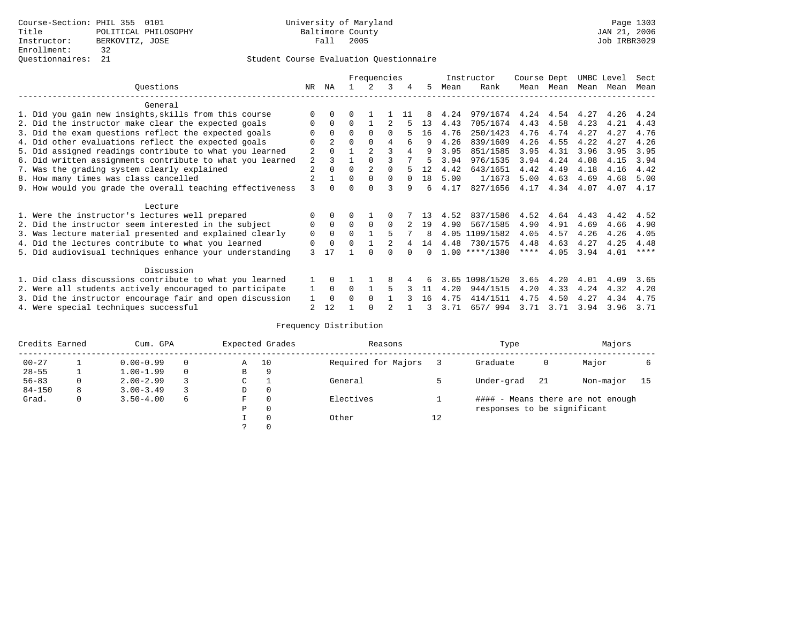|                                                           |    |                |              | Frequencies    |          |          |    |      | Instructor       | Course Dept |           | UMBC Level |      | Sect    |
|-----------------------------------------------------------|----|----------------|--------------|----------------|----------|----------|----|------|------------------|-------------|-----------|------------|------|---------|
| Ouestions                                                 | NR | ΝA             |              | $\mathcal{L}$  | 3        | 4        | 5  | Mean | Rank             |             | Mean Mean | Mean Mean  |      | Mean    |
| General                                                   |    |                |              |                |          |          |    |      |                  |             |           |            |      |         |
| 1. Did you gain new insights, skills from this course     |    | $\Omega$       | 0            |                |          | -11      |    | 4.24 | 979/1674         | 4.24        | 4.54      | 4.27       | 4.26 | 4.24    |
| 2. Did the instructor make clear the expected goals       | 0  | $\Omega$       | 0            |                |          |          | 13 | 4.43 | 705/1674         | 4.43        | 4.58      | 4.23       | 4.21 | 4.43    |
| 3. Did the exam questions reflect the expected goals      |    | $\Omega$       | $\Omega$     | $\Omega$       | 0        |          | 16 | 4.76 | 250/1423         | 4.76        | 4.74      | 4.27       | 4.27 | 4.76    |
| 4. Did other evaluations reflect the expected goals       |    | $\overline{2}$ | 0            | $\Omega$       | 4        | 6        | 9  | 4.26 | 839/1609         | 4.26        | 4.55      | 4.22       | 4.27 | 4.26    |
| 5. Did assigned readings contribute to what you learned   | 2  | 0              |              | $\overline{2}$ | 3        | 4        | 9  | 3.95 | 851/1585         | 3.95        | 4.31      | 3.96       | 3.95 | 3.95    |
| 6. Did written assignments contribute to what you learned | 2  | ζ              |              |                |          |          | 5  | 3.94 | 976/1535         | 3.94        | 4.24      | 4.08       | 4.15 | 3.94    |
| 7. Was the grading system clearly explained               | 2  | $\Omega$       | U            | $\overline{2}$ |          |          | 12 | 4.42 | 643/1651         | 4.42        | 4.49      | 4.18       | 4.16 | 4.42    |
| 8. How many times was class cancelled                     | 2  |                | $\Omega$     | $\Omega$       | $\Omega$ | $\Omega$ | 18 | 5.00 | 1/1673           | 5.00        | 4.63      | 4.69       | 4.68 | 5.00    |
| 9. How would you grade the overall teaching effectiveness | 3  | <sup>n</sup>   |              | $\cap$         | ς        | q        | б. | 4.17 | 827/1656         | 4.17        | 4.34      | 4.07       | 4.07 | 4.17    |
| Lecture                                                   |    |                |              |                |          |          |    |      |                  |             |           |            |      |         |
| 1. Were the instructor's lectures well prepared           |    | $\Omega$       |              |                |          |          |    | 4.52 | 837/1586         | 4.52        | 4.64      | 4.43       | 4.42 | 4.52    |
| 2. Did the instructor seem interested in the subject      | 0  | $\Omega$       | $\Omega$     | $\Omega$       | $\Omega$ |          | 19 | 4.90 | 567/1585         | 4.90        | 4.91      | 4.69       | 4.66 | 4.90    |
| 3. Was lecture material presented and explained clearly   | 0  | $\mathbf 0$    | 0            |                | 5        |          | 8  |      | 4.05 1109/1582   | 4.05        | 4.57      | 4.26       | 4.26 | 4.05    |
| 4. Did the lectures contribute to what you learned        | 0  | $\Omega$       | <sup>0</sup> |                |          |          | 14 |      | 4.48 730/1575    | 4.48        | 4.63      | 4.27       | 4.25 | 4.48    |
| 5. Did audiovisual techniques enhance your understanding  | 3  | 17             |              |                |          |          |    |      | $1.00$ ****/1380 | ****        | 4.05      | 3.94       | 4.01 | $***$ * |
| Discussion                                                |    |                |              |                |          |          |    |      |                  |             |           |            |      |         |
| 1. Did class discussions contribute to what you learned   |    | $\Omega$       |              |                | 8        |          |    | 3.65 | 1098/1520        | 3.65        | 4.20      | 4.01       | 4.09 | 3.65    |
| 2. Were all students actively encouraged to participate   |    | $\mathbf 0$    | $\Omega$     |                | 5        |          | 11 | 4.20 | 944/1515         | 4.20        | 4.33      | 4.24       | 4.32 | 4.20    |
| 3. Did the instructor encourage fair and open discussion  |    | $\Omega$       | U            | $\Omega$       |          |          | 16 | 4.75 | 414/1511         | 4.75        | 4.50      | 4.27       | 4.34 | 4.75    |
| 4. Were special techniques successful                     | 2  | 12             |              |                |          |          |    | 3.71 | 657/994          | 3.71        | 3.71      | 3.94       | 3.96 | 3.71    |

| Credits Earned |   | Cum. GPA      |   |             | Expected Grades | Reasons             |    | Type                        |     | Majors                            |    |
|----------------|---|---------------|---|-------------|-----------------|---------------------|----|-----------------------------|-----|-----------------------------------|----|
| $00 - 27$      |   | $0.00 - 0.99$ |   | Α           | 10              | Required for Majors |    | Graduate                    | 0   | Major                             |    |
| $28 - 55$      | ᅩ | $1.00 - 1.99$ |   | B           | 9               |                     |    |                             |     |                                   |    |
| $56 - 83$      | 0 | $2.00 - 2.99$ |   | $\sim$<br>J |                 | General             |    | Under-grad                  | -21 | Non-major                         | 15 |
| $84 - 150$     | 8 | $3.00 - 3.49$ |   | D           | 0               |                     |    |                             |     |                                   |    |
| Grad.          | 0 | $3.50 - 4.00$ | 6 | F           | 0               | Electives           |    |                             |     | #### - Means there are not enough |    |
|                |   |               |   | Ρ           | 0               |                     |    | responses to be significant |     |                                   |    |
|                |   |               |   |             | $\Omega$        | Other               | 12 |                             |     |                                   |    |
|                |   |               |   |             |                 |                     |    |                             |     |                                   |    |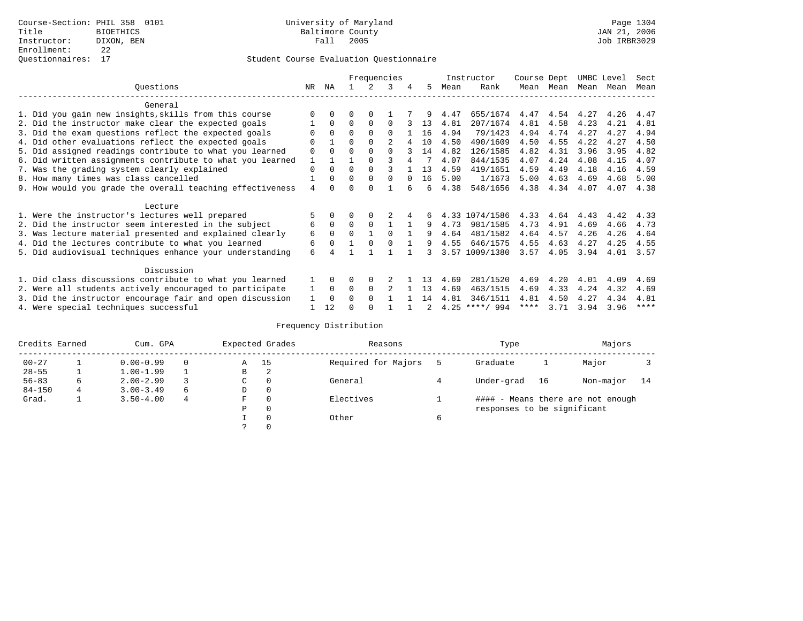|                                                           |                |              |          |          | Frequencies |          |    |      | Instructor       | Course Dept |      | UMBC Level |      | Sect        |
|-----------------------------------------------------------|----------------|--------------|----------|----------|-------------|----------|----|------|------------------|-------------|------|------------|------|-------------|
| Ouestions                                                 | NR.            | ΝA           |          |          | 3           | 4        | 5. | Mean | Rank             | Mean        | Mean | Mean       | Mean | Mean        |
| General                                                   |                |              |          |          |             |          |    |      |                  |             |      |            |      |             |
| 1. Did you gain new insights, skills from this course     |                | $\Omega$     | O        | $\Omega$ |             |          |    | 4.47 | 655/1674         | 4.47        | 4.54 | 4.27       | 4.26 | 4.47        |
| 2. Did the instructor make clear the expected goals       |                | $\Omega$     | $\Omega$ | $\Omega$ | $\Omega$    |          | 13 | 4.81 | 207/1674         | 4.81        | 4.58 | 4.23       | 4.21 | 4.81        |
| 3. Did the exam questions reflect the expected goals      |                | $\Omega$     | $\Omega$ | $\Omega$ | $\Omega$    |          | 16 | 4.94 | 79/1423          | 4.94        | 4.74 | 4.27       | 4.27 | 4.94        |
| 4. Did other evaluations reflect the expected goals       | $\Omega$       |              | $\Omega$ | $\Omega$ |             |          | 10 | 4.50 | 490/1609         | 4.50        | 4.55 | 4.22       | 4.27 | 4.50        |
| 5. Did assigned readings contribute to what you learned   | $\mathbf 0$    | $\Omega$     |          | $\Omega$ | $\Omega$    |          | 14 | 4.82 | 126/1585         | 4.82        | 4.31 | 3.96       | 3.95 | 4.82        |
| 6. Did written assignments contribute to what you learned | 1              |              |          |          |             |          |    | 4.07 | 844/1535         | 4.07        | 4.24 | 4.08       | 4.15 | 4.07        |
| 7. Was the grading system clearly explained               | $\Omega$       | $\Omega$     | $\Omega$ | $\Omega$ |             |          | 13 | 4.59 | 419/1651         | 4.59        | 4.49 | 4.18       | 4.16 | 4.59        |
| 8. How many times was class cancelled                     |                | $\Omega$     | $\Omega$ | $\Omega$ | $\Omega$    | $\Omega$ | 16 | 5.00 | 1/1673           | 5.00        | 4.63 | 4.69       | 4.68 | 5.00        |
| 9. How would you grade the overall teaching effectiveness | $\overline{4}$ | <sup>n</sup> | U        | $\cap$   |             |          | б. | 4.38 | 548/1656         | 4.38        | 4.34 | 4.07       | 4.07 | 4.38        |
| Lecture                                                   |                |              |          |          |             |          |    |      |                  |             |      |            |      |             |
| 1. Were the instructor's lectures well prepared           |                |              |          |          |             |          | б. |      | 4.33 1074/1586   | 4.33        | 4.64 | 4.43       | 4.42 | 4.33        |
| 2. Did the instructor seem interested in the subject      | 6              | $\Omega$     | $\Omega$ | $\Omega$ |             |          | 9  | 4.73 | 981/1585         | 4.73        | 4.91 | 4.69       | 4.66 | 4.73        |
| 3. Was lecture material presented and explained clearly   | 6              | $\Omega$     | $\Omega$ |          | $\Omega$    |          | 9  | 4.64 | 481/1582         | 4.64        | 4.57 | 4.26       | 4.26 | 4.64        |
| 4. Did the lectures contribute to what you learned        | 6              | $\Omega$     |          | $\Omega$ |             |          | 9  | 4.55 | 646/1575         | 4.55        | 4.63 | 4.27       | 4.25 | 4.55        |
| 5. Did audiovisual techniques enhance your understanding  | 6              |              |          |          |             |          | २  |      | 3.57 1009/1380   | 3.57        | 4.05 | 3.94       | 4.01 | 3.57        |
| Discussion                                                |                |              |          |          |             |          |    |      |                  |             |      |            |      |             |
| 1. Did class discussions contribute to what you learned   |                | $\Omega$     | U        | $\Omega$ |             |          | 13 | 4.69 | 281/1520         | 4.69        | 4.20 | 4.01       | 4.09 | 4.69        |
| 2. Were all students actively encouraged to participate   |                | $\Omega$     | $\Omega$ | $\Omega$ |             |          | 13 | 4.69 | 463/1515         | 4.69        | 4.33 | 4.24       | 4.32 | 4.69        |
| 3. Did the instructor encourage fair and open discussion  | 1              | $\Omega$     | 0        | $\Omega$ |             |          | 14 | 4.81 | 346/1511         | 4.81        | 4.50 | 4.27       | 4.34 | 4.81        |
| 4. Were special techniques successful                     |                | 12           |          |          |             |          | 2  |      | $4.25$ ****/ 994 | ****        | 3.71 | 3.94       | 3.96 | $***$ * * * |

| Credits Earned |   | Cum. GPA      |   |    | Expected Grades | Reasons             | Type                        |    | Majors                            |      |
|----------------|---|---------------|---|----|-----------------|---------------------|-----------------------------|----|-----------------------------------|------|
| $00 - 27$      |   | $0.00 - 0.99$ |   | Α  | - 15            | Required for Majors | Graduate                    |    | Major                             |      |
| $28 - 55$      |   | $1.00 - 1.99$ |   | В  | 2               |                     |                             |    |                                   |      |
| $56 - 83$      | 6 | $2.00 - 2.99$ |   | C. | $\Omega$        | General             | Under-grad                  | 16 | Non-major                         | - 14 |
| $84 - 150$     |   | $3.00 - 3.49$ | 6 | D  | 0               |                     |                             |    |                                   |      |
| Grad.          |   | $3.50 - 4.00$ | 4 | F  | $\Omega$        | Electives           |                             |    | #### - Means there are not enough |      |
|                |   |               |   | Ρ  | 0               |                     | responses to be significant |    |                                   |      |
|                |   |               |   |    | $\Omega$        | Other               |                             |    |                                   |      |
|                |   |               |   |    |                 |                     |                             |    |                                   |      |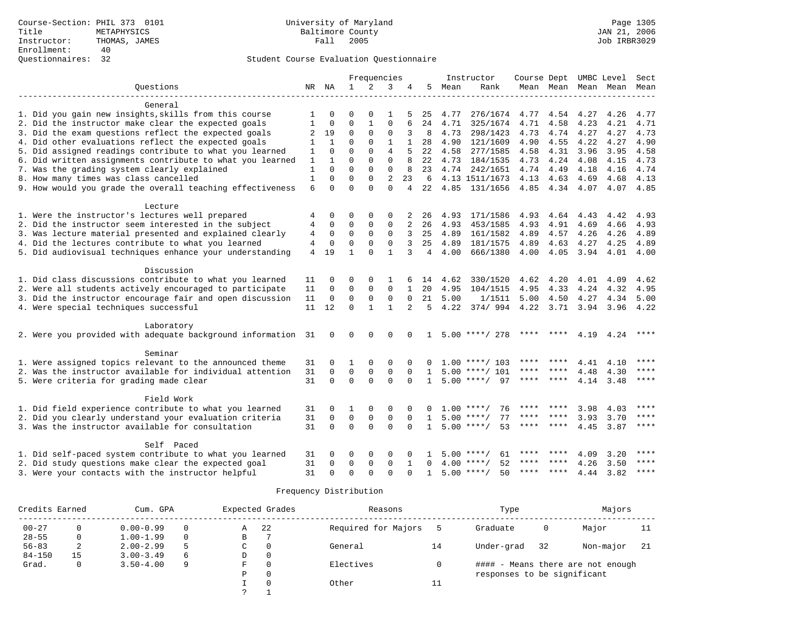|                                                              |                |              |              | Frequencies  |                |                |                 |      | Instructor              | Course Dept |                     |           | UMBC Level     | Sect        |
|--------------------------------------------------------------|----------------|--------------|--------------|--------------|----------------|----------------|-----------------|------|-------------------------|-------------|---------------------|-----------|----------------|-------------|
| Questions                                                    |                | NR NA        | $\mathbf{1}$ | 2            | 3              | 4              | 5               | Mean | Rank                    |             | Mean Mean Mean Mean |           |                | Mean        |
|                                                              |                |              |              |              |                |                |                 |      |                         |             |                     |           |                |             |
| General                                                      |                |              |              |              |                |                |                 |      |                         |             |                     |           |                |             |
| 1. Did you gain new insights, skills from this course        | 1              | $\Omega$     | $\Omega$     | $\Omega$     | 1              |                | 25              | 4.77 | 276/1674                | 4.77        |                     | 4.54 4.27 | 4.26           | 4.77        |
| 2. Did the instructor make clear the expected goals          | 1              | $\Omega$     | $\Omega$     | $\mathbf{1}$ | $\Omega$       |                | 24              | 4.71 | 325/1674                | 4.71        | 4.58                | 4.23      | 4.21           | 4.71        |
| 3. Did the exam questions reflect the expected goals         | 2              | 19           | $\mathbf 0$  | $\mathbf{0}$ | 0              | 3              | 8               | 4.73 | 298/1423                | 4.73        | 4.74                | 4.27      | 4.27           | 4.73        |
| 4. Did other evaluations reflect the expected goals          | 1              | $\mathbf{1}$ | $\Omega$     | $\Omega$     | $\mathbf{1}$   | $\mathbf{1}$   | 28              | 4.90 | 121/1609                | 4.90        | 4.55                | 4.22      | 4.27           | 4.90        |
| 5. Did assigned readings contribute to what you learned      | 1              | $\Omega$     | $\Omega$     | $\Omega$     | $\overline{4}$ | 5              | 22              | 4.58 | 277/1585                | 4.58        | 4.31                | 3.96      | 3.95           | 4.58        |
| 6. Did written assignments contribute to what you learned    | 1              | 1            | $\Omega$     | $\Omega$     | $\Omega$       | 8              | 22              | 4.73 | 184/1535                | 4.73        | 4.24                | 4.08      | 4.15           | 4.73        |
| 7. Was the grading system clearly explained                  | $\mathbf{1}$   | $\Omega$     | $\Omega$     | $\Omega$     | $\Omega$       | 8              | 23              | 4.74 | 242/1651                | 4.74        | 4.49                | 4.18      | 4.16           | 4.74        |
| 8. How many times was class cancelled                        | $\mathbf{1}$   | $\Omega$     | $\Omega$     | $\Omega$     | $\overline{2}$ | 23             | 6               |      | 4.13 1511/1673          | 4.13        | 4.63                | 4.69      | 4.68           | 4.13        |
| 9. How would you grade the overall teaching effectiveness    | 6              | $\Omega$     | $\Omega$     | $\cap$       | $\Omega$       | $\overline{4}$ | 22              |      | 4.85 131/1656           |             | 4.85 4.34 4.07      |           |                | 4.07 4.85   |
|                                                              |                |              |              |              |                |                |                 |      |                         |             |                     |           |                |             |
| Lecture                                                      |                |              |              |              |                |                |                 |      |                         |             |                     |           |                |             |
| 1. Were the instructor's lectures well prepared              | 4              | $\Omega$     | $\Omega$     | $\Omega$     | $\Omega$       |                | 26              | 4.93 | 171/1586                | 4.93        | 4.64                | 4.43      | 4.42           | 4.93        |
| 2. Did the instructor seem interested in the subject         | 4              | 0            | 0            | 0            | 0              | 2              | 26              | 4.93 | 453/1585                | 4.93        | 4.91                | 4.69      | 4.66           | 4.93        |
| 3. Was lecture material presented and explained clearly      | 4              | $\mathbf 0$  | 0            | $\Omega$     | $\Omega$       | 3              | 25              | 4.89 | 161/1582                | 4.89        | 4.57                | 4.26      | 4.26           | 4.89        |
| 4. Did the lectures contribute to what you learned           | 4              | 0            | $\Omega$     | $\Omega$     | $\mathbf 0$    | 3              | 25              | 4.89 | 181/1575                | 4.89        | 4.63                | 4.27      | 4.25           | 4.89        |
| 5. Did audiovisual techniques enhance your understanding     | $\overline{4}$ | 19           | $\mathbf{1}$ | $\Omega$     | $\mathbf{1}$   | 3              | $4\overline{ }$ | 4.00 | 666/1380                | 4.00        | 4.05                |           | 3.94 4.01 4.00 |             |
|                                                              |                |              |              |              |                |                |                 |      |                         |             |                     |           |                |             |
| Discussion                                                   |                |              |              |              |                |                |                 |      |                         |             |                     |           |                |             |
| 1. Did class discussions contribute to what you learned      | 11             | $\Omega$     | $\Omega$     | $\Omega$     | 1              |                | 14              | 4.62 | 330/1520                | 4.62        | 4.20                | 4.01      | 4.09           | 4.62        |
| 2. Were all students actively encouraged to participate      | 11             | $\Omega$     | $\Omega$     | $\Omega$     | $\Omega$       |                | 20              | 4.95 | 104/1515                | 4.95        | 4.33                | 4.24      | 4.32           | 4.95        |
| 3. Did the instructor encourage fair and open discussion     | 11             | $\mathbf 0$  | $\mathbf 0$  | $\Omega$     | $\Omega$       | $\Omega$       | 21              | 5.00 | 1/1511                  | 5.00        | 4.50                | 4.27      | 4.34           | 5.00        |
| 4. Were special techniques successful                        | 11             | 12           | $\Omega$     | $\mathbf{1}$ | $\mathbf{1}$   | $\overline{2}$ | 5               | 4.22 | 374/ 994 4.22 3.71 3.94 |             |                     |           | 3.96 4.22      |             |
|                                                              |                |              |              |              |                |                |                 |      |                         |             |                     |           |                |             |
| Laboratory                                                   |                |              |              |              |                |                |                 |      |                         |             |                     |           |                |             |
| 2. Were you provided with adequate background information 31 |                | 0            | 0            | $\Omega$     | $\Omega$       | 0              | $\mathbf{1}$    |      | $5.00$ ****/ 278        | ****        | ****                | 4.19      | 4.24           | ****        |
|                                                              |                |              |              |              |                |                |                 |      |                         |             |                     |           |                |             |
| Seminar                                                      |                |              |              |              |                |                |                 |      |                         | ****        | ****                |           |                | ****        |
| 1. Were assigned topics relevant to the announced theme      | 31             | $\Omega$     | 1            | 0            | $\Omega$       |                |                 |      | $1.00$ ****/ 103        |             |                     | 4.41      | 4.10           | ****        |
| 2. Was the instructor available for individual attention     | 31             | $\Omega$     | $\mathbf 0$  | $\mathbf{0}$ | $\Omega$       | $\Omega$       | $\mathbf{1}$    |      | $5.00$ ****/ 101        | ****        |                     | 4.48      | 4.30           |             |
| 5. Were criteria for grading made clear                      | 31             | $\Omega$     | $\Omega$     | $\Omega$     | $\Omega$       | $\Omega$       | $\mathbf{1}$    |      | $5.00$ ****/ 97         | ****        | ****                | 4.14      | 3.48           | ****        |
|                                                              |                |              |              |              |                |                |                 |      |                         |             |                     |           |                |             |
| Field Work                                                   |                |              |              |              |                |                |                 |      |                         | ****        |                     |           |                | ****        |
| 1. Did field experience contribute to what you learned       | 31             | 0            | 1            | 0            | 0              | $\Omega$       | 0               |      | $1.00$ ****/<br>76      |             |                     | 3.98      | 4.03           | $***$ * * * |
| 2. Did you clearly understand your evaluation criteria       | 31             | $\mathbf 0$  | $\mathbf 0$  | $\mathbf{0}$ | $\mathbf 0$    | $\mathbf 0$    | 1               |      | 77<br>$5.00$ ****/      | ****        | ****                | 3.93      | 3.70           |             |
| 3. Was the instructor available for consultation             | 31             | $\Omega$     | $\Omega$     | $\Omega$     | $\Omega$       | $\Omega$       | $\mathbf{1}$    |      | $5.00$ ****/<br>53      | ****        | ****                | 4.45      | 3.87           | $***$ * * * |
| Self Paced                                                   |                |              |              |              |                |                |                 |      |                         |             |                     |           |                |             |
| 1. Did self-paced system contribute to what you learned      | 31             | <sup>0</sup> | $\Omega$     | $\Omega$     | O              |                |                 |      | $5.00$ ****/<br>61      | ****        | ****                | 4.09      | 3.20           | ****        |
| 2. Did study questions make clear the expected goal          | 31             | $\Omega$     | $\Omega$     | $\Omega$     | $\Omega$       | 1              | $\Omega$        |      | $4.00$ ****/<br>52      |             |                     | 4.26      | 3.50           | ****        |
| 3. Were your contacts with the instructor helpful            | 31             | $\Omega$     | $\Omega$     | $\Omega$     | $\Omega$       | $\Omega$       | 1               |      | $5.00$ ****/<br>50      | ****        | $* * * * *$         | 4.44      | 3.82           | $***$       |
|                                                              |                |              |              |              |                |                |                 |      |                         |             |                     |           |                |             |

| Credits Earned |    | Cum. GPA      |   | Expected Grades |          | Reasons             |           | Type                        |    | Majors                            |     |
|----------------|----|---------------|---|-----------------|----------|---------------------|-----------|-----------------------------|----|-----------------------------------|-----|
| $00 - 27$      | 0  | $0.00 - 0.99$ |   | Α               | 22       | Required for Majors |           | Graduate                    | 0  | Major                             | 11  |
| $28 - 55$      | 0  | $1.00 - 1.99$ |   | В               |          |                     |           |                             |    |                                   |     |
| $56 - 83$      | 2  | $2.00 - 2.99$ | 5 | C               | 0        | General             | 14        | Under-grad                  | 32 | Non-major                         | -21 |
| $84 - 150$     | 15 | $3.00 - 3.49$ | 6 | D               | 0        |                     |           |                             |    |                                   |     |
| Grad.          | 0  | $3.50 - 4.00$ | 9 | F               | $\Omega$ | Electives           |           |                             |    | #### - Means there are not enough |     |
|                |    |               |   | Ρ               | 0        |                     |           | responses to be significant |    |                                   |     |
|                |    |               |   |                 | 0        | Other               | 1.1<br>⊥⊥ |                             |    |                                   |     |
|                |    |               |   | C               |          |                     |           |                             |    |                                   |     |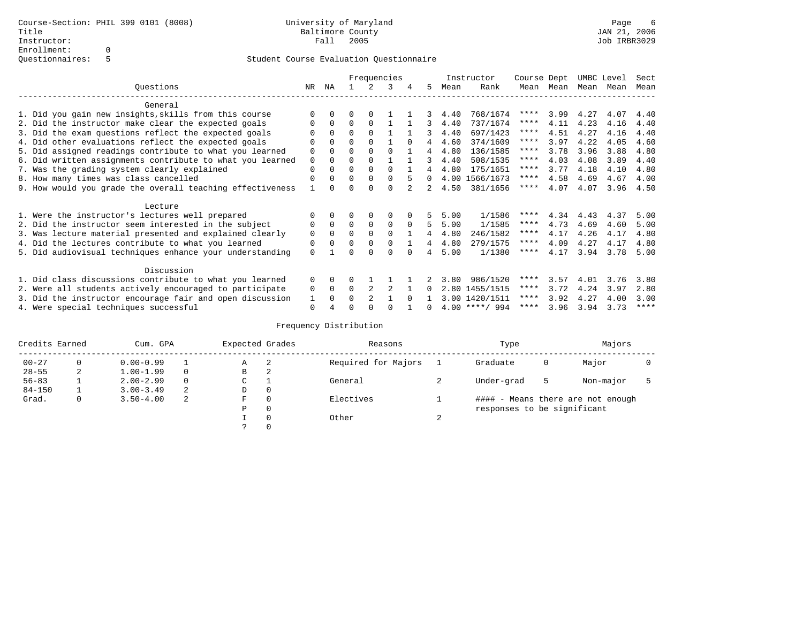|                                                           |             |          |          |                | Frequencies |          |          |      | Instructor       | Course Dept |      | UMBC Level |      | Sect        |
|-----------------------------------------------------------|-------------|----------|----------|----------------|-------------|----------|----------|------|------------------|-------------|------|------------|------|-------------|
| Questions                                                 | NR          | ΝA       |          |                | २           | 4        | 5        | Mean | Rank             | Mean        | Mean | Mean Mean  |      | Mean        |
| General                                                   |             |          |          |                |             |          |          |      |                  |             |      |            |      |             |
| 1. Did you gain new insights, skills from this course     |             | $\Omega$ | O        | $\Omega$       |             |          |          | 4.40 | 768/1674         | ****        | 3.99 | 4.27       | 4.07 | 4.40        |
| 2. Did the instructor make clear the expected goals       |             | $\Omega$ | $\Omega$ | $\Omega$       |             |          | 3        | 4.40 | 737/1674         | ****        | 4.11 | 4.23       | 4.16 | 4.40        |
| 3. Did the exam questions reflect the expected goals      |             | $\Omega$ | 0        | $\Omega$       |             |          | 3        | 4.40 | 697/1423         | ****        | 4.51 | 4.27       | 4.16 | 4.40        |
| 4. Did other evaluations reflect the expected goals       | $\Omega$    | $\Omega$ | 0        | $\Omega$       |             | $\Omega$ | 4        | 4.60 | 374/1609         | ****        | 3.97 | 4.22       | 4.05 | 4.60        |
| 5. Did assigned readings contribute to what you learned   | 0           |          | $\Omega$ |                |             |          | 4        | 4.80 | 136/1585         | ****        | 3.78 | 3.96       | 3.88 | 4.80        |
| 6. Did written assignments contribute to what you learned | $\mathbf 0$ | $\Omega$ | O        |                |             |          | 3        | 4.40 | 508/1535         | ****        | 4.03 | 4.08       | 3.89 | 4.40        |
| 7. Was the grading system clearly explained               | $\Omega$    | O        | 0        | $\Omega$       | $\Omega$    |          |          | 4.80 | 175/1651         | ****        | 3.77 | 4.18       | 4.10 | 4.80        |
| 8. How many times was class cancelled                     | $\Omega$    | $\Omega$ | 0        | $\Omega$       | $\Omega$    |          | $\Omega$ |      | 4.00 1566/1673   | ****        | 4.58 | 4.69       | 4.67 | 4.00        |
| 9. How would you grade the overall teaching effectiveness |             |          |          |                | U           |          | 2        | 4.50 | 381/1656         | ****        | 4.07 | 4.07       | 3.96 | 4.50        |
| Lecture                                                   |             |          |          |                |             |          |          |      |                  |             |      |            |      |             |
| 1. Were the instructor's lectures well prepared           |             |          |          |                | 0           |          |          | 5.00 | 1/1586           | ****        | 4.34 | 4.43       | 4.37 | 5.00        |
| 2. Did the instructor seem interested in the subject      | 0           | $\Omega$ | $\Omega$ | $\mathbf 0$    | $\mathbf 0$ | $\Omega$ | 5        | 5.00 | 1/1585           | ****        | 4.73 | 4.69       | 4.60 | 5.00        |
| 3. Was lecture material presented and explained clearly   | 0           | $\Omega$ | 0        | $\Omega$       | $\Omega$    |          |          | 4.80 | 246/1582         | ****        | 4.17 | 4.26       | 4.17 | 4.80        |
| 4. Did the lectures contribute to what you learned        | 0           | $\Omega$ | $\Omega$ | $\Omega$       | $\Omega$    |          | 4        | 4.80 | 279/1575         | ****        | 4.09 | 4.27       | 4.17 | 4.80        |
| 5. Did audiovisual techniques enhance your understanding  | $\Omega$    |          |          |                | $\cap$      |          |          | 5.00 | 1/1380           | $***$ * * * | 4.17 | 3.94       | 3.78 | 5.00        |
| Discussion                                                |             |          |          |                |             |          |          |      |                  |             |      |            |      |             |
| 1. Did class discussions contribute to what you learned   | $\Omega$    | $\Omega$ | 0        |                |             |          |          | 3.80 | 986/1520         | ****        | 3.57 | 4.01       | 3.76 | 3.80        |
| 2. Were all students actively encouraged to participate   | 0           | $\Omega$ | $\Omega$ |                |             |          | 0        |      | 2.80 1455/1515   | ****        | 3.72 | 4.24       | 3.97 | 2.80        |
| 3. Did the instructor encourage fair and open discussion  | 1           | $\Omega$ | 0        | $\mathfrak{D}$ |             | $\cap$   |          |      | 3.00 1420/1511   | ****        | 3.92 | 4.27       | 4.00 | 3.00        |
| 4. Were special techniques successful                     | $\Omega$    |          |          |                |             |          | 0        |      | $4.00$ ****/ 994 | ****        | 3.96 | 3.94       | 3.73 | $***$ * * * |

| Credits Earned |          | Cum. GPA      |   | Expected Grades |          | Reasons             |        | Type                        |   | Majors                            |  |
|----------------|----------|---------------|---|-----------------|----------|---------------------|--------|-----------------------------|---|-----------------------------------|--|
| $00 - 27$      | $\Omega$ | $0.00 - 0.99$ |   | А               | -2       | Required for Majors |        | Graduate                    | 0 | Major                             |  |
| $28 - 55$      | 2        | $1.00 - 1.99$ |   | В               | 2        |                     |        |                             |   |                                   |  |
| $56 - 83$      |          | $2.00 - 2.99$ |   | $\sim$<br>◡     |          | General             |        | Under-grad                  | 5 | Non-major                         |  |
| $84 - 150$     |          | $3.00 - 3.49$ | 2 | D               | 0        |                     |        |                             |   |                                   |  |
| Grad.          | 0        | $3.50 - 4.00$ | 2 | F               | 0        | Electives           |        |                             |   | #### - Means there are not enough |  |
|                |          |               |   | Ρ               | 0        |                     |        | responses to be significant |   |                                   |  |
|                |          |               |   |                 | $\Omega$ | Other               | $\sim$ |                             |   |                                   |  |
|                |          |               |   |                 |          |                     |        |                             |   |                                   |  |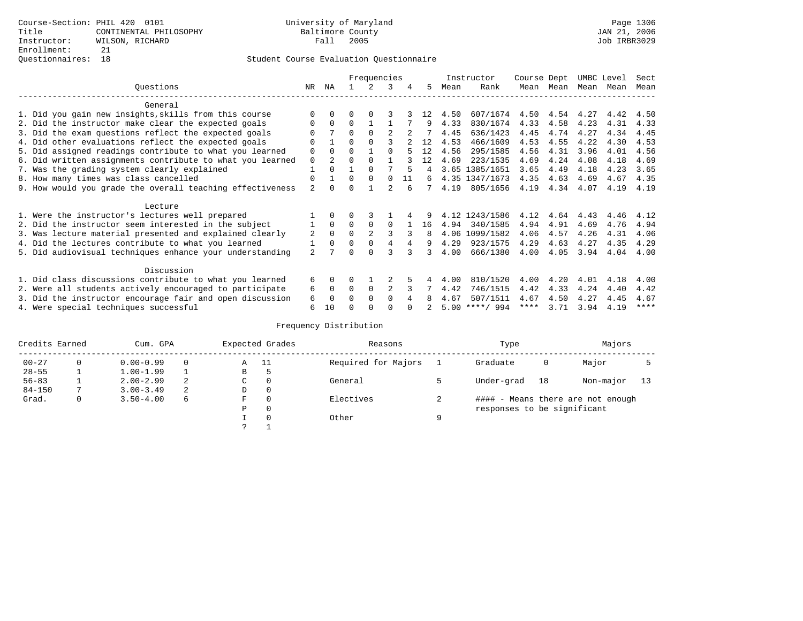|                                                           |                |                |          | Frequencies    |                |    |     |      | Instructor       | Course Dept |      | UMBC Level |      | Sect        |
|-----------------------------------------------------------|----------------|----------------|----------|----------------|----------------|----|-----|------|------------------|-------------|------|------------|------|-------------|
| Ouestions                                                 | NR.            | ΝA             |          |                | 3              | 4  | 5   | Mean | Rank             | Mean        | Mean | Mean       | Mean | Mean        |
| General                                                   |                |                |          |                |                |    |     |      |                  |             |      |            |      |             |
| 1. Did you gain new insights, skills from this course     |                | 0              | 0        | $\Omega$       |                |    | 12. | 4.50 | 607/1674         | 4.50        | 4.54 | 4.27       | 4.42 | 4.50        |
| 2. Did the instructor make clear the expected goals       | 0              | $\Omega$       | $\Omega$ |                |                |    | 9   | 4.33 | 830/1674         | 4.33        | 4.58 | 4.23       | 4.31 | 4.33        |
| 3. Did the exam questions reflect the expected goals      |                | 7              | $\Omega$ | $\Omega$       |                |    |     | 4.45 | 636/1423         | 4.45        | 4.74 | 4.27       | 4.34 | 4.45        |
| 4. Did other evaluations reflect the expected goals       | $\Omega$       |                | 0        | $\Omega$       |                |    | 12  | 4.53 | 466/1609         | 4.53        | 4.55 | 4.22       | 4.30 | 4.53        |
| 5. Did assigned readings contribute to what you learned   | 0              | $\Omega$       | 0        |                | $\Omega$       |    | 12  | 4.56 | 295/1585         | 4.56        | 4.31 | 3.96       | 4.01 | 4.56        |
| 6. Did written assignments contribute to what you learned | $\mathbf 0$    | $\overline{2}$ | 0        |                |                |    | 12  | 4.69 | 223/1535         | 4.69        | 4.24 | 4.08       | 4.18 | 4.69        |
| 7. Was the grading system clearly explained               |                |                |          | $\Omega$       |                |    | 4   | 3.65 | 1385/1651        | 3.65        | 4.49 | 4.18       | 4.23 | 3.65        |
| 8. How many times was class cancelled                     | 0              |                | 0        | $\Omega$       | $\Omega$       | 11 | б.  |      | 4.35 1347/1673   | 4.35        | 4.63 | 4.69       | 4.67 | 4.35        |
| 9. How would you grade the overall teaching effectiveness | $\overline{a}$ |                |          |                | $\mathfrak{D}$ |    |     | 4.19 | 805/1656         | 4.19        | 4.34 | 4.07       | 4.19 | 4.19        |
| Lecture                                                   |                |                |          |                |                |    |     |      |                  |             |      |            |      |             |
| 1. Were the instructor's lectures well prepared           |                |                |          |                |                |    |     |      | 4.12 1243/1586   | 4.12        | 4.64 | 4.43       | 4.46 | 4.12        |
| 2. Did the instructor seem interested in the subject      |                | $\Omega$       | $\Omega$ | 0              | 0              |    | 16  | 4.94 | 340/1585         | 4.94        | 4.91 | 4.69       | 4.76 | 4.94        |
| 3. Was lecture material presented and explained clearly   | 2              | $\Omega$       | $\Omega$ | $\mathfrak{D}$ | 3              |    | 8   |      | 4.06 1099/1582   | 4.06        | 4.57 | 4.26       | 4.31 | 4.06        |
| 4. Did the lectures contribute to what you learned        |                | $\Omega$       | $\Omega$ | $\Omega$       | 4              |    | 9   | 4.29 | 923/1575         | 4.29        | 4.63 | 4.27       | 4.35 | 4.29        |
| 5. Did audiovisual techniques enhance your understanding  | $\overline{a}$ |                |          |                |                |    |     | 4.00 | 666/1380         | 4.00        | 4.05 | 3.94       | 4.04 | 4.00        |
|                                                           |                |                |          |                |                |    |     |      |                  |             |      |            |      |             |
| Discussion                                                |                |                |          |                |                |    |     |      |                  |             |      |            |      |             |
| 1. Did class discussions contribute to what you learned   | б.             | $\Omega$       |          |                |                |    |     | 4.00 | 810/1520         | 4.00        | 4.20 | 4.01       | 4.18 | 4.00        |
| 2. Were all students actively encouraged to participate   | 6              | 0              | 0        | 0              | 2              |    |     | 4.42 | 746/1515         | 4.42        | 4.33 | 4.24       | 4.40 | 4.42        |
| 3. Did the instructor encourage fair and open discussion  | 6              | $\Omega$       |          | $\Omega$       | $\Omega$       |    |     | 4.67 | 507/1511         | 4.67        | 4.50 | 4.27       | 4.45 | 4.67        |
| 4. Were special techniques successful                     | 6              | 10             |          |                |                |    |     |      | $5.00$ ****/ 994 | ****        | 3.71 | 3.94       | 4.19 | $***$ * * * |

| Credits Earned |          | Cum. GPA      |   |    | Expected Grades | Reasons             |   | Type                        |    | Majors                            |    |
|----------------|----------|---------------|---|----|-----------------|---------------------|---|-----------------------------|----|-----------------------------------|----|
| $00 - 27$      | $\Omega$ | $0.00 - 0.99$ |   | Α  | - 11            | Required for Majors |   | Graduate                    | 0  | Major                             |    |
| $28 - 55$      |          | $1.00 - 1.99$ |   | В  | c               |                     |   |                             |    |                                   |    |
| $56 - 83$      |          | $2.00 - 2.99$ |   | C. | $\Omega$        | General             |   | Under-grad                  | 18 | Non-major                         | 13 |
| $84 - 150$     |          | $3.00 - 3.49$ | 2 | D  | 0               |                     |   |                             |    |                                   |    |
| Grad.          | 0        | $3.50 - 4.00$ | 6 | F  | $\Omega$        | Electives           |   |                             |    | #### - Means there are not enough |    |
|                |          |               |   | Ρ  | 0               |                     |   | responses to be significant |    |                                   |    |
|                |          |               |   |    | $\Omega$        | Other               | Q |                             |    |                                   |    |
|                |          |               |   |    |                 |                     |   |                             |    |                                   |    |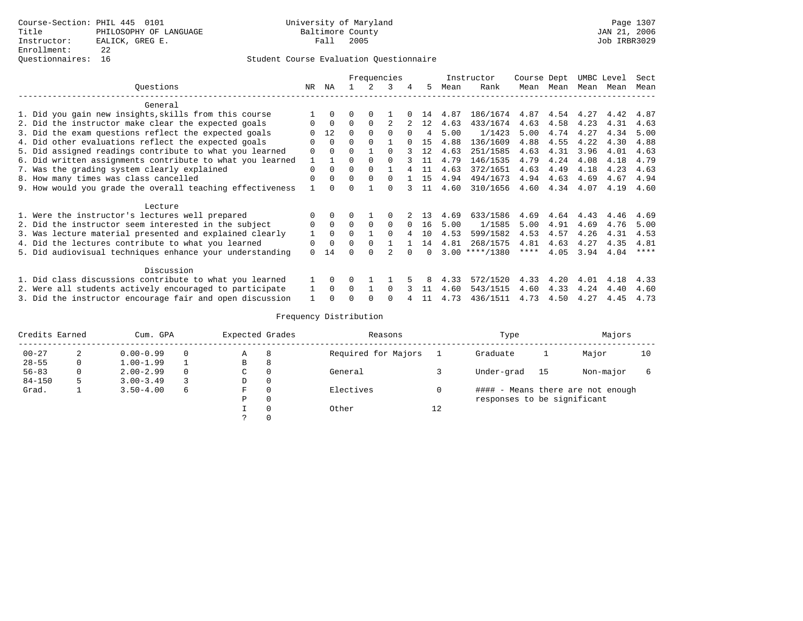|                                                           |              |          |          | Frequencies |          |          |                |      | Instructor       | Course Dept |                | UMBC Level |      | Sect |
|-----------------------------------------------------------|--------------|----------|----------|-------------|----------|----------|----------------|------|------------------|-------------|----------------|------------|------|------|
| Ouestions                                                 | NR.          | ΝA       |          |             | 3        |          | 5.             | Mean | Rank             |             | Mean Mean      | Mean       | Mean | Mean |
| General                                                   |              |          |          |             |          |          |                |      |                  |             |                |            |      |      |
| 1. Did you gain new insights, skills from this course     |              |          |          |             |          |          | 14             | 4.87 | 186/1674         |             | 4.87 4.54 4.27 |            | 4.42 | 4.87 |
| 2. Did the instructor make clear the expected goals       | 0            | $\Omega$ | $\Omega$ | $\Omega$    |          |          | 12             | 4.63 | 433/1674         | 4.63        | 4.58           | 4.23       | 4.31 | 4.63 |
| 3. Did the exam questions reflect the expected goals      |              | 12       | $\Omega$ |             | $\Omega$ | $\cap$   | $\overline{4}$ | 5.00 | 1/1423           | 5.00        | 4.74           | 4.27       | 4.34 | 5.00 |
| 4. Did other evaluations reflect the expected goals       | $\Omega$     | $\Omega$ | $\Omega$ |             |          |          | 1.5            | 4.88 | 136/1609         | 4.88        | 4.55           | 4.22       | 4.30 | 4.88 |
| 5. Did assigned readings contribute to what you learned   | 0            |          | O        |             | $\Omega$ |          | 12             | 4.63 | 251/1585         | 4.63        | 4.31           | 3.96       | 4.01 | 4.63 |
| 6. Did written assignments contribute to what you learned | $\mathbf{1}$ |          | $\Omega$ |             | $\cap$   |          | 11             | 4.79 | 146/1535         | 4.79        | 4.24           | 4.08       | 4.18 | 4.79 |
| 7. Was the grading system clearly explained               | $\Omega$     | $\Omega$ | $\Omega$ |             |          |          | 11             | 4.63 | 372/1651         | 4.63        | 4.49           | 4.18       | 4.23 | 4.63 |
| 8. How many times was class cancelled                     | $\Omega$     | 0        | $\Omega$ | $\Omega$    | $\cap$   |          | 15             | 4.94 | 494/1673         | 4.94        | 4.63           | 4.69       | 4.67 | 4.94 |
| 9. How would you grade the overall teaching effectiveness |              |          | U        |             | ∩        |          | 11             | 4.60 | 310/1656         | 4.60        | 4.34           | 4.07       | 4.19 | 4.60 |
| Lecture                                                   |              |          |          |             |          |          |                |      |                  |             |                |            |      |      |
| 1. Were the instructor's lectures well prepared           |              |          |          |             |          |          | 1 3            | 4.69 | 633/1586         | 4.69        | 4.64           | 4.43       | 4.46 | 4.69 |
| 2. Did the instructor seem interested in the subject      | 0            | $\Omega$ | $\Omega$ |             | $\Omega$ | $\Omega$ | 16             | 5.00 | 1/1585           | 5.00        | 4.91           | 4.69       | 4.76 | 5.00 |
| 3. Was lecture material presented and explained clearly   | 1            | $\Omega$ | $\Omega$ |             | $\cap$   |          | 1 O            | 4.53 | 599/1582         | 4.53        | 4.57           | 4.26       | 4.31 | 4.53 |
| 4. Did the lectures contribute to what you learned        | 0            | $\Omega$ | 0        |             |          |          | 14             | 4.81 | 268/1575         | 4.81        | 4.63           | 4.27       | 4.35 | 4.81 |
| 5. Did audiovisual techniques enhance your understanding  | $\Omega$     | 14       |          |             |          |          | <sup>n</sup>   |      | $3.00$ ****/1380 | ****        | 4.05           | 3.94       | 4.04 | **** |
| Discussion                                                |              |          |          |             |          |          |                |      |                  |             |                |            |      |      |
| 1. Did class discussions contribute to what you learned   |              | $\Omega$ |          |             |          |          |                | 4.33 | 572/1520         | 4.33        | 4.20           | 4.01       | 4.18 | 4.33 |
| 2. Were all students actively encouraged to participate   |              | $\cap$   | 0        |             | $\cap$   |          |                | 4.60 | 543/1515         | 4.60        | 4.33           | 4.24       | 4.40 | 4.60 |
| 3. Did the instructor encourage fair and open discussion  |              |          |          |             |          |          | 11             | 4.73 | 436/1511         | 4.73        | 4.50           | 4.27       | 4.45 | 4.73 |

| Credits Earned |   | Cum. GPA      |   | Expected Grades |          | Reasons             |    | Type                        |    | Majors                            |    |
|----------------|---|---------------|---|-----------------|----------|---------------------|----|-----------------------------|----|-----------------------------------|----|
| $00 - 27$      |   | $0.00 - 0.99$ |   | Α               | 8        | Required for Majors |    | Graduate                    |    | Major                             | 10 |
| $28 - 55$      | 0 | $1.00 - 1.99$ |   | В               | 8        |                     |    |                             |    |                                   |    |
| $56 - 83$      | 0 | $2.00 - 2.99$ |   | C.              | 0        | General             |    | Under-grad                  | 15 | Non-major                         |    |
| $84 - 150$     |   | $3.00 - 3.49$ |   | D               | $\Omega$ |                     |    |                             |    |                                   |    |
| Grad.          |   | $3.50 - 4.00$ | 6 | F               | $\Omega$ | Electives           |    |                             |    | #### - Means there are not enough |    |
|                |   |               |   | P               | $\Omega$ |                     |    | responses to be significant |    |                                   |    |
|                |   |               |   |                 | $\Omega$ | Other               | 12 |                             |    |                                   |    |
|                |   |               |   |                 |          |                     |    |                             |    |                                   |    |